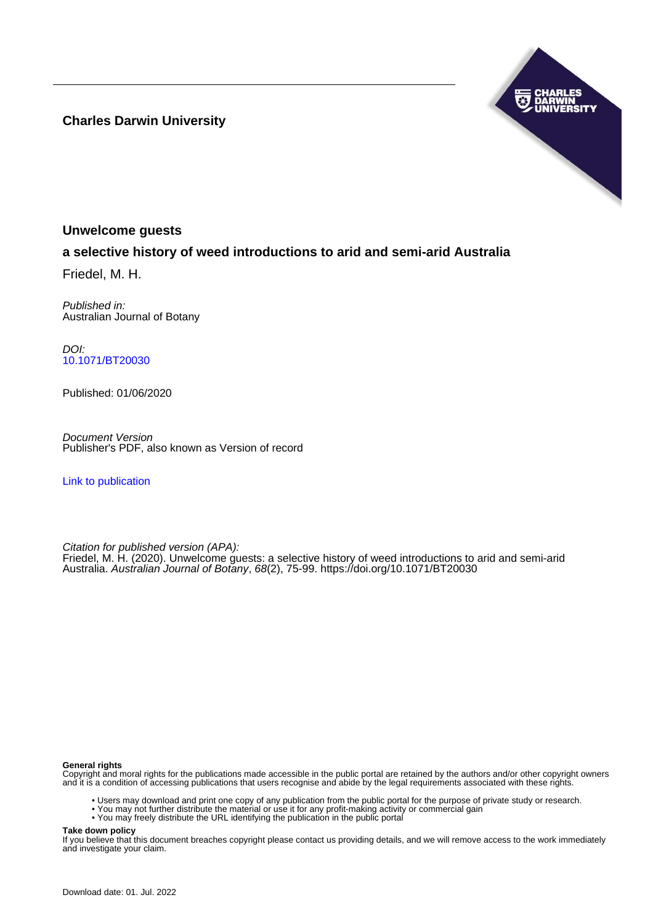**Charles Darwin University**



## **Unwelcome guests**

# **a selective history of weed introductions to arid and semi-arid Australia**

Friedel, M. H.

Published in: Australian Journal of Botany

DOI: [10.1071/BT20030](https://doi.org/10.1071/BT20030)

Published: 01/06/2020

Document Version Publisher's PDF, also known as Version of record

[Link to publication](https://researchers.cdu.edu.au/en/publications/fbbeab0e-f84c-4a8a-8cef-5efa6fcf091c)

Citation for published version (APA):

Friedel, M. H. (2020). Unwelcome guests: a selective history of weed introductions to arid and semi-arid Australia. Australian Journal of Botany, 68(2), 75-99.<https://doi.org/10.1071/BT20030>

### **General rights**

Copyright and moral rights for the publications made accessible in the public portal are retained by the authors and/or other copyright owners and it is a condition of accessing publications that users recognise and abide by the legal requirements associated with these rights.

- Users may download and print one copy of any publication from the public portal for the purpose of private study or research.
- You may not further distribute the material or use it for any profit-making activity or commercial gain
- You may freely distribute the URL identifying the publication in the public portal

**Take down policy**

If you believe that this document breaches copyright please contact us providing details, and we will remove access to the work immediately and investigate your claim.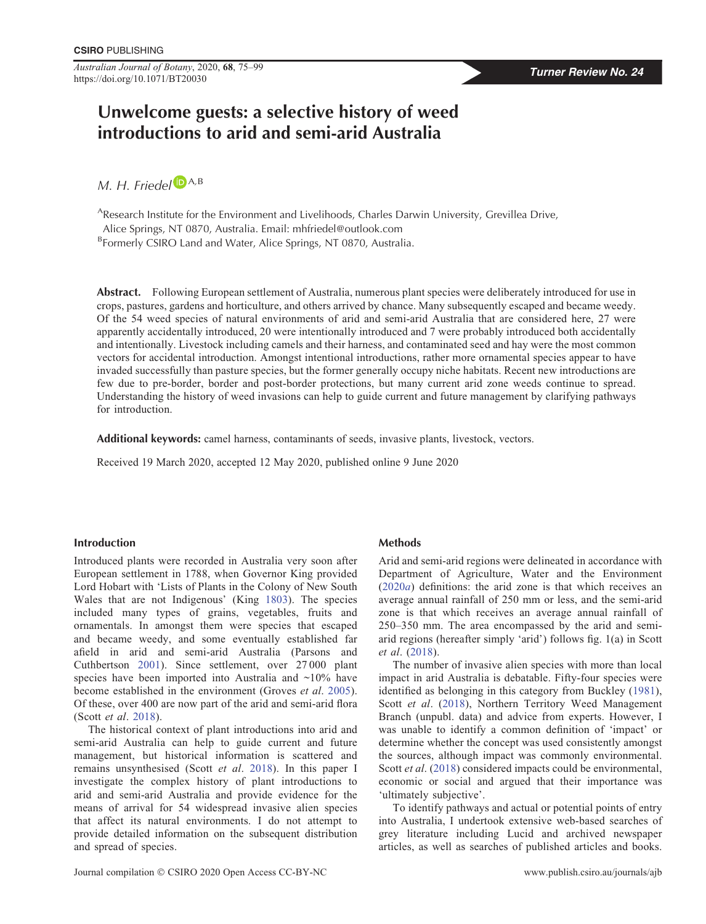Australian Journal of Botany, 2020, <sup>68</sup>, 75–<sup>99</sup> Turner Review No. 24 https://doi.org/10.1071/BT20030

# Unwelcome guests: a selective history of weed introductions to arid and semi-arid Australia

 $M. H.$  Friedel  $\blacksquare$  [A](https://orcid.org/0000-0002-8350-636X), B

AResearch Institute for the Environment and Livelihoods, Charles Darwin University, Grevillea Drive, Alice Springs, NT 0870, Australia. Email: [mhfriedel@outlook.com](mailto:mhfriedel@outlook.com)

<sup>B</sup>Formerly CSIRO Land and Water, Alice Springs, NT 0870, Australia.

Abstract. Following European settlement of Australia, numerous plant species were deliberately introduced for use in crops, pastures, gardens and horticulture, and others arrived by chance. Many subsequently escaped and became weedy. Of the 54 weed species of natural environments of arid and semi-arid Australia that are considered here, 27 were apparently accidentally introduced, 20 were intentionally introduced and 7 were probably introduced both accidentally and intentionally. Livestock including camels and their harness, and contaminated seed and hay were the most common vectors for accidental introduction. Amongst intentional introductions, rather more ornamental species appear to have invaded successfully than pasture species, but the former generally occupy niche habitats. Recent new introductions are few due to pre-border, border and post-border protections, but many current arid zone weeds continue to spread. Understanding the history of weed invasions can help to guide current and future management by clarifying pathways for introduction.

Additional keywords: camel harness, contaminants of seeds, invasive plants, livestock, vectors.

Received 19 March 2020, accepted 12 May 2020, published online 9 June 2020

### Introduction

Introduced plants were recorded in Australia very soon after European settlement in 1788, when Governor King provided Lord Hobart with 'Lists of Plants in the Colony of New South Wales that are not Indigenous' (King [1803\)](#page-19-0). The species included many types of grains, vegetables, fruits and ornamentals. In amongst them were species that escaped and became weedy, and some eventually established far afield in arid and semi-arid Australia (Parsons and Cuthbertson [2001](#page-20-0)). Since settlement, over 27 000 plant species have been imported into Australia and ~10% have become established in the environment (Groves et al. [2005\)](#page-19-0). Of these, over 400 are now part of the arid and semi-arid flora (Scott et al. [2018](#page-20-0)).

The historical context of plant introductions into arid and semi-arid Australia can help to guide current and future management, but historical information is scattered and remains unsynthesised (Scott et al. [2018\)](#page-20-0). In this paper I investigate the complex history of plant introductions to arid and semi-arid Australia and provide evidence for the means of arrival for 54 widespread invasive alien species that affect its natural environments. I do not attempt to provide detailed information on the subsequent distribution and spread of species.

### Methods

Arid and semi-arid regions were delineated in accordance with Department of Agriculture, Water and the Environment ([2020](#page-18-0)a) definitions: the arid zone is that which receives an average annual rainfall of 250 mm or less, and the semi-arid zone is that which receives an average annual rainfall of 250–350 mm. The area encompassed by the arid and semiarid regions (hereafter simply 'arid') follows fig. 1(a) in Scott et al. [\(2018](#page-20-0)).

The number of invasive alien species with more than local impact in arid Australia is debatable. Fifty-four species were identified as belonging in this category from Buckley ([1981\)](#page-18-0), Scott et al. [\(2018](#page-20-0)), Northern Territory Weed Management Branch (unpubl. data) and advice from experts. However, I was unable to identify a common definition of 'impact' or determine whether the concept was used consistently amongst the sources, although impact was commonly environmental. Scott et al. ([2018\)](#page-20-0) considered impacts could be environmental, economic or social and argued that their importance was 'ultimately subjective'.

To identify pathways and actual or potential points of entry into Australia, I undertook extensive web-based searches of grey literature including Lucid and archived newspaper articles, as well as searches of published articles and books.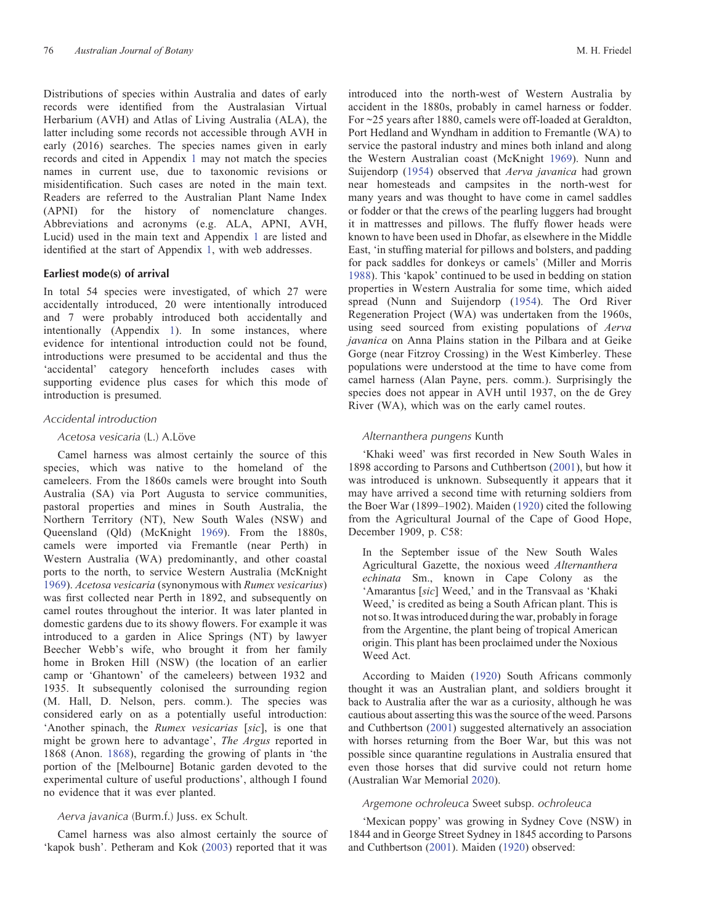Distributions of species within Australia and dates of early records were identified from the Australasian Virtual Herbarium (AVH) and Atlas of Living Australia (ALA), the latter including some records not accessible through AVH in early (2016) searches. The species names given in early records and cited in [Appendix](#page-22-0) 1 may not match the species names in current use, due to taxonomic revisions or misidentification. Such cases are noted in the main text. Readers are referred to the Australian Plant Name Index (APNI) for the history of nomenclature changes. Abbreviations and acronyms (e.g. ALA, APNI, AVH, Lucid) used in the main text and [Appendix](#page-22-0) 1 are listed and identified at the start of [Appendix](#page-22-0) 1, with web addresses.

#### Earliest mode(s) of arrival

In total 54 species were investigated, of which 27 were accidentally introduced, 20 were intentionally introduced and 7 were probably introduced both accidentally and intentionally ([Appendix](#page-22-0) 1). In some instances, where evidence for intentional introduction could not be found, introductions were presumed to be accidental and thus the 'accidental' category henceforth includes cases with supporting evidence plus cases for which this mode of introduction is presumed.

#### Accidental introduction

#### Acetosa vesicaria (L.) A.Löve

Camel harness was almost certainly the source of this species, which was native to the homeland of the cameleers. From the 1860s camels were brought into South Australia (SA) via Port Augusta to service communities, pastoral properties and mines in South Australia, the Northern Territory (NT), New South Wales (NSW) and Queensland (Qld) (McKnight [1969\)](#page-20-0). From the 1880s, camels were imported via Fremantle (near Perth) in Western Australia (WA) predominantly, and other coastal ports to the north, to service Western Australia (McKnight [1969\)](#page-20-0). Acetosa vesicaria (synonymous with Rumex vesicarius) was first collected near Perth in 1892, and subsequently on camel routes throughout the interior. It was later planted in domestic gardens due to its showy flowers. For example it was introduced to a garden in Alice Springs (NT) by lawyer Beecher Webb's wife, who brought it from her family home in Broken Hill (NSW) (the location of an earlier camp or 'Ghantown' of the cameleers) between 1932 and 1935. It subsequently colonised the surrounding region (M. Hall, D. Nelson, pers. comm.). The species was considered early on as a potentially useful introduction: 'Another spinach, the Rumex vesicarias [sic], is one that might be grown here to advantage', The Argus reported in 1868 (Anon. [1868\)](#page-17-0), regarding the growing of plants in 'the portion of the [Melbourne] Botanic garden devoted to the experimental culture of useful productions', although I found no evidence that it was ever planted.

### Aerva javanica (Burm.f.) Juss. ex Schult.

Camel harness was also almost certainly the source of 'kapok bush'. Petheram and Kok [\(2003\)](#page-20-0) reported that it was

introduced into the north-west of Western Australia by accident in the 1880s, probably in camel harness or fodder. For ~25 years after 1880, camels were off-loaded at Geraldton, Port Hedland and Wyndham in addition to Fremantle (WA) to service the pastoral industry and mines both inland and along the Western Australian coast (McKnight [1969\)](#page-20-0). Nunn and Suijendorp [\(1954](#page-20-0)) observed that Aerva javanica had grown near homesteads and campsites in the north-west for many years and was thought to have come in camel saddles or fodder or that the crews of the pearling luggers had brought it in mattresses and pillows. The fluffy flower heads were known to have been used in Dhofar, as elsewhere in the Middle East, 'in stuffing material for pillows and bolsters, and padding for pack saddles for donkeys or camels' (Miller and Morris [1988\)](#page-20-0). This 'kapok' continued to be used in bedding on station properties in Western Australia for some time, which aided spread (Nunn and Suijendorp ([1954\)](#page-20-0). The Ord River Regeneration Project (WA) was undertaken from the 1960s, using seed sourced from existing populations of Aerva javanica on Anna Plains station in the Pilbara and at Geike Gorge (near Fitzroy Crossing) in the West Kimberley. These populations were understood at the time to have come from camel harness (Alan Payne, pers. comm.). Surprisingly the species does not appear in AVH until 1937, on the de Grey River (WA), which was on the early camel routes.

### Alternanthera pungens Kunth

'Khaki weed' was first recorded in New South Wales in 1898 according to Parsons and Cuthbertson ([2001\)](#page-20-0), but how it was introduced is unknown. Subsequently it appears that it may have arrived a second time with returning soldiers from the Boer War (1899–1902). Maiden [\(1920](#page-20-0)) cited the following from the Agricultural Journal of the Cape of Good Hope, December 1909, p. C58:

In the September issue of the New South Wales Agricultural Gazette, the noxious weed Alternanthera echinata Sm., known in Cape Colony as the 'Amarantus [sic] Weed,' and in the Transvaal as 'Khaki Weed,' is credited as being a South African plant. This is not so. It was introduced during the war, probably in forage from the Argentine, the plant being of tropical American origin. This plant has been proclaimed under the Noxious Weed Act.

According to Maiden [\(1920](#page-20-0)) South Africans commonly thought it was an Australian plant, and soldiers brought it back to Australia after the war as a curiosity, although he was cautious about asserting this was the source of the weed. Parsons and Cuthbertson ([2001\)](#page-20-0) suggested alternatively an association with horses returning from the Boer War, but this was not possible since quarantine regulations in Australia ensured that even those horses that did survive could not return home (Australian War Memorial [2020\)](#page-17-0).

### Argemone ochroleuca Sweet subsp. ochroleuca

'Mexican poppy' was growing in Sydney Cove (NSW) in 1844 and in George Street Sydney in 1845 according to Parsons and Cuthbertson [\(2001](#page-20-0)). Maiden ([1920\)](#page-20-0) observed: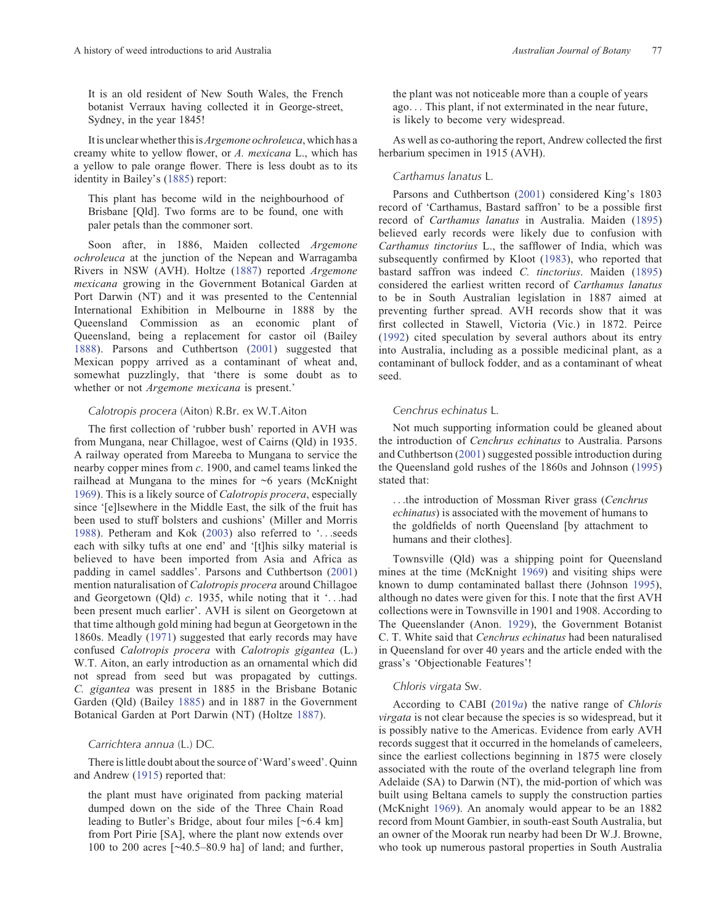It is an old resident of New South Wales, the French botanist Verraux having collected it in George-street, Sydney, in the year 1845!

It is unclear whether this is *Argemone ochroleuca*, which has a creamy white to yellow flower, or A. mexicana L., which has a yellow to pale orange flower. There is less doubt as to its identity in Bailey's [\(1885](#page-17-0)) report:

This plant has become wild in the neighbourhood of Brisbane [Qld]. Two forms are to be found, one with paler petals than the commoner sort.

Soon after, in 1886, Maiden collected Argemone ochroleuca at the junction of the Nepean and Warragamba Rivers in NSW (AVH). Holtze [\(1887](#page-19-0)) reported Argemone mexicana growing in the Government Botanical Garden at Port Darwin (NT) and it was presented to the Centennial International Exhibition in Melbourne in 1888 by the Queensland Commission as an economic plant of Queensland, being a replacement for castor oil (Bailey [1888\)](#page-17-0). Parsons and Cuthbertson ([2001\)](#page-20-0) suggested that Mexican poppy arrived as a contaminant of wheat and, somewhat puzzlingly, that 'there is some doubt as to whether or not Argemone mexicana is present.'

### Calotropis procera (Aiton) R.Br. ex W.T.Aiton

The first collection of 'rubber bush' reported in AVH was from Mungana, near Chillagoe, west of Cairns (Qld) in 1935. A railway operated from Mareeba to Mungana to service the nearby copper mines from c. 1900, and camel teams linked the railhead at Mungana to the mines for  $\sim$ 6 years (McKnight [1969\)](#page-20-0). This is a likely source of Calotropis procera, especially since '[e]lsewhere in the Middle East, the silk of the fruit has been used to stuff bolsters and cushions' (Miller and Morris [1988\)](#page-20-0). Petheram and Kok ([2003](#page-20-0)) also referred to '...seeds each with silky tufts at one end' and '[t]his silky material is believed to have been imported from Asia and Africa as padding in camel saddles'. Parsons and Cuthbertson [\(2001](#page-20-0)) mention naturalisation of Calotropis procera around Chillagoe and Georgetown (Qld) c. 1935, while noting that it '...had been present much earlier'. AVH is silent on Georgetown at that time although gold mining had begun at Georgetown in the 1860s. Meadly [\(1971](#page-20-0)) suggested that early records may have confused Calotropis procera with Calotropis gigantea (L.) W.T. Aiton, an early introduction as an ornamental which did not spread from seed but was propagated by cuttings. C. gigantea was present in 1885 in the Brisbane Botanic Garden (Qld) (Bailey [1885](#page-17-0)) and in 1887 in the Government Botanical Garden at Port Darwin (NT) (Holtze [1887](#page-19-0)).

### Carrichtera annua (L.) DC.

There is little doubt about the source of'Ward's weed'. Quinn and Andrew ([1915\)](#page-20-0) reported that:

the plant must have originated from packing material dumped down on the side of the Three Chain Road leading to Butler's Bridge, about four miles [~6.4 km] from Port Pirie [SA], where the plant now extends over 100 to 200 acres [~40.5–80.9 ha] of land; and further, the plant was not noticeable more than a couple of years ago... This plant, if not exterminated in the near future, is likely to become very widespread.

As well as co-authoring the report, Andrew collected the first herbarium specimen in 1915 (AVH).

### Carthamus lanatus L.

Parsons and Cuthbertson [\(2001](#page-20-0)) considered King's 1803 record of 'Carthamus, Bastard saffron' to be a possible first record of Carthamus lanatus in Australia. Maiden [\(1895](#page-19-0)) believed early records were likely due to confusion with Carthamus tinctorius L., the safflower of India, which was subsequently confirmed by Kloot ([1983](#page-19-0)), who reported that bastard saffron was indeed C. tinctorius. Maiden [\(1895](#page-19-0)) considered the earliest written record of Carthamus lanatus to be in South Australian legislation in 1887 aimed at preventing further spread. AVH records show that it was first collected in Stawell, Victoria (Vic.) in 1872. Peirce ([1992\)](#page-20-0) cited speculation by several authors about its entry into Australia, including as a possible medicinal plant, as a contaminant of bullock fodder, and as a contaminant of wheat seed.

### Cenchrus echinatus L.

Not much supporting information could be gleaned about the introduction of Cenchrus echinatus to Australia. Parsons and Cuthbertson [\(2001](#page-20-0)) suggested possible introduction during the Queensland gold rushes of the 1860s and Johnson [\(1995](#page-19-0)) stated that:

...the introduction of Mossman River grass (Cenchrus echinatus) is associated with the movement of humans to the goldfields of north Queensland [by attachment to humans and their clothes].

Townsville (Qld) was a shipping point for Queensland mines at the time (McKnight [1969\)](#page-20-0) and visiting ships were known to dump contaminated ballast there (Johnson [1995\)](#page-19-0), although no dates were given for this. I note that the first AVH collections were in Townsville in 1901 and 1908. According to The Queenslander (Anon. [1929](#page-17-0)), the Government Botanist C. T. White said that Cenchrus echinatus had been naturalised in Queensland for over 40 years and the article ended with the grass's 'Objectionable Features'!

### Chloris virgata Sw.

According to CABI ([2019](#page-18-0)a) the native range of Chloris virgata is not clear because the species is so widespread, but it is possibly native to the Americas. Evidence from early AVH records suggest that it occurred in the homelands of cameleers, since the earliest collections beginning in 1875 were closely associated with the route of the overland telegraph line from Adelaide (SA) to Darwin (NT), the mid-portion of which was built using Beltana camels to supply the construction parties (McKnight [1969\)](#page-20-0). An anomaly would appear to be an 1882 record from Mount Gambier, in south-east South Australia, but an owner of the Moorak run nearby had been Dr W.J. Browne, who took up numerous pastoral properties in South Australia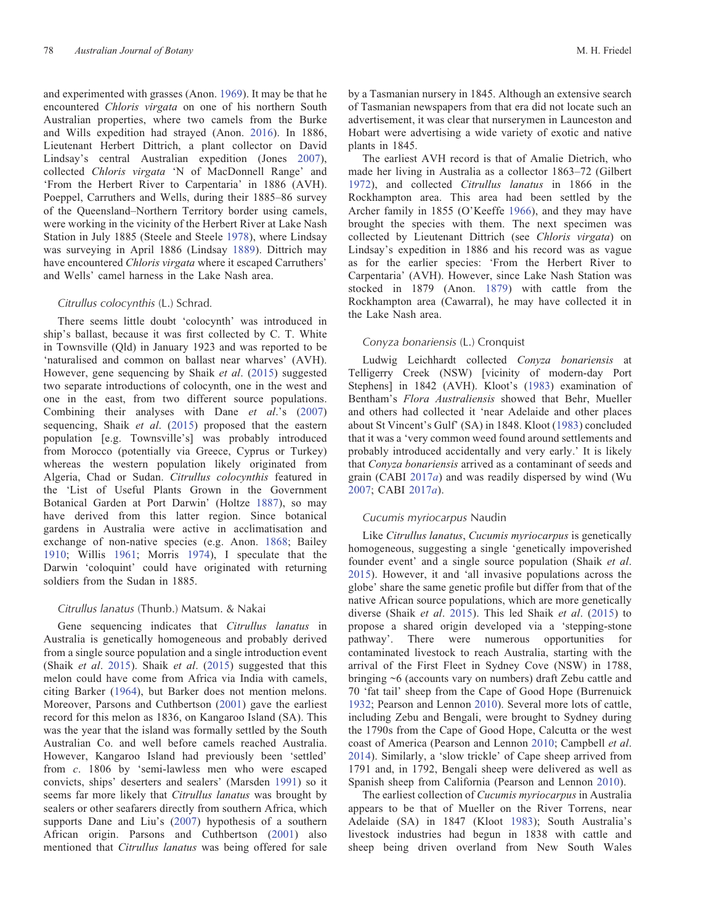and experimented with grasses (Anon. [1969\)](#page-17-0). It may be that he encountered Chloris virgata on one of his northern South Australian properties, where two camels from the Burke and Wills expedition had strayed (Anon. [2016](#page-17-0)). In 1886, Lieutenant Herbert Dittrich, a plant collector on David Lindsay's central Australian expedition (Jones [2007](#page-19-0)), collected Chloris virgata 'N of MacDonnell Range' and 'From the Herbert River to Carpentaria' in 1886 (AVH). Poeppel, Carruthers and Wells, during their 1885–86 survey of the Queensland–Northern Territory border using camels, were working in the vicinity of the Herbert River at Lake Nash Station in July 1885 (Steele and Steele [1978](#page-20-0)), where Lindsay was surveying in April 1886 (Lindsay [1889](#page-19-0)). Dittrich may have encountered *Chloris virgata* where it escaped Carruthers' and Wells' camel harness in the Lake Nash area.

### Citrullus colocynthis (L.) Schrad.

There seems little doubt 'colocynth' was introduced in ship's ballast, because it was first collected by C. T. White in Townsville (Qld) in January 1923 and was reported to be 'naturalised and common on ballast near wharves' (AVH). However, gene sequencing by Shaik et al. [\(2015](#page-20-0)) suggested two separate introductions of colocynth, one in the west and one in the east, from two different source populations. Combining their analyses with Dane et al.'s ([2007\)](#page-18-0) sequencing, Shaik *et al.* ([2015\)](#page-20-0) proposed that the eastern population [e.g. Townsville's] was probably introduced from Morocco (potentially via Greece, Cyprus or Turkey) whereas the western population likely originated from Algeria, Chad or Sudan. Citrullus colocynthis featured in the 'List of Useful Plants Grown in the Government Botanical Garden at Port Darwin' (Holtze [1887](#page-19-0)), so may have derived from this latter region. Since botanical gardens in Australia were active in acclimatisation and exchange of non-native species (e.g. Anon. [1868;](#page-17-0) Bailey [1910;](#page-17-0) Willis [1961](#page-21-0); Morris [1974](#page-20-0)), I speculate that the Darwin 'coloquint' could have originated with returning soldiers from the Sudan in 1885.

### Citrullus lanatus (Thunb.) Matsum. & Nakai

Gene sequencing indicates that Citrullus lanatus in Australia is genetically homogeneous and probably derived from a single source population and a single introduction event (Shaik et al. [2015](#page-20-0)). Shaik et al. ([2015\)](#page-20-0) suggested that this melon could have come from Africa via India with camels, citing Barker [\(1964](#page-17-0)), but Barker does not mention melons. Moreover, Parsons and Cuthbertson [\(2001](#page-20-0)) gave the earliest record for this melon as 1836, on Kangaroo Island (SA). This was the year that the island was formally settled by the South Australian Co. and well before camels reached Australia. However, Kangaroo Island had previously been 'settled' from c. 1806 by 'semi-lawless men who were escaped convicts, ships' deserters and sealers' (Marsden [1991\)](#page-20-0) so it seems far more likely that Citrullus lanatus was brought by sealers or other seafarers directly from southern Africa, which supports Dane and Liu's ([2007](#page-18-0)) hypothesis of a southern African origin. Parsons and Cuthbertson [\(2001](#page-20-0)) also mentioned that Citrullus lanatus was being offered for sale

by a Tasmanian nursery in 1845. Although an extensive search of Tasmanian newspapers from that era did not locate such an advertisement, it was clear that nurserymen in Launceston and Hobart were advertising a wide variety of exotic and native plants in 1845.

The earliest AVH record is that of Amalie Dietrich, who made her living in Australia as a collector 1863–72 (Gilbert [1972\)](#page-19-0), and collected Citrullus lanatus in 1866 in the Rockhampton area. This area had been settled by the Archer family in 1855 (O'Keeffe [1966](#page-20-0)), and they may have brought the species with them. The next specimen was collected by Lieutenant Dittrich (see Chloris virgata) on Lindsay's expedition in 1886 and his record was as vague as for the earlier species: 'From the Herbert River to Carpentaria' (AVH). However, since Lake Nash Station was stocked in 1879 (Anon. [1879\)](#page-17-0) with cattle from the Rockhampton area (Cawarral), he may have collected it in the Lake Nash area.

### Conyza bonariensis (L.) Cronquist

Ludwig Leichhardt collected Conyza bonariensis at Telligerry Creek (NSW) [vicinity of modern-day Port Stephens] in 1842 (AVH). Kloot's [\(1983](#page-19-0)) examination of Bentham's Flora Australiensis showed that Behr, Mueller and others had collected it 'near Adelaide and other places about St Vincent's Gulf' (SA) in 1848. Kloot [\(1983](#page-19-0)) concluded that it was a 'very common weed found around settlements and probably introduced accidentally and very early.' It is likely that Conyza bonariensis arrived as a contaminant of seeds and grain (CABI  $2017a$  $2017a$ ) and was readily dispersed by wind (Wu [2007;](#page-21-0) CABI [2017](#page-18-0)a).

### Cucumis myriocarpus Naudin

Like Citrullus lanatus, Cucumis myriocarpus is genetically homogeneous, suggesting a single 'genetically impoverished founder event' and a single source population (Shaik et al. [2015\)](#page-20-0). However, it and 'all invasive populations across the globe' share the same genetic profile but differ from that of the native African source populations, which are more genetically diverse (Shaik et al. [2015\)](#page-20-0). This led Shaik et al. [\(2015](#page-20-0)) to propose a shared origin developed via a 'stepping-stone pathway'. There were numerous opportunities for contaminated livestock to reach Australia, starting with the arrival of the First Fleet in Sydney Cove (NSW) in 1788, bringing ~6 (accounts vary on numbers) draft Zebu cattle and 70 'fat tail' sheep from the Cape of Good Hope (Burrenuick [1932;](#page-18-0) Pearson and Lennon [2010\)](#page-20-0). Several more lots of cattle, including Zebu and Bengali, were brought to Sydney during the 1790s from the Cape of Good Hope, Calcutta or the west coast of America (Pearson and Lennon [2010;](#page-20-0) Campbell et al. [2014\)](#page-18-0). Similarly, a 'slow trickle' of Cape sheep arrived from 1791 and, in 1792, Bengali sheep were delivered as well as Spanish sheep from California (Pearson and Lennon [2010\)](#page-20-0).

The earliest collection of Cucumis myriocarpus in Australia appears to be that of Mueller on the River Torrens, near Adelaide (SA) in 1847 (Kloot [1983\)](#page-19-0); South Australia's livestock industries had begun in 1838 with cattle and sheep being driven overland from New South Wales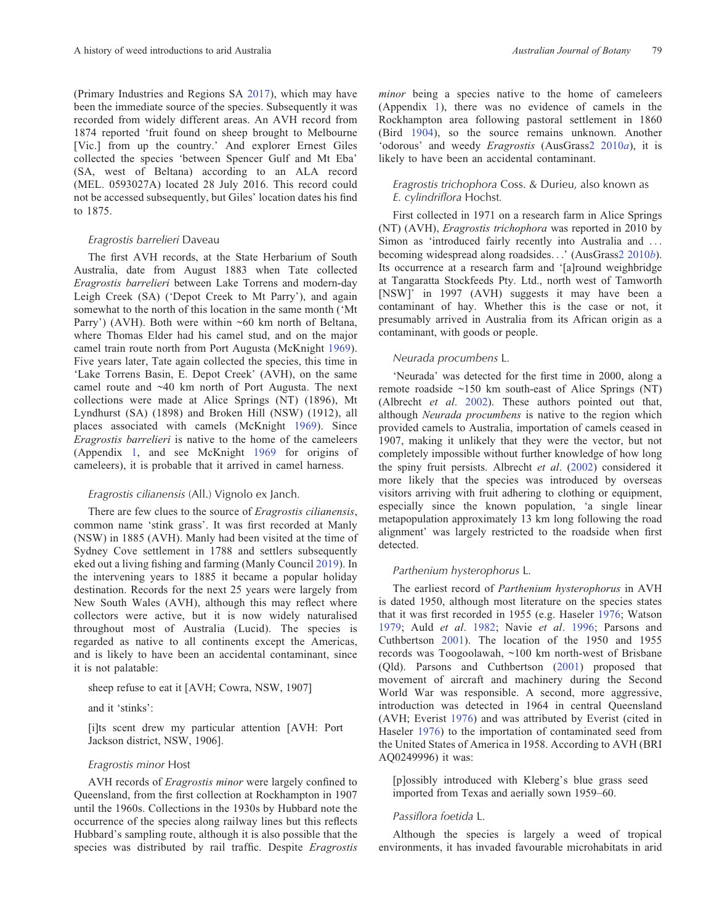(Primary Industries and Regions SA [2017\)](#page-20-0), which may have been the immediate source of the species. Subsequently it was recorded from widely different areas. An AVH record from 1874 reported 'fruit found on sheep brought to Melbourne [Vic.] from up the country.' And explorer Ernest Giles collected the species 'between Spencer Gulf and Mt Eba' (SA, west of Beltana) according to an ALA record (MEL. 0593027A) located 28 July 2016. This record could not be accessed subsequently, but Giles' location dates his find to 1875.

### Eragrostis barrelieri Daveau

The first AVH records, at the State Herbarium of South Australia, date from August 1883 when Tate collected Eragrostis barrelieri between Lake Torrens and modern-day Leigh Creek (SA) ('Depot Creek to Mt Parry'), and again somewhat to the north of this location in the same month ('Mt Parry') (AVH). Both were within ~60 km north of Beltana, where Thomas Elder had his camel stud, and on the major camel train route north from Port Augusta (McKnight [1969\)](#page-20-0). Five years later, Tate again collected the species, this time in 'Lake Torrens Basin, E. Depot Creek' (AVH), on the same camel route and ~40 km north of Port Augusta. The next collections were made at Alice Springs (NT) (1896), Mt Lyndhurst (SA) (1898) and Broken Hill (NSW) (1912), all places associated with camels (McKnight [1969](#page-20-0)). Since Eragrostis barrelieri is native to the home of the cameleers ([Appendix](#page-22-0) 1, and see McKnight [1969](#page-20-0) for origins of cameleers), it is probable that it arrived in camel harness.

### Eragrostis cilianensis (All.) Vignolo ex Janch.

There are few clues to the source of *Eragrostis cilianensis*, common name 'stink grass'. It was first recorded at Manly (NSW) in 1885 (AVH). Manly had been visited at the time of Sydney Cove settlement in 1788 and settlers subsequently eked out a living fishing and farming (Manly Council [2019\)](#page-20-0). In the intervening years to 1885 it became a popular holiday destination. Records for the next 25 years were largely from New South Wales (AVH), although this may reflect where collectors were active, but it is now widely naturalised throughout most of Australia (Lucid). The species is regarded as native to all continents except the Americas, and is likely to have been an accidental contaminant, since it is not palatable:

### sheep refuse to eat it [AVH; Cowra, NSW, 1907]

and it 'stinks':

[i]ts scent drew my particular attention [AVH: Port Jackson district, NSW, 1906].

### Eragrostis minor Host

AVH records of Eragrostis minor were largely confined to Queensland, from the first collection at Rockhampton in 1907 until the 1960s. Collections in the 1930s by Hubbard note the occurrence of the species along railway lines but this reflects Hubbard's sampling route, although it is also possible that the species was distributed by rail traffic. Despite Eragrostis minor being a species native to the home of cameleers ([Appendix](#page-22-0) 1), there was no evidence of camels in the Rockhampton area following pastoral settlement in 1860 (Bird [1904\)](#page-18-0), so the source remains unknown. Another 'odorous' and weedy Eragrostis (AusGrass[2 2010](#page-17-0)a), it is likely to have been an accidental contaminant.

### Eragrostis trichophora Coss. & Durieu, also known as E. cylindriflora Hochst.

First collected in 1971 on a research farm in Alice Springs (NT) (AVH), Eragrostis trichophora was reported in 2010 by Simon as 'introduced fairly recently into Australia and ... becoming widespread along roadsides...' (AusGrass[2 2010](#page-17-0)b). Its occurrence at a research farm and '[a]round weighbridge at Tangaratta Stockfeeds Pty. Ltd., north west of Tamworth [NSW]' in 1997 (AVH) suggests it may have been a contaminant of hay. Whether this is the case or not, it presumably arrived in Australia from its African origin as a contaminant, with goods or people.

### Neurada procumbens L.

'Neurada' was detected for the first time in 2000, along a remote roadside ~150 km south-east of Alice Springs (NT) (Albrecht et al. [2002\)](#page-17-0). These authors pointed out that, although Neurada procumbens is native to the region which provided camels to Australia, importation of camels ceased in 1907, making it unlikely that they were the vector, but not completely impossible without further knowledge of how long the spiny fruit persists. Albrecht et al. ([2002](#page-17-0)) considered it more likely that the species was introduced by overseas visitors arriving with fruit adhering to clothing or equipment, especially since the known population, 'a single linear metapopulation approximately 13 km long following the road alignment' was largely restricted to the roadside when first detected.

### Parthenium hysterophorus L.

The earliest record of Parthenium hysterophorus in AVH is dated 1950, although most literature on the species states that it was first recorded in 1955 (e.g. Haseler [1976;](#page-19-0) Watson [1979;](#page-21-0) Auld et al. [1982](#page-17-0); Navie et al. [1996](#page-20-0); Parsons and Cuthbertson [2001\)](#page-20-0). The location of the 1950 and 1955 records was Toogoolawah, ~100 km north-west of Brisbane (Qld). Parsons and Cuthbertson ([2001](#page-20-0)) proposed that movement of aircraft and machinery during the Second World War was responsible. A second, more aggressive, introduction was detected in 1964 in central Queensland (AVH; Everist [1976](#page-18-0)) and was attributed by Everist (cited in Haseler [1976](#page-19-0)) to the importation of contaminated seed from the United States of America in 1958. According to AVH (BRI AQ0249996) it was:

[p]ossibly introduced with Kleberg's blue grass seed imported from Texas and aerially sown 1959–60.

### Passiflora foetida L.

Although the species is largely a weed of tropical environments, it has invaded favourable microhabitats in arid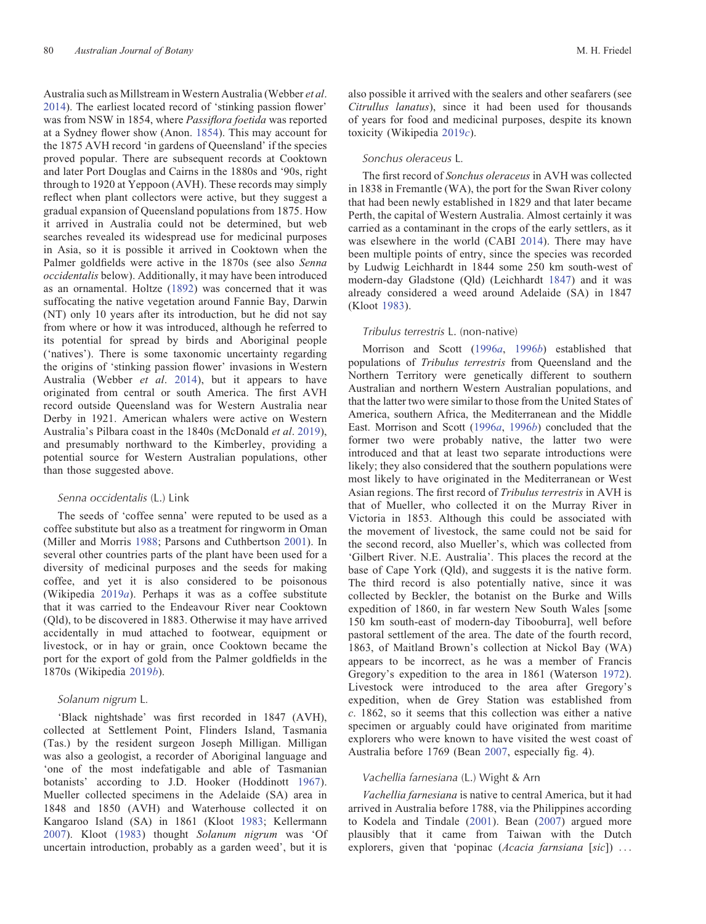Australia such as Millstream in Western Australia (Webber et al. [2014\)](#page-21-0). The earliest located record of 'stinking passion flower' was from NSW in 1854, where Passiflora foetida was reported at a Sydney flower show (Anon. [1854](#page-17-0)). This may account for the 1875 AVH record 'in gardens of Queensland' if the species proved popular. There are subsequent records at Cooktown and later Port Douglas and Cairns in the 1880s and '90s, right through to 1920 at Yeppoon (AVH). These records may simply reflect when plant collectors were active, but they suggest a gradual expansion of Queensland populations from 1875. How it arrived in Australia could not be determined, but web searches revealed its widespread use for medicinal purposes in Asia, so it is possible it arrived in Cooktown when the Palmer goldfields were active in the 1870s (see also Senna occidentalis below). Additionally, it may have been introduced as an ornamental. Holtze [\(1892\)](#page-19-0) was concerned that it was suffocating the native vegetation around Fannie Bay, Darwin (NT) only 10 years after its introduction, but he did not say from where or how it was introduced, although he referred to its potential for spread by birds and Aboriginal people ('natives'). There is some taxonomic uncertainty regarding the origins of 'stinking passion flower' invasions in Western Australia (Webber et al. [2014\)](#page-21-0), but it appears to have originated from central or south America. The first AVH record outside Queensland was for Western Australia near Derby in 1921. American whalers were active on Western Australia's Pilbara coast in the 1840s (McDonald et al. [2019](#page-20-0)), and presumably northward to the Kimberley, providing a potential source for Western Australian populations, other than those suggested above.

#### Senna occidentalis (L.) Link

The seeds of 'coffee senna' were reputed to be used as a coffee substitute but also as a treatment for ringworm in Oman (Miller and Morris [1988](#page-20-0); Parsons and Cuthbertson [2001\)](#page-20-0). In several other countries parts of the plant have been used for a diversity of medicinal purposes and the seeds for making coffee, and yet it is also considered to be poisonous (Wikipedia [2019](#page-21-0)a). Perhaps it was as a coffee substitute that it was carried to the Endeavour River near Cooktown (Qld), to be discovered in 1883. Otherwise it may have arrived accidentally in mud attached to footwear, equipment or livestock, or in hay or grain, once Cooktown became the port for the export of gold from the Palmer goldfields in the 1870s (Wikipedia [2019](#page-21-0)b).

### Solanum nigrum L.

'Black nightshade' was first recorded in 1847 (AVH), collected at Settlement Point, Flinders Island, Tasmania (Tas.) by the resident surgeon Joseph Milligan. Milligan was also a geologist, a recorder of Aboriginal language and 'one of the most indefatigable and able of Tasmanian botanists' according to J.D. Hooker (Hoddinott [1967](#page-19-0)). Mueller collected specimens in the Adelaide (SA) area in 1848 and 1850 (AVH) and Waterhouse collected it on Kangaroo Island (SA) in 1861 (Kloot [1983](#page-19-0); Kellermann [2007\)](#page-19-0). Kloot [\(1983\)](#page-19-0) thought Solanum nigrum was 'Of uncertain introduction, probably as a garden weed', but it is

also possible it arrived with the sealers and other seafarers (see Citrullus lanatus), since it had been used for thousands of years for food and medicinal purposes, despite its known toxicity (Wikipedia [2019](#page-21-0)c).

### Sonchus oleraceus L.

The first record of Sonchus oleraceus in AVH was collected in 1838 in Fremantle (WA), the port for the Swan River colony that had been newly established in 1829 and that later became Perth, the capital of Western Australia. Almost certainly it was carried as a contaminant in the crops of the early settlers, as it was elsewhere in the world (CABI [2014](#page-18-0)). There may have been multiple points of entry, since the species was recorded by Ludwig Leichhardt in 1844 some 250 km south-west of modern-day Gladstone (Qld) (Leichhardt [1847](#page-19-0)) and it was already considered a weed around Adelaide (SA) in 1847 (Kloot [1983](#page-19-0)).

#### Tribulus terrestris L. (non-native)

Morrison and Scott ([1996](#page-20-0)a, [1996](#page-20-0)b) established that populations of Tribulus terrestris from Queensland and the Northern Territory were genetically different to southern Australian and northern Western Australian populations, and that the latter two were similar to those from the United States of America, southern Africa, the Mediterranean and the Middle East. Morrison and Scott ([1996](#page-20-0)a, [1996](#page-20-0)b) concluded that the former two were probably native, the latter two were introduced and that at least two separate introductions were likely; they also considered that the southern populations were most likely to have originated in the Mediterranean or West Asian regions. The first record of Tribulus terrestris in AVH is that of Mueller, who collected it on the Murray River in Victoria in 1853. Although this could be associated with the movement of livestock, the same could not be said for the second record, also Mueller's, which was collected from 'Gilbert River. N.E. Australia'. This places the record at the base of Cape York (Qld), and suggests it is the native form. The third record is also potentially native, since it was collected by Beckler, the botanist on the Burke and Wills expedition of 1860, in far western New South Wales [some 150 km south-east of modern-day Tibooburra], well before pastoral settlement of the area. The date of the fourth record, 1863, of Maitland Brown's collection at Nickol Bay (WA) appears to be incorrect, as he was a member of Francis Gregory's expedition to the area in 1861 (Waterson [1972](#page-21-0)). Livestock were introduced to the area after Gregory's expedition, when de Grey Station was established from c. 1862, so it seems that this collection was either a native specimen or arguably could have originated from maritime explorers who were known to have visited the west coast of Australia before 1769 (Bean [2007](#page-18-0), especially fig. 4).

### Vachellia farnesiana (L.) Wight & Arn

Vachellia farnesiana is native to central America, but it had arrived in Australia before 1788, via the Philippines according to Kodela and Tindale [\(2001](#page-19-0)). Bean [\(2007](#page-18-0)) argued more plausibly that it came from Taiwan with the Dutch explorers, given that 'popinac (Acacia farnsiana [sic]) ...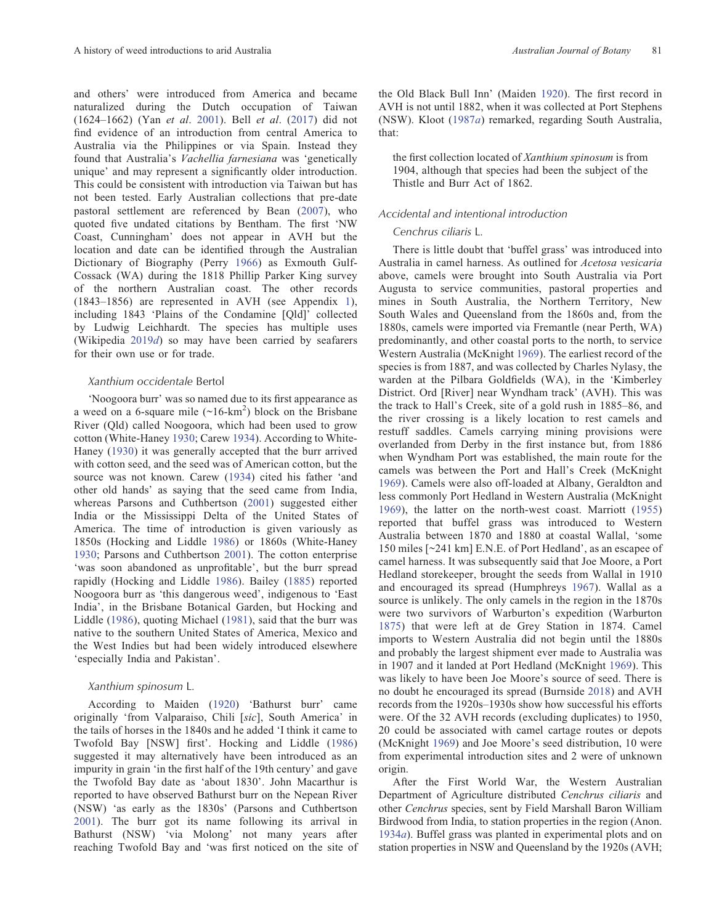and others' were introduced from America and became naturalized during the Dutch occupation of Taiwan (1624–1662) (Yan et al. [2001](#page-21-0)). Bell et al. [\(2017\)](#page-18-0) did not find evidence of an introduction from central America to Australia via the Philippines or via Spain. Instead they found that Australia's Vachellia farnesiana was 'genetically unique' and may represent a significantly older introduction. This could be consistent with introduction via Taiwan but has not been tested. Early Australian collections that pre-date pastoral settlement are referenced by Bean [\(2007](#page-18-0)), who quoted five undated citations by Bentham. The first 'NW Coast, Cunningham' does not appear in AVH but the location and date can be identified through the Australian Dictionary of Biography (Perry [1966\)](#page-20-0) as Exmouth Gulf-Cossack (WA) during the 1818 Phillip Parker King survey of the northern Australian coast. The other records (1843–1856) are represented in AVH (see [Appendix](#page-22-0) 1), including 1843 'Plains of the Condamine [Qld]' collected by Ludwig Leichhardt. The species has multiple uses (Wikipedia [2019](#page-21-0)d) so may have been carried by seafarers for their own use or for trade.

### Xanthium occidentale Bertol

'Noogoora burr' was so named due to its first appearance as a weed on a 6-square mile  $(\sim 16$ -km<sup>2</sup>) block on the Brisbane River (Qld) called Noogoora, which had been used to grow cotton (White-Haney [1930](#page-21-0); Carew [1934](#page-18-0)). According to White-Haney ([1930](#page-21-0)) it was generally accepted that the burr arrived with cotton seed, and the seed was of American cotton, but the source was not known. Carew ([1934\)](#page-18-0) cited his father 'and other old hands' as saying that the seed came from India, whereas Parsons and Cuthbertson ([2001\)](#page-20-0) suggested either India or the Mississippi Delta of the United States of America. The time of introduction is given variously as 1850s (Hocking and Liddle [1986](#page-19-0)) or 1860s (White-Haney [1930;](#page-21-0) Parsons and Cuthbertson [2001](#page-20-0)). The cotton enterprise 'was soon abandoned as unprofitable', but the burr spread rapidly (Hocking and Liddle [1986\)](#page-19-0). Bailey ([1885](#page-17-0)) reported Noogoora burr as 'this dangerous weed', indigenous to 'East India', in the Brisbane Botanical Garden, but Hocking and Liddle [\(1986\)](#page-19-0), quoting Michael [\(1981\)](#page-20-0), said that the burr was native to the southern United States of America, Mexico and the West Indies but had been widely introduced elsewhere 'especially India and Pakistan'.

### Xanthium spinosum L.

According to Maiden [\(1920\)](#page-20-0) 'Bathurst burr' came originally 'from Valparaiso, Chili [sic], South America' in the tails of horses in the 1840s and he added 'I think it came to Twofold Bay [NSW] first'. Hocking and Liddle [\(1986](#page-19-0)) suggested it may alternatively have been introduced as an impurity in grain 'in the first half of the 19th century' and gave the Twofold Bay date as 'about 1830'. John Macarthur is reported to have observed Bathurst burr on the Nepean River (NSW) 'as early as the 1830s' (Parsons and Cuthbertson [2001\)](#page-20-0). The burr got its name following its arrival in Bathurst (NSW) 'via Molong' not many years after reaching Twofold Bay and 'was first noticed on the site of the Old Black Bull Inn' (Maiden [1920](#page-20-0)). The first record in AVH is not until 1882, when it was collected at Port Stephens (NSW). Kloot ([1987](#page-19-0)a) remarked, regarding South Australia, that:

the first collection located of Xanthium spinosum is from 1904, although that species had been the subject of the Thistle and Burr Act of 1862.

### Accidental and intentional introduction

### Cenchrus ciliaris L.

There is little doubt that 'buffel grass' was introduced into Australia in camel harness. As outlined for Acetosa vesicaria above, camels were brought into South Australia via Port Augusta to service communities, pastoral properties and mines in South Australia, the Northern Territory, New South Wales and Queensland from the 1860s and, from the 1880s, camels were imported via Fremantle (near Perth, WA) predominantly, and other coastal ports to the north, to service Western Australia (McKnight [1969\)](#page-20-0). The earliest record of the species is from 1887, and was collected by Charles Nylasy, the warden at the Pilbara Goldfields (WA), in the 'Kimberley District. Ord [River] near Wyndham track' (AVH). This was the track to Hall's Creek, site of a gold rush in 1885–86, and the river crossing is a likely location to rest camels and restuff saddles. Camels carrying mining provisions were overlanded from Derby in the first instance but, from 1886 when Wyndham Port was established, the main route for the camels was between the Port and Hall's Creek (McKnight [1969\)](#page-20-0). Camels were also off-loaded at Albany, Geraldton and less commonly Port Hedland in Western Australia (McKnight [1969\)](#page-20-0), the latter on the north-west coast. Marriott [\(1955](#page-20-0)) reported that buffel grass was introduced to Western Australia between 1870 and 1880 at coastal Wallal, 'some 150 miles [~241 km] E.N.E. of Port Hedland', as an escapee of camel harness. It was subsequently said that Joe Moore, a Port Hedland storekeeper, brought the seeds from Wallal in 1910 and encouraged its spread (Humphreys [1967](#page-19-0)). Wallal as a source is unlikely. The only camels in the region in the 1870s were two survivors of Warburton's expedition (Warburton [1875\)](#page-21-0) that were left at de Grey Station in 1874. Camel imports to Western Australia did not begin until the 1880s and probably the largest shipment ever made to Australia was in 1907 and it landed at Port Hedland (McKnight [1969](#page-20-0)). This was likely to have been Joe Moore's source of seed. There is no doubt he encouraged its spread (Burnside [2018](#page-18-0)) and AVH records from the 1920s–1930s show how successful his efforts were. Of the 32 AVH records (excluding duplicates) to 1950, 20 could be associated with camel cartage routes or depots (McKnight [1969](#page-20-0)) and Joe Moore's seed distribution, 10 were from experimental introduction sites and 2 were of unknown origin.

After the First World War, the Western Australian Department of Agriculture distributed Cenchrus ciliaris and other Cenchrus species, sent by Field Marshall Baron William Birdwood from India, to station properties in the region (Anon. [1934](#page-17-0)a). Buffel grass was planted in experimental plots and on station properties in NSW and Queensland by the 1920s (AVH;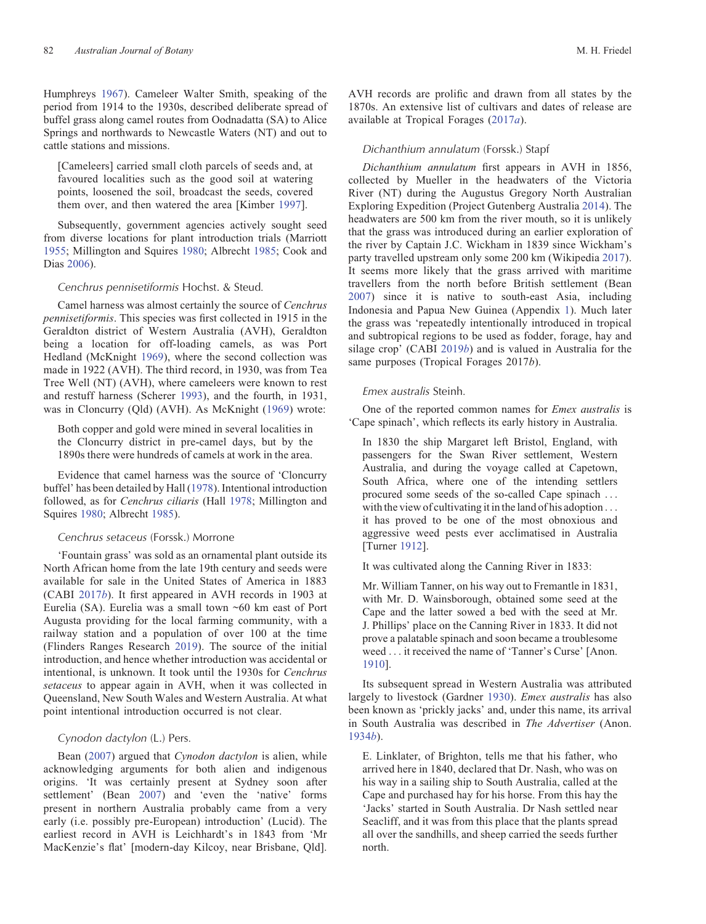Humphreys [1967](#page-19-0)). Cameleer Walter Smith, speaking of the period from 1914 to the 1930s, described deliberate spread of buffel grass along camel routes from Oodnadatta (SA) to Alice Springs and northwards to Newcastle Waters (NT) and out to cattle stations and missions.

[Cameleers] carried small cloth parcels of seeds and, at favoured localities such as the good soil at watering points, loosened the soil, broadcast the seeds, covered them over, and then watered the area [Kimber [1997](#page-19-0)].

Subsequently, government agencies actively sought seed from diverse locations for plant introduction trials (Marriott [1955;](#page-20-0) Millington and Squires [1980](#page-20-0); Albrecht [1985;](#page-17-0) Cook and Dias [2006\)](#page-18-0).

### Cenchrus pennisetiformis Hochst. & Steud.

Camel harness was almost certainly the source of Cenchrus pennisetiformis. This species was first collected in 1915 in the Geraldton district of Western Australia (AVH), Geraldton being a location for off-loading camels, as was Port Hedland (McKnight [1969](#page-20-0)), where the second collection was made in 1922 (AVH). The third record, in 1930, was from Tea Tree Well (NT) (AVH), where cameleers were known to rest and restuff harness (Scherer [1993](#page-20-0)), and the fourth, in 1931, was in Cloncurry (Qld) (AVH). As McKnight ([1969](#page-20-0)) wrote:

Both copper and gold were mined in several localities in the Cloncurry district in pre-camel days, but by the 1890s there were hundreds of camels at work in the area.

Evidence that camel harness was the source of 'Cloncurry buffel' has been detailed by Hall [\(1978](#page-19-0)). Intentional introduction followed, as for Cenchrus ciliaris (Hall [1978;](#page-19-0) Millington and Squires [1980;](#page-20-0) Albrecht [1985\)](#page-17-0).

### Cenchrus setaceus (Forssk.) Morrone

'Fountain grass' was sold as an ornamental plant outside its North African home from the late 19th century and seeds were available for sale in the United States of America in 1883 (CABI [2017](#page-18-0)b). It first appeared in AVH records in 1903 at Eurelia (SA). Eurelia was a small town ~60 km east of Port Augusta providing for the local farming community, with a railway station and a population of over 100 at the time (Flinders Ranges Research [2019\)](#page-18-0). The source of the initial introduction, and hence whether introduction was accidental or intentional, is unknown. It took until the 1930s for Cenchrus setaceus to appear again in AVH, when it was collected in Queensland, New South Wales and Western Australia. At what point intentional introduction occurred is not clear.

### Cynodon dactylon (L.) Pers.

Bean ([2007\)](#page-18-0) argued that Cynodon dactylon is alien, while acknowledging arguments for both alien and indigenous origins. 'It was certainly present at Sydney soon after settlement' (Bean [2007](#page-18-0)) and 'even the 'native' forms present in northern Australia probably came from a very early (i.e. possibly pre-European) introduction' (Lucid). The earliest record in AVH is Leichhardt's in 1843 from 'Mr MacKenzie's flat' [modern-day Kilcoy, near Brisbane, Qld].

AVH records are prolific and drawn from all states by the 1870s. An extensive list of cultivars and dates of release are available at Tropical Forages ([2017](#page-18-0)a).

### Dichanthium annulatum (Forssk.) Stapf

Dichanthium annulatum first appears in AVH in 1856, collected by Mueller in the headwaters of the Victoria River (NT) during the Augustus Gregory North Australian Exploring Expedition (Project Gutenberg Australia [2014](#page-20-0)). The headwaters are 500 km from the river mouth, so it is unlikely that the grass was introduced during an earlier exploration of the river by Captain J.C. Wickham in 1839 since Wickham's party travelled upstream only some 200 km (Wikipedia [2017](#page-21-0)). It seems more likely that the grass arrived with maritime travellers from the north before British settlement (Bean [2007\)](#page-18-0) since it is native to south-east Asia, including Indonesia and Papua New Guinea ([Appendix](#page-22-0) 1). Much later the grass was 'repeatedly intentionally introduced in tropical and subtropical regions to be used as fodder, forage, hay and silage crop' (CABI [2019](#page-18-0)b) and is valued in Australia for the same purposes (Tropical Forages 2017b).

### Emex australis Steinh.

One of the reported common names for Emex australis is 'Cape spinach', which reflects its early history in Australia.

In 1830 the ship Margaret left Bristol, England, with passengers for the Swan River settlement, Western Australia, and during the voyage called at Capetown, South Africa, where one of the intending settlers procured some seeds of the so-called Cape spinach ... with the view of cultivating it in the land of his adoption ... it has proved to be one of the most obnoxious and aggressive weed pests ever acclimatised in Australia [Turner [1912](#page-21-0)].

It was cultivated along the Canning River in 1833:

Mr. William Tanner, on his way out to Fremantle in 1831, with Mr. D. Wainsborough, obtained some seed at the Cape and the latter sowed a bed with the seed at Mr. J. Phillips' place on the Canning River in 1833. It did not prove a palatable spinach and soon became a troublesome weed ... it received the name of 'Tanner's Curse' [Anon. [1910\]](#page-17-0).

Its subsequent spread in Western Australia was attributed largely to livestock (Gardner [1930](#page-19-0)). Emex australis has also been known as 'prickly jacks' and, under this name, its arrival in South Australia was described in The Advertiser (Anon. [1934](#page-17-0)b).

E. Linklater, of Brighton, tells me that his father, who arrived here in 1840, declared that Dr. Nash, who was on his way in a sailing ship to South Australia, called at the Cape and purchased hay for his horse. From this hay the 'Jacks' started in South Australia. Dr Nash settled near Seacliff, and it was from this place that the plants spread all over the sandhills, and sheep carried the seeds further north.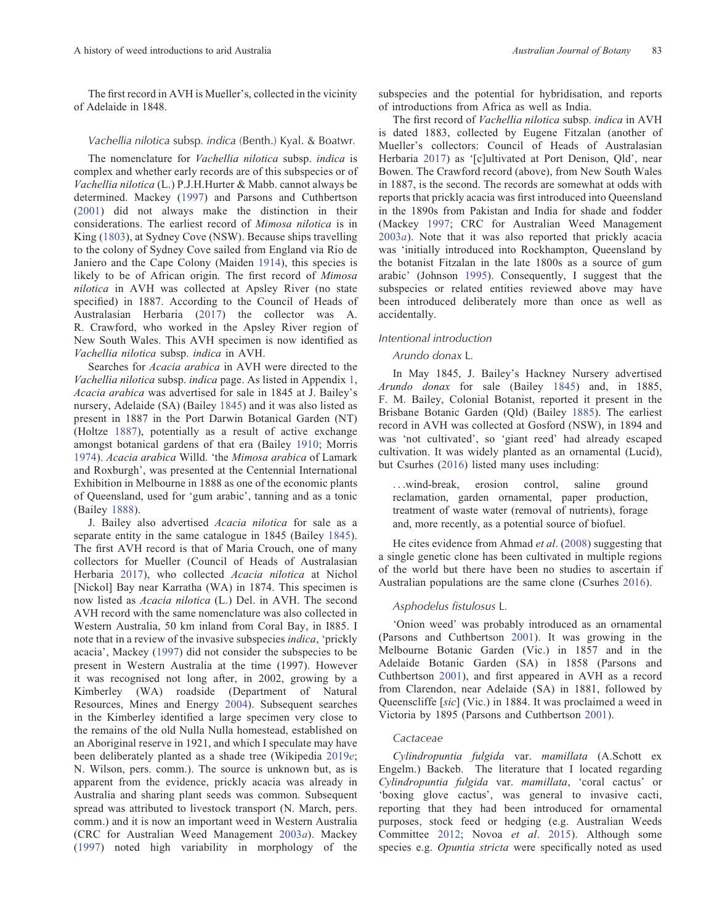The first record in AVH is Mueller's, collected in the vicinity of Adelaide in 1848.

### Vachellia nilotica subsp. indica (Benth.) Kyal. & Boatwr.

The nomenclature for Vachellia nilotica subsp. indica is complex and whether early records are of this subspecies or of Vachellia nilotica (L.) P.J.H.Hurter & Mabb. cannot always be determined. Mackey ([1997](#page-19-0)) and Parsons and Cuthbertson ([2001\)](#page-20-0) did not always make the distinction in their considerations. The earliest record of Mimosa nilotica is in King ([1803](#page-19-0)), at Sydney Cove (NSW). Because ships travelling to the colony of Sydney Cove sailed from England via Rio de Janiero and the Cape Colony (Maiden [1914\)](#page-20-0), this species is likely to be of African origin. The first record of Mimosa nilotica in AVH was collected at Apsley River (no state specified) in 1887. According to the Council of Heads of Australasian Herbaria ([2017](#page-18-0)) the collector was A. R. Crawford, who worked in the Apsley River region of New South Wales. This AVH specimen is now identified as Vachellia nilotica subsp. indica in AVH.

Searches for Acacia arabica in AVH were directed to the Vachellia nilotica subsp. indica page. As listed in [Appendix](#page-22-0) 1, Acacia arabica was advertised for sale in 1845 at J. Bailey's nursery, Adelaide (SA) (Bailey [1845\)](#page-18-0) and it was also listed as present in 1887 in the Port Darwin Botanical Garden (NT) (Holtze [1887\)](#page-19-0), potentially as a result of active exchange amongst botanical gardens of that era (Bailey [1910;](#page-17-0) Morris [1974\)](#page-20-0). Acacia arabica Willd. 'the Mimosa arabica of Lamark and Roxburgh', was presented at the Centennial International Exhibition in Melbourne in 1888 as one of the economic plants of Queensland, used for 'gum arabic', tanning and as a tonic (Bailey [1888](#page-17-0)).

J. Bailey also advertised Acacia nilotica for sale as a separate entity in the same catalogue in 1845 (Bailey [1845\)](#page-18-0). The first AVH record is that of Maria Crouch, one of many collectors for Mueller (Council of Heads of Australasian Herbaria [2017\)](#page-18-0), who collected Acacia nilotica at Nichol [Nickol] Bay near Karratha (WA) in 1874. This specimen is now listed as Acacia nilotica (L.) Del. in AVH. The second AVH record with the same nomenclature was also collected in Western Australia, 50 km inland from Coral Bay, in I885. I note that in a review of the invasive subspecies indica, 'prickly acacia', Mackey ([1997](#page-19-0)) did not consider the subspecies to be present in Western Australia at the time (1997). However it was recognised not long after, in 2002, growing by a Kimberley (WA) roadside (Department of Natural Resources, Mines and Energy [2004](#page-18-0)). Subsequent searches in the Kimberley identified a large specimen very close to the remains of the old Nulla Nulla homestead, established on an Aboriginal reserve in 1921, and which I speculate may have been deliberately planted as a shade tree (Wikipedia [2019](#page-21-0)e; N. Wilson, pers. comm.). The source is unknown but, as is apparent from the evidence, prickly acacia was already in Australia and sharing plant seeds was common. Subsequent spread was attributed to livestock transport (N. March, pers. comm.) and it is now an important weed in Western Australia (CRC for Australian Weed Management [2003](#page-18-0)a). Mackey ([1997\)](#page-19-0) noted high variability in morphology of the

subspecies and the potential for hybridisation, and reports of introductions from Africa as well as India.

The first record of Vachellia nilotica subsp. indica in AVH is dated 1883, collected by Eugene Fitzalan (another of Mueller's collectors: Council of Heads of Australasian Herbaria [2017](#page-18-0)) as '[c]ultivated at Port Denison, Qld', near Bowen. The Crawford record (above), from New South Wales in 1887, is the second. The records are somewhat at odds with reports that prickly acacia was first introduced into Queensland in the 1890s from Pakistan and India for shade and fodder (Mackey [1997](#page-19-0); CRC for Australian Weed Management  $2003a$  $2003a$ ). Note that it was also reported that prickly acacia was 'initially introduced into Rockhampton, Queensland by the botanist Fitzalan in the late 1800s as a source of gum arabic' (Johnson [1995](#page-19-0)). Consequently, I suggest that the subspecies or related entities reviewed above may have been introduced deliberately more than once as well as accidentally.

#### Intentional introduction

### Arundo donax L.

In May 1845, J. Bailey's Hackney Nursery advertised Arundo donax for sale (Bailey [1845\)](#page-18-0) and, in 1885, F. M. Bailey, Colonial Botanist, reported it present in the Brisbane Botanic Garden (Qld) (Bailey [1885\)](#page-17-0). The earliest record in AVH was collected at Gosford (NSW), in 1894 and was 'not cultivated', so 'giant reed' had already escaped cultivation. It was widely planted as an ornamental (Lucid), but Csurhes [\(2016\)](#page-18-0) listed many uses including:

...wind-break, erosion control, saline ground reclamation, garden ornamental, paper production, treatment of waste water (removal of nutrients), forage and, more recently, as a potential source of biofuel.

He cites evidence from Ahmad et al. [\(2008](#page-17-0)) suggesting that a single genetic clone has been cultivated in multiple regions of the world but there have been no studies to ascertain if Australian populations are the same clone (Csurhes [2016\)](#page-18-0).

### Asphodelus fistulosus L.

'Onion weed' was probably introduced as an ornamental (Parsons and Cuthbertson [2001\)](#page-20-0). It was growing in the Melbourne Botanic Garden (Vic.) in 1857 and in the Adelaide Botanic Garden (SA) in 1858 (Parsons and Cuthbertson [2001\)](#page-20-0), and first appeared in AVH as a record from Clarendon, near Adelaide (SA) in 1881, followed by Queenscliffe [sic] (Vic.) in 1884. It was proclaimed a weed in Victoria by 1895 (Parsons and Cuthbertson [2001\)](#page-20-0).

### Cactaceae

Cylindropuntia fulgida var. mamillata (A.Schott ex Engelm.) Backeb. The literature that I located regarding Cylindropuntia fulgida var. mamillata, 'coral cactus' or 'boxing glove cactus', was general to invasive cacti, reporting that they had been introduced for ornamental purposes, stock feed or hedging (e.g. Australian Weeds Committee [2012](#page-17-0); Novoa et al. [2015\)](#page-20-0). Although some species e.g. Opuntia stricta were specifically noted as used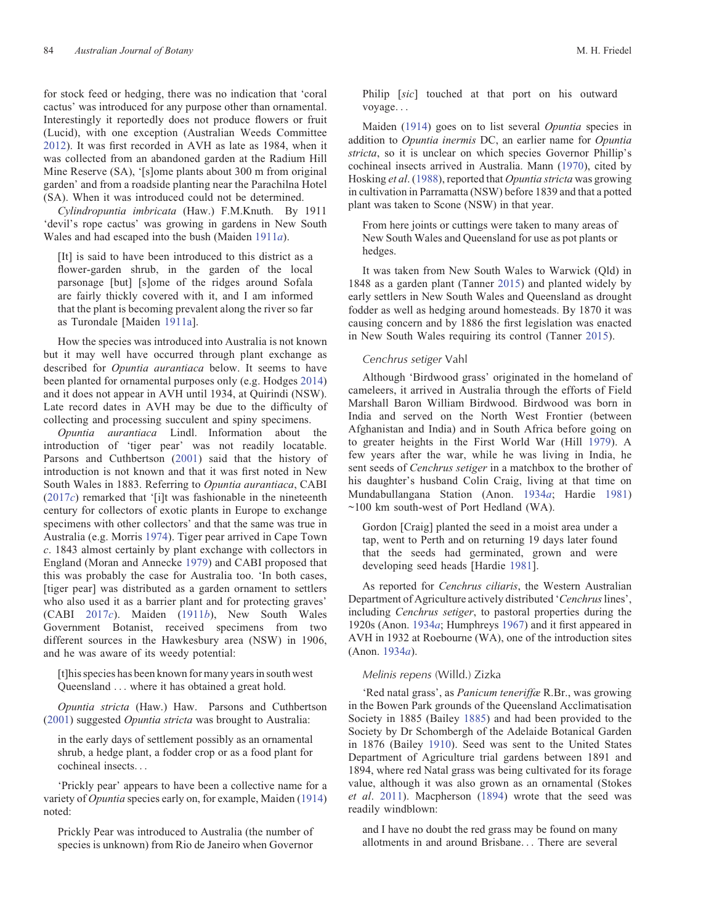for stock feed or hedging, there was no indication that 'coral cactus' was introduced for any purpose other than ornamental. Interestingly it reportedly does not produce flowers or fruit (Lucid), with one exception (Australian Weeds Committee [2012\)](#page-17-0). It was first recorded in AVH as late as 1984, when it was collected from an abandoned garden at the Radium Hill Mine Reserve (SA), '[s]ome plants about 300 m from original garden' and from a roadside planting near the Parachilna Hotel (SA). When it was introduced could not be determined.

Cylindropuntia imbricata (Haw.) F.M.Knuth. By 1911 'devil's rope cactus' was growing in gardens in New South Wales and had escaped into the bush (Maiden [1911](#page-19-0)a).

[It] is said to have been introduced to this district as a flower-garden shrub, in the garden of the local parsonage [but] [s]ome of the ridges around Sofala are fairly thickly covered with it, and I am informed that the plant is becoming prevalent along the river so far as Turondale [Maiden [1911a](#page-19-0)].

How the species was introduced into Australia is not known but it may well have occurred through plant exchange as described for Opuntia aurantiaca below. It seems to have been planted for ornamental purposes only (e.g. Hodges [2014\)](#page-19-0) and it does not appear in AVH until 1934, at Quirindi (NSW). Late record dates in AVH may be due to the difficulty of collecting and processing succulent and spiny specimens.

Opuntia aurantiaca Lindl. Information about the introduction of 'tiger pear' was not readily locatable. Parsons and Cuthbertson ([2001](#page-20-0)) said that the history of introduction is not known and that it was first noted in New South Wales in 1883. Referring to Opuntia aurantiaca, CABI  $(2017c)$  $(2017c)$  $(2017c)$  remarked that '[i]t was fashionable in the nineteenth century for collectors of exotic plants in Europe to exchange specimens with other collectors' and that the same was true in Australia (e.g. Morris [1974\)](#page-20-0). Tiger pear arrived in Cape Town c. 1843 almost certainly by plant exchange with collectors in England (Moran and Annecke [1979](#page-20-0)) and CABI proposed that this was probably the case for Australia too. 'In both cases, [tiger pear] was distributed as a garden ornament to settlers who also used it as a barrier plant and for protecting graves' (CABI [2017](#page-18-0)c). Maiden [\(1911](#page-19-0)b), New South Wales Government Botanist, received specimens from two different sources in the Hawkesbury area (NSW) in 1906, and he was aware of its weedy potential:

[t]his species has been known for many years in south west Queensland ... where it has obtained a great hold.

Opuntia stricta (Haw.) Haw. Parsons and Cuthbertson ([2001\)](#page-20-0) suggested Opuntia stricta was brought to Australia:

in the early days of settlement possibly as an ornamental shrub, a hedge plant, a fodder crop or as a food plant for cochineal insects...

'Prickly pear' appears to have been a collective name for a variety of Opuntia species early on, for example, Maiden ([1914\)](#page-20-0) noted:

Prickly Pear was introduced to Australia (the number of species is unknown) from Rio de Janeiro when Governor

Philip [sic] touched at that port on his outward voyage...

Maiden ([1914\)](#page-20-0) goes on to list several Opuntia species in addition to Opuntia inermis DC, an earlier name for Opuntia stricta, so it is unclear on which species Governor Phillip's cochineal insects arrived in Australia. Mann [\(1970](#page-20-0)), cited by Hosking et al. ([1988\)](#page-19-0), reported that Opuntia stricta was growing in cultivation in Parramatta (NSW) before 1839 and that a potted plant was taken to Scone (NSW) in that year.

From here joints or cuttings were taken to many areas of New South Wales and Queensland for use as pot plants or hedges.

It was taken from New South Wales to Warwick (Qld) in 1848 as a garden plant (Tanner [2015](#page-21-0)) and planted widely by early settlers in New South Wales and Queensland as drought fodder as well as hedging around homesteads. By 1870 it was causing concern and by 1886 the first legislation was enacted in New South Wales requiring its control (Tanner [2015](#page-21-0)).

#### Cenchrus setiger Vahl

Although 'Birdwood grass' originated in the homeland of cameleers, it arrived in Australia through the efforts of Field Marshall Baron William Birdwood. Birdwood was born in India and served on the North West Frontier (between Afghanistan and India) and in South Africa before going on to greater heights in the First World War (Hill [1979](#page-19-0)). A few years after the war, while he was living in India, he sent seeds of Cenchrus setiger in a matchbox to the brother of his daughter's husband Colin Craig, living at that time on Mundabullangana Station (Anon. [1934](#page-17-0)a; Hardie [1981\)](#page-19-0) ~100 km south-west of Port Hedland (WA).

Gordon [Craig] planted the seed in a moist area under a tap, went to Perth and on returning 19 days later found that the seeds had germinated, grown and were developing seed heads [Hardie [1981](#page-19-0)].

As reported for Cenchrus ciliaris, the Western Australian Department of Agriculture actively distributed 'Cenchrus lines', including Cenchrus setiger, to pastoral properties during the 1920s (Anon. [1934](#page-17-0)a; Humphreys [1967](#page-19-0)) and it first appeared in AVH in 1932 at Roebourne (WA), one of the introduction sites (Anon. [1934](#page-17-0)a).

### Melinis repens (Willd.) Zizka

'Red natal grass', as Panicum teneriffæ R.Br., was growing in the Bowen Park grounds of the Queensland Acclimatisation Society in 1885 (Bailey [1885](#page-17-0)) and had been provided to the Society by Dr Schombergh of the Adelaide Botanical Garden in 1876 (Bailey [1910\)](#page-17-0). Seed was sent to the United States Department of Agriculture trial gardens between 1891 and 1894, where red Natal grass was being cultivated for its forage value, although it was also grown as an ornamental (Stokes et al. [2011\)](#page-21-0). Macpherson ([1894](#page-19-0)) wrote that the seed was readily windblown:

and I have no doubt the red grass may be found on many allotments in and around Brisbane... There are several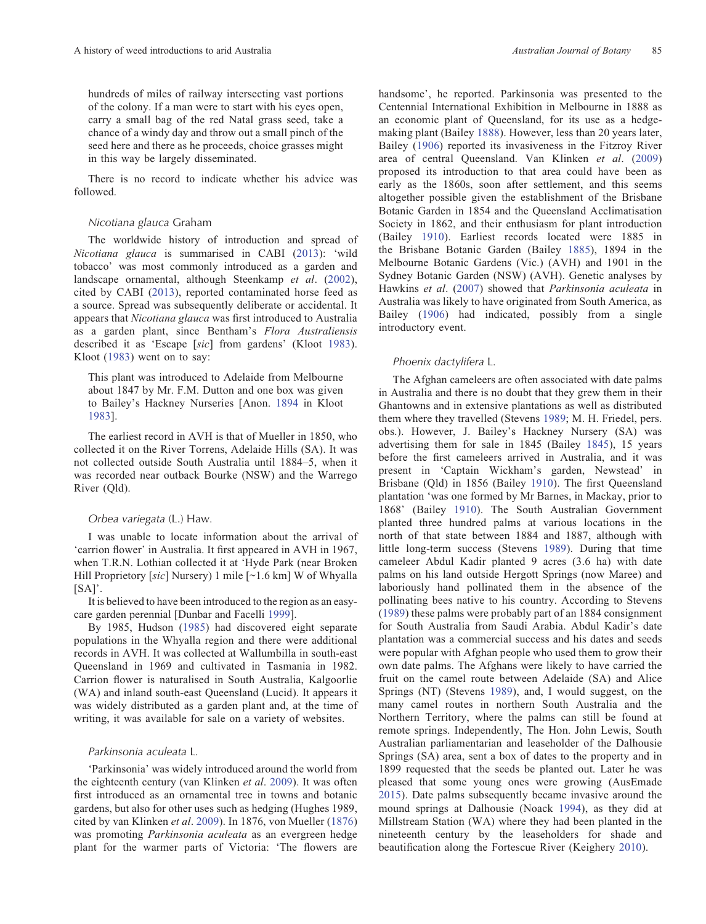hundreds of miles of railway intersecting vast portions of the colony. If a man were to start with his eyes open, carry a small bag of the red Natal grass seed, take a chance of a windy day and throw out a small pinch of the seed here and there as he proceeds, choice grasses might in this way be largely disseminated.

There is no record to indicate whether his advice was followed.

### Nicotiana glauca Graham

The worldwide history of introduction and spread of Nicotiana glauca is summarised in CABI [\(2013](#page-18-0)): 'wild tobacco' was most commonly introduced as a garden and landscape ornamental, although Steenkamp et al. ([2002\)](#page-21-0), cited by CABI [\(2013](#page-18-0)), reported contaminated horse feed as a source. Spread was subsequently deliberate or accidental. It appears that Nicotiana glauca was first introduced to Australia as a garden plant, since Bentham's Flora Australiensis described it as 'Escape [sic] from gardens' (Kloot [1983\)](#page-19-0). Kloot ([1983\)](#page-19-0) went on to say:

This plant was introduced to Adelaide from Melbourne about 1847 by Mr. F.M. Dutton and one box was given to Bailey's Hackney Nurseries [Anon. [1894](#page-17-0) in Kloot [1983](#page-19-0)].

The earliest record in AVH is that of Mueller in 1850, who collected it on the River Torrens, Adelaide Hills (SA). It was not collected outside South Australia until 1884–5, when it was recorded near outback Bourke (NSW) and the Warrego River (Qld).

### Orbea variegata (L.) Haw.

I was unable to locate information about the arrival of 'carrion flower' in Australia. It first appeared in AVH in 1967, when T.R.N. Lothian collected it at 'Hyde Park (near Broken Hill Proprietory [sic] Nursery) 1 mile [~1.6 km] W of Whyalla  $[SA]'$ .

It is believed to have been introduced to the region as an easycare garden perennial [Dunbar and Facelli [1999\]](#page-18-0).

By 1985, Hudson [\(1985](#page-19-0)) had discovered eight separate populations in the Whyalla region and there were additional records in AVH. It was collected at Wallumbilla in south-east Queensland in 1969 and cultivated in Tasmania in 1982. Carrion flower is naturalised in South Australia, Kalgoorlie (WA) and inland south-east Queensland (Lucid). It appears it was widely distributed as a garden plant and, at the time of writing, it was available for sale on a variety of websites.

### Parkinsonia aculeata L.

'Parkinsonia' was widely introduced around the world from the eighteenth century (van Klinken et al. [2009\)](#page-21-0). It was often first introduced as an ornamental tree in towns and botanic gardens, but also for other uses such as hedging (Hughes 1989, cited by van Klinken et al. [2009\)](#page-21-0). In 1876, von Mueller [\(1876](#page-21-0)) was promoting Parkinsonia aculeata as an evergreen hedge plant for the warmer parts of Victoria: 'The flowers are

handsome', he reported. Parkinsonia was presented to the Centennial International Exhibition in Melbourne in 1888 as an economic plant of Queensland, for its use as a hedgemaking plant (Bailey [1888\)](#page-17-0). However, less than 20 years later, Bailey [\(1906\)](#page-17-0) reported its invasiveness in the Fitzroy River area of central Queensland. Van Klinken et al. [\(2009](#page-21-0)) proposed its introduction to that area could have been as early as the 1860s, soon after settlement, and this seems altogether possible given the establishment of the Brisbane Botanic Garden in 1854 and the Queensland Acclimatisation Society in 1862, and their enthusiasm for plant introduction (Bailey [1910\)](#page-17-0). Earliest records located were 1885 in the Brisbane Botanic Garden (Bailey [1885](#page-17-0)), 1894 in the Melbourne Botanic Gardens (Vic.) (AVH) and 1901 in the Sydney Botanic Garden (NSW) (AVH). Genetic analyses by Hawkins et al. [\(2007\)](#page-19-0) showed that Parkinsonia aculeata in Australia was likely to have originated from South America, as Bailey [\(1906](#page-17-0)) had indicated, possibly from a single introductory event.

### Phoenix dactylifera L.

The Afghan cameleers are often associated with date palms in Australia and there is no doubt that they grew them in their Ghantowns and in extensive plantations as well as distributed them where they travelled (Stevens [1989](#page-21-0); M. H. Friedel, pers. obs.). However, J. Bailey's Hackney Nursery (SA) was advertising them for sale in 1845 (Bailey [1845\)](#page-18-0), 15 years before the first cameleers arrived in Australia, and it was present in 'Captain Wickham's garden, Newstead' in Brisbane (Qld) in 1856 (Bailey [1910\)](#page-17-0). The first Queensland plantation 'was one formed by Mr Barnes, in Mackay, prior to 1868' (Bailey [1910](#page-17-0)). The South Australian Government planted three hundred palms at various locations in the north of that state between 1884 and 1887, although with little long-term success (Stevens [1989\)](#page-21-0). During that time cameleer Abdul Kadir planted 9 acres (3.6 ha) with date palms on his land outside Hergott Springs (now Maree) and laboriously hand pollinated them in the absence of the pollinating bees native to his country. According to Stevens ([1989\)](#page-21-0) these palms were probably part of an 1884 consignment for South Australia from Saudi Arabia. Abdul Kadir's date plantation was a commercial success and his dates and seeds were popular with Afghan people who used them to grow their own date palms. The Afghans were likely to have carried the fruit on the camel route between Adelaide (SA) and Alice Springs (NT) (Stevens [1989](#page-21-0)), and, I would suggest, on the many camel routes in northern South Australia and the Northern Territory, where the palms can still be found at remote springs. Independently, The Hon. John Lewis, South Australian parliamentarian and leaseholder of the Dalhousie Springs (SA) area, sent a box of dates to the property and in 1899 requested that the seeds be planted out. Later he was pleased that some young ones were growing (AusEmade [2015\)](#page-17-0). Date palms subsequently became invasive around the mound springs at Dalhousie (Noack [1994](#page-20-0)), as they did at Millstream Station (WA) where they had been planted in the nineteenth century by the leaseholders for shade and beautification along the Fortescue River (Keighery [2010](#page-19-0)).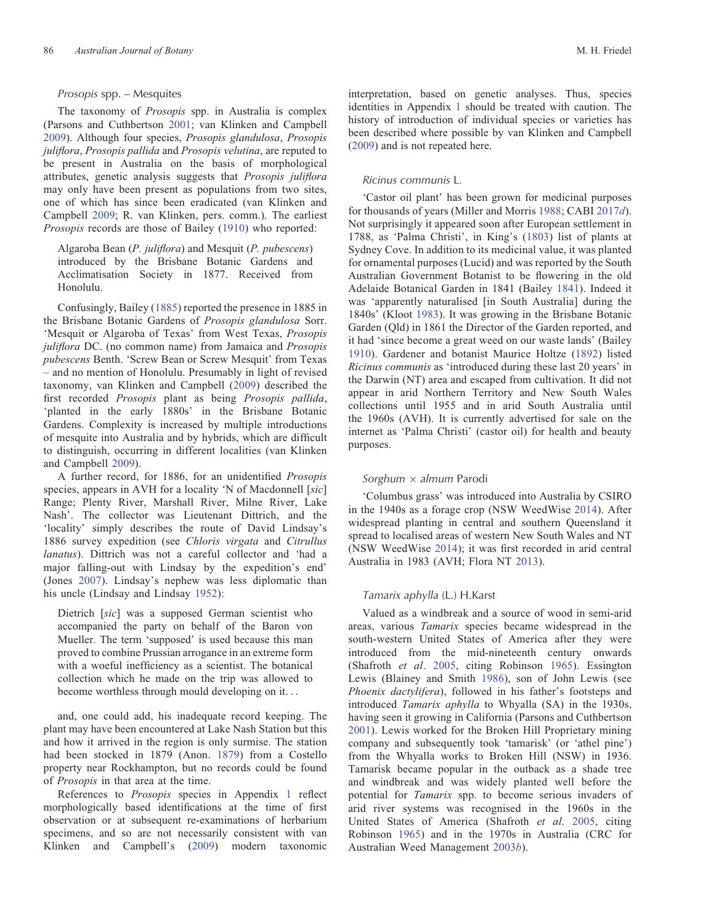### Prosopis spp. – Mesquites

The taxonomy of Prosopis spp. in Australia is complex (Parsons and Cuthbertson [2001](#page-20-0); van Klinken and Campbell [2009\)](#page-21-0). Although four species, Prosopis glandulosa, Prosopis juliflora, Prosopis pallida and Prosopis velutina, are reputed to be present in Australia on the basis of morphological attributes, genetic analysis suggests that Prosopis juliflora may only have been present as populations from two sites, one of which has since been eradicated (van Klinken and Campbell [2009](#page-21-0); R. van Klinken, pers. comm.). The earliest Prosopis records are those of Bailey [\(1910\)](#page-17-0) who reported:

Algaroba Bean (P. juliflora) and Mesquit (P. pubescens) introduced by the Brisbane Botanic Gardens and Acclimatisation Society in 1877. Received from Honolulu.

Confusingly, Bailey ([1885\)](#page-17-0) reported the presence in 1885 in the Brisbane Botanic Gardens of Prosopis glandulosa Sorr. 'Mesquit or Algaroba of Texas' from West Texas, Prosopis juliflora DC. (no common name) from Jamaica and Prosopis pubescens Benth. 'Screw Bean or Screw Mesquit' from Texas – and no mention of Honolulu. Presumably in light of revised taxonomy, van Klinken and Campbell ([2009](#page-21-0)) described the first recorded Prosopis plant as being Prosopis pallida, 'planted in the early 1880s' in the Brisbane Botanic Gardens. Complexity is increased by multiple introductions of mesquite into Australia and by hybrids, which are difficult to distinguish, occurring in different localities (van Klinken and Campbell [2009\)](#page-21-0).

A further record, for 1886, for an unidentified Prosopis species, appears in AVH for a locality 'N of Macdonnell [sic] Range; Plenty River, Marshall River, Milne River, Lake Nash'. The collector was Lieutenant Dittrich, and the 'locality' simply describes the route of David Lindsay's 1886 survey expedition (see Chloris virgata and Citrullus lanatus). Dittrich was not a careful collector and 'had a major falling-out with Lindsay by the expedition's end' (Jones [2007](#page-19-0)). Lindsay's nephew was less diplomatic than his uncle (Lindsay and Lindsay [1952](#page-19-0)):

Dietrich [sic] was a supposed German scientist who accompanied the party on behalf of the Baron von Mueller. The term 'supposed' is used because this man proved to combine Prussian arrogance in an extreme form with a woeful inefficiency as a scientist. The botanical collection which he made on the trip was allowed to become worthless through mould developing on it...

and, one could add, his inadequate record keeping. The plant may have been encountered at Lake Nash Station but this and how it arrived in the region is only surmise. The station had been stocked in 1879 (Anon. [1879](#page-17-0)) from a Costello property near Rockhampton, but no records could be found of Prosopis in that area at the time.

References to Prosopis species in [Appendix](#page-22-0) 1 reflect morphologically based identifications at the time of first observation or at subsequent re-examinations of herbarium specimens, and so are not necessarily consistent with van Klinken and Campbell's [\(2009\)](#page-21-0) modern taxonomic interpretation, based on genetic analyses. Thus, species identities in [Appendix](#page-22-0) 1 should be treated with caution. The history of introduction of individual species or varieties has been described where possible by van Klinken and Campbell ([2009\)](#page-21-0) and is not repeated here.

### Ricinus communis L.

'Castor oil plant' has been grown for medicinal purposes for thousands of years (Miller and Morris [1988](#page-20-0); CABI [2017](#page-18-0)d). Not surprisingly it appeared soon after European settlement in 1788, as 'Palma Christi', in King's [\(1803](#page-19-0)) list of plants at Sydney Cove. In addition to its medicinal value, it was planted for ornamental purposes (Lucid) and was reported by the South Australian Government Botanist to be flowering in the old Adelaide Botanical Garden in 1841 (Bailey [1841\)](#page-17-0). Indeed it was 'apparently naturalised [in South Australia] during the 1840s' (Kloot [1983](#page-19-0)). It was growing in the Brisbane Botanic Garden (Qld) in 1861 the Director of the Garden reported, and it had 'since become a great weed on our waste lands' (Bailey [1910\)](#page-17-0). Gardener and botanist Maurice Holtze [\(1892\)](#page-19-0) listed Ricinus communis as 'introduced during these last 20 years' in the Darwin (NT) area and escaped from cultivation. It did not appear in arid Northern Territory and New South Wales collections until 1955 and in arid South Australia until the 1960s (AVH). It is currently advertised for sale on the internet as 'Palma Christi' (castor oil) for health and beauty purposes.

### Sorghum  $\times$  almum Parodi

'Columbus grass' was introduced into Australia by CSIRO in the 1940s as a forage crop (NSW WeedWise [2014\)](#page-20-0). After widespread planting in central and southern Queensland it spread to localised areas of western New South Wales and NT (NSW WeedWise [2014](#page-20-0)); it was first recorded in arid central Australia in 1983 (AVH; Flora NT [2013](#page-18-0)).

### Tamarix aphylla (L.) H.Karst

Valued as a windbreak and a source of wood in semi-arid areas, various Tamarix species became widespread in the south-western United States of America after they were introduced from the mid-nineteenth century onwards (Shafroth et al. [2005,](#page-20-0) citing Robinson [1965](#page-20-0)). Essington Lewis (Blainey and Smith [1986](#page-18-0)), son of John Lewis (see Phoenix dactylifera), followed in his father's footsteps and introduced Tamarix aphylla to Whyalla (SA) in the 1930s, having seen it growing in California (Parsons and Cuthbertson [2001\)](#page-20-0). Lewis worked for the Broken Hill Proprietary mining company and subsequently took 'tamarisk' (or 'athel pine') from the Whyalla works to Broken Hill (NSW) in 1936. Tamarisk became popular in the outback as a shade tree and windbreak and was widely planted well before the potential for Tamarix spp. to become serious invaders of arid river systems was recognised in the 1960s in the United States of America (Shafroth et al. [2005](#page-20-0), citing Robinson [1965](#page-20-0)) and in the 1970s in Australia (CRC for Australian Weed Management [2003](#page-18-0)b).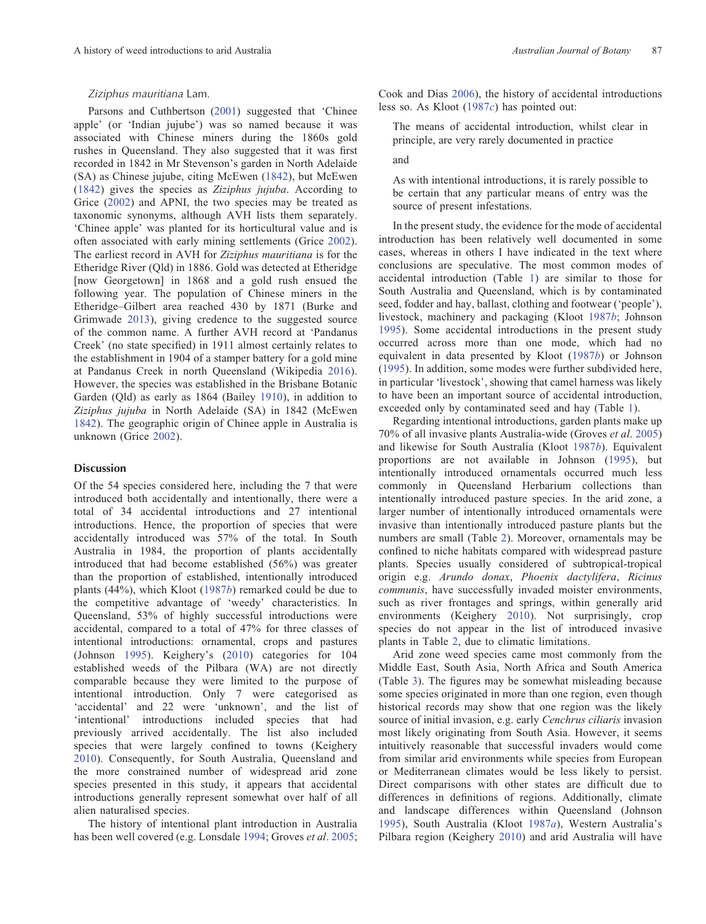### Ziziphus mauritiana Lam.

Parsons and Cuthbertson ([2001\)](#page-20-0) suggested that 'Chinee apple' (or 'Indian jujube') was so named because it was associated with Chinese miners during the 1860s gold rushes in Queensland. They also suggested that it was first recorded in 1842 in Mr Stevenson's garden in North Adelaide (SA) as Chinese jujube, citing McEwen ([1842](#page-20-0)), but McEwen ([1842\)](#page-20-0) gives the species as Ziziphus jujuba. According to Grice ([2002](#page-19-0)) and APNI, the two species may be treated as taxonomic synonyms, although AVH lists them separately. 'Chinee apple' was planted for its horticultural value and is often associated with early mining settlements (Grice [2002\)](#page-19-0). The earliest record in AVH for Ziziphus mauritiana is for the Etheridge River (Qld) in 1886. Gold was detected at Etheridge [now Georgetown] in 1868 and a gold rush ensued the following year. The population of Chinese miners in the Etheridge–Gilbert area reached 430 by 1871 (Burke and Grimwade [2013\)](#page-18-0), giving credence to the suggested source of the common name. A further AVH record at 'Pandanus Creek' (no state specified) in 1911 almost certainly relates to the establishment in 1904 of a stamper battery for a gold mine at Pandanus Creek in north Queensland (Wikipedia [2016\)](#page-21-0). However, the species was established in the Brisbane Botanic Garden (Qld) as early as 1864 (Bailey [1910\)](#page-17-0), in addition to Ziziphus jujuba in North Adelaide (SA) in 1842 (McEwen [1842\)](#page-20-0). The geographic origin of Chinee apple in Australia is unknown (Grice [2002](#page-19-0)).

### Discussion

Of the 54 species considered here, including the 7 that were introduced both accidentally and intentionally, there were a total of 34 accidental introductions and 27 intentional introductions. Hence, the proportion of species that were accidentally introduced was 57% of the total. In South Australia in 1984, the proportion of plants accidentally introduced that had become established (56%) was greater than the proportion of established, intentionally introduced plants (44%), which Kloot ([1987](#page-19-0)b) remarked could be due to the competitive advantage of 'weedy' characteristics. In Queensland, 53% of highly successful introductions were accidental, compared to a total of 47% for three classes of intentional introductions: ornamental, crops and pastures (Johnson [1995\)](#page-19-0). Keighery's [\(2010](#page-19-0)) categories for 104 established weeds of the Pilbara (WA) are not directly comparable because they were limited to the purpose of intentional introduction. Only 7 were categorised as 'accidental' and 22 were 'unknown', and the list of 'intentional' introductions included species that had previously arrived accidentally. The list also included species that were largely confined to towns (Keighery [2010\)](#page-19-0). Consequently, for South Australia, Queensland and the more constrained number of widespread arid zone species presented in this study, it appears that accidental introductions generally represent somewhat over half of all alien naturalised species.

The history of intentional plant introduction in Australia has been well covered (e.g. Lonsdale [1994](#page-19-0); Groves et al. [2005;](#page-19-0) Cook and Dias [2006\)](#page-18-0), the history of accidental introductions less so. As Kloot ([1987](#page-19-0)c) has pointed out:

The means of accidental introduction, whilst clear in principle, are very rarely documented in practice

and

As with intentional introductions, it is rarely possible to be certain that any particular means of entry was the source of present infestations.

In the present study, the evidence for the mode of accidental introduction has been relatively well documented in some cases, whereas in others I have indicated in the text where conclusions are speculative. The most common modes of accidental introduction (Table [1](#page-14-0)) are similar to those for South Australia and Queensland, which is by contaminated seed, fodder and hay, ballast, clothing and footwear ('people'), livestock, machinery and packaging (Kloot [1987](#page-19-0)b; Johnson [1995\)](#page-19-0). Some accidental introductions in the present study occurred across more than one mode, which had no equivalent in data presented by Kloot ([1987](#page-19-0)b) or Johnson ([1995\)](#page-19-0). In addition, some modes were further subdivided here, in particular 'livestock', showing that camel harness was likely to have been an important source of accidental introduction, exceeded only by contaminated seed and hay (Table [1\)](#page-14-0).

Regarding intentional introductions, garden plants make up 70% of all invasive plants Australia-wide (Groves et al. [2005](#page-19-0)) and likewise for South Australia (Kloot [1987](#page-19-0)b). Equivalent proportions are not available in Johnson [\(1995\)](#page-19-0), but intentionally introduced ornamentals occurred much less commonly in Queensland Herbarium collections than intentionally introduced pasture species. In the arid zone, a larger number of intentionally introduced ornamentals were invasive than intentionally introduced pasture plants but the numbers are small (Table [2\)](#page-15-0). Moreover, ornamentals may be confined to niche habitats compared with widespread pasture plants. Species usually considered of subtropical-tropical origin e.g. Arundo donax, Phoenix dactylifera, Ricinus communis, have successfully invaded moister environments, such as river frontages and springs, within generally arid environments (Keighery [2010](#page-19-0)). Not surprisingly, crop species do not appear in the list of introduced invasive plants in Table [2](#page-15-0), due to climatic limitations.

Arid zone weed species came most commonly from the Middle East, South Asia, North Africa and South America (Table [3](#page-16-0)). The figures may be somewhat misleading because some species originated in more than one region, even though historical records may show that one region was the likely source of initial invasion, e.g. early Cenchrus ciliaris invasion most likely originating from South Asia. However, it seems intuitively reasonable that successful invaders would come from similar arid environments while species from European or Mediterranean climates would be less likely to persist. Direct comparisons with other states are difficult due to differences in definitions of regions. Additionally, climate and landscape differences within Queensland (Johnson [1995\)](#page-19-0), South Australia (Kloot [1987](#page-19-0)a), Western Australia's Pilbara region (Keighery [2010](#page-19-0)) and arid Australia will have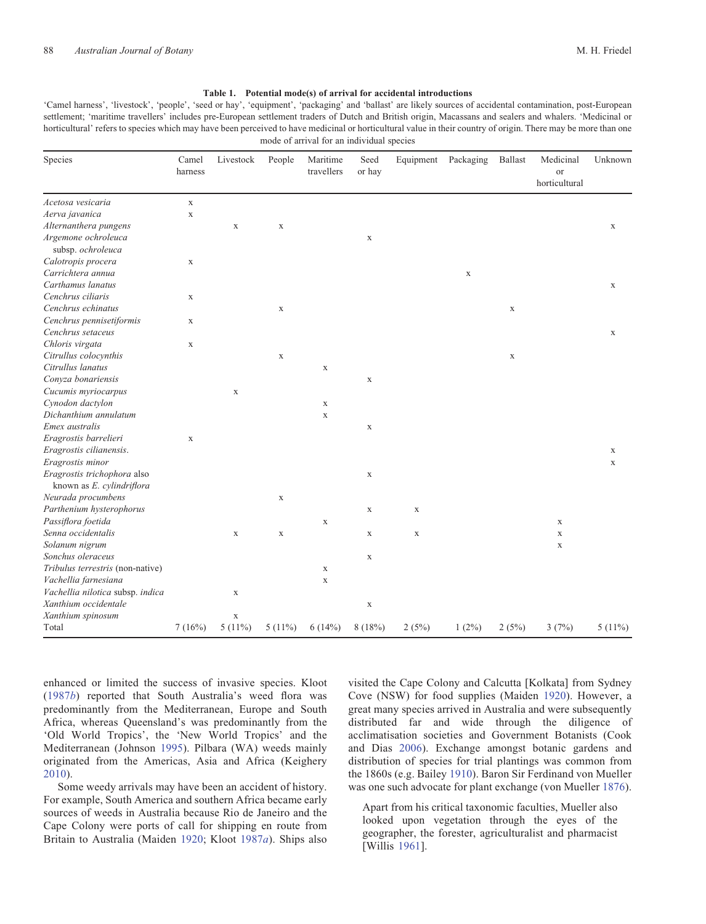<span id="page-14-0"></span>'Camel harness', 'livestock', 'people', 'seed or hay', 'equipment', 'packaging' and 'ballast' are likely sources of accidental contamination, post-European settlement; 'maritime travellers' includes pre-European settlement traders of Dutch and British origin, Macassans and sealers and whalers. 'Medicinal or horticultural' refers to species which may have been perceived to have medicinal or horticultural value in their country of origin. There may be more than one mode of arrival for an individual species

| Species                          | Camel<br>harness | Livestock   | People      | Maritime<br>travellers | Seed<br>or hay | Equipment   | Packaging | <b>Ballast</b> | Medicinal<br><b>or</b><br>horticultural | Unknown     |
|----------------------------------|------------------|-------------|-------------|------------------------|----------------|-------------|-----------|----------------|-----------------------------------------|-------------|
| Acetosa vesicaria                | $\mathbf X$      |             |             |                        |                |             |           |                |                                         |             |
| Aerva javanica                   | $\mathbf X$      |             |             |                        |                |             |           |                |                                         |             |
| Alternanthera pungens            |                  | $\mathbf X$ | $\mathbf X$ |                        |                |             |           |                |                                         | $\mathbf X$ |
| Argemone ochroleuca              |                  |             |             |                        | $\mathbf X$    |             |           |                |                                         |             |
| subsp. ochroleuca                |                  |             |             |                        |                |             |           |                |                                         |             |
| Calotropis procera               | $\mathbf X$      |             |             |                        |                |             |           |                |                                         |             |
| Carrichtera annua                |                  |             |             |                        |                |             | X         |                |                                         |             |
| Carthamus lanatus                |                  |             |             |                        |                |             |           |                |                                         | $\mathbf X$ |
| Cenchrus ciliaris                | $\mathbf X$      |             |             |                        |                |             |           |                |                                         |             |
| Cenchrus echinatus               |                  |             | $\mathbf X$ |                        |                |             |           | $\mathbf X$    |                                         |             |
| Cenchrus pennisetiformis         | $\mathbf X$      |             |             |                        |                |             |           |                |                                         |             |
| Cenchrus setaceus                |                  |             |             |                        |                |             |           |                |                                         | $\mathbf X$ |
| Chloris virgata                  | $\mathbf X$      |             |             |                        |                |             |           |                |                                         |             |
| Citrullus colocynthis            |                  |             | $\mathbf X$ |                        |                |             |           | $\mathbf X$    |                                         |             |
| Citrullus lanatus                |                  |             |             | X                      |                |             |           |                |                                         |             |
| Conyza bonariensis               |                  |             |             |                        | $\mathbf X$    |             |           |                |                                         |             |
| Cucumis myriocarpus              |                  | $\mathbf X$ |             |                        |                |             |           |                |                                         |             |
| Cynodon dactylon                 |                  |             |             | X                      |                |             |           |                |                                         |             |
| Dichanthium annulatum            |                  |             |             | $\mathbf X$            |                |             |           |                |                                         |             |
| Emex australis                   |                  |             |             |                        | $\mathbf X$    |             |           |                |                                         |             |
| Eragrostis barrelieri            | $\mathbf X$      |             |             |                        |                |             |           |                |                                         |             |
| Eragrostis cilianensis.          |                  |             |             |                        |                |             |           |                |                                         | $\mathbf X$ |
| Eragrostis minor                 |                  |             |             |                        |                |             |           |                |                                         | $\mathbf X$ |
| Eragrostis trichophora also      |                  |             |             |                        | $\mathbf X$    |             |           |                |                                         |             |
| known as E. cylindriflora        |                  |             |             |                        |                |             |           |                |                                         |             |
| Neurada procumbens               |                  |             | $\mathbf X$ |                        |                |             |           |                |                                         |             |
| Parthenium hysterophorus         |                  |             |             |                        | $\mathbf X$    | $\mathbf x$ |           |                |                                         |             |
| Passiflora foetida               |                  |             |             | $\mathbf X$            |                |             |           |                | $\mathbf X$                             |             |
| Senna occidentalis               |                  | $\mathbf X$ | $\mathbf X$ |                        | $\mathbf X$    | $\mathbf X$ |           |                | $\mathbf X$                             |             |
| Solanum nigrum                   |                  |             |             |                        |                |             |           |                | $\mathbf X$                             |             |
| Sonchus oleraceus                |                  |             |             |                        | $\mathbf X$    |             |           |                |                                         |             |
| Tribulus terrestris (non-native) |                  |             |             | $\mathbf X$            |                |             |           |                |                                         |             |
| Vachellia farnesiana             |                  |             |             | $\mathbf X$            |                |             |           |                |                                         |             |
| Vachellia nilotica subsp. indica |                  | $\mathbf X$ |             |                        |                |             |           |                |                                         |             |
| Xanthium occidentale             |                  |             |             |                        | $\mathbf X$    |             |           |                |                                         |             |
| Xanthium spinosum                |                  | $\mathbf X$ |             |                        |                |             |           |                |                                         |             |
| Total                            | 7(16%)           | $5(11\%)$   | $5(11\%)$   | 6(14%)                 | 8(18%)         | 2(5%)       | $1(2\%)$  | 2(5%)          | 3(7%)                                   | $5(11\%)$   |

enhanced or limited the success of invasive species. Kloot ([1987](#page-19-0)b) reported that South Australia's weed flora was predominantly from the Mediterranean, Europe and South Africa, whereas Queensland's was predominantly from the 'Old World Tropics', the 'New World Tropics' and the Mediterranean (Johnson [1995](#page-19-0)). Pilbara (WA) weeds mainly originated from the Americas, Asia and Africa (Keighery [2010\)](#page-19-0).

Some weedy arrivals may have been an accident of history. For example, South America and southern Africa became early sources of weeds in Australia because Rio de Janeiro and the Cape Colony were ports of call for shipping en route from Britain to Australia (Maiden [1920](#page-20-0); Kloot [1987](#page-19-0)a). Ships also

visited the Cape Colony and Calcutta [Kolkata] from Sydney Cove (NSW) for food supplies (Maiden [1920\)](#page-20-0). However, a great many species arrived in Australia and were subsequently distributed far and wide through the diligence of acclimatisation societies and Government Botanists (Cook and Dias [2006](#page-18-0)). Exchange amongst botanic gardens and distribution of species for trial plantings was common from the 1860s (e.g. Bailey [1910](#page-17-0)). Baron Sir Ferdinand von Mueller was one such advocate for plant exchange (von Mueller [1876](#page-21-0)).

Apart from his critical taxonomic faculties, Mueller also looked upon vegetation through the eyes of the geographer, the forester, agriculturalist and pharmacist [Willis [1961\]](#page-21-0).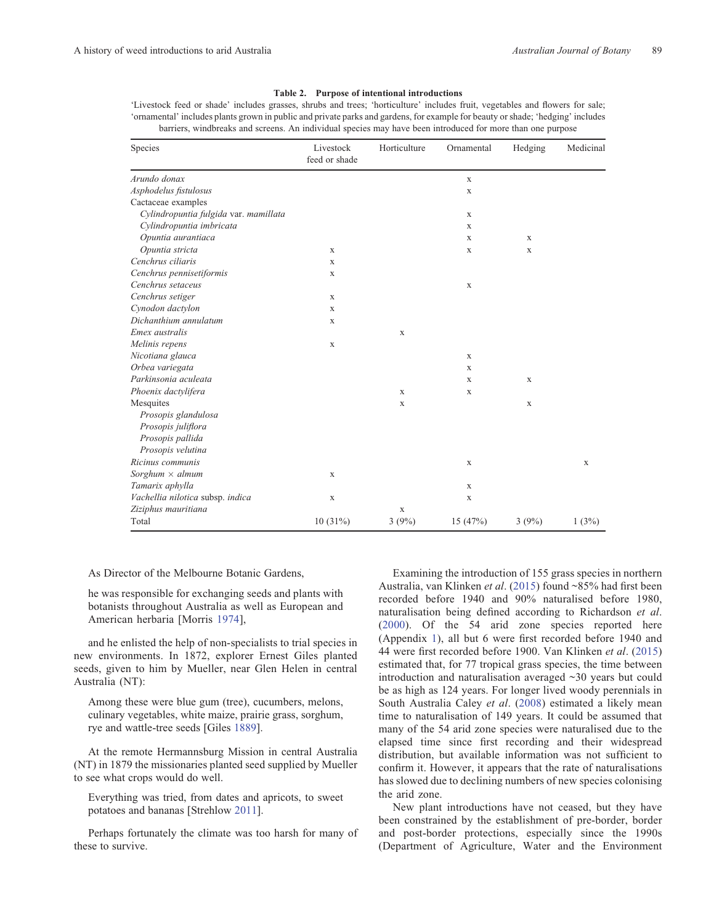#### Table 2. Purpose of intentional introductions

<span id="page-15-0"></span>'Livestock feed or shade' includes grasses, shrubs and trees; 'horticulture' includes fruit, vegetables and flowers for sale; 'ornamental' includes plants grown in public and private parks and gardens, for example for beauty or shade; 'hedging' includes barriers, windbreaks and screens. An individual species may have been introduced for more than one purpose

| Species                               | Livestock<br>feed or shade | Horticulture | Ornamental  | Hedging     | Medicinal |
|---------------------------------------|----------------------------|--------------|-------------|-------------|-----------|
| Arundo donax                          |                            |              | $\mathbf X$ |             |           |
| Asphodelus fistulosus                 |                            |              | X           |             |           |
| Cactaceae examples                    |                            |              |             |             |           |
| Cylindropuntia fulgida var. mamillata |                            |              | $\mathbf X$ |             |           |
| Cylindropuntia imbricata              |                            |              | X           |             |           |
| Opuntia aurantiaca                    |                            |              | X           | X           |           |
| Opuntia stricta                       | X                          |              | X           | X           |           |
| Cenchrus ciliaris                     | X                          |              |             |             |           |
| Cenchrus pennisetiformis              | $\mathbf X$                |              |             |             |           |
| Cenchrus setaceus                     |                            |              | X           |             |           |
| Cenchrus setiger                      | X                          |              |             |             |           |
| Cynodon dactylon                      | X                          |              |             |             |           |
| Dichanthium annulatum                 | $\mathbf X$                |              |             |             |           |
| Emex australis                        |                            | X            |             |             |           |
| Melinis repens                        | $\mathbf X$                |              |             |             |           |
| Nicotiana glauca                      |                            |              | X           |             |           |
| Orbea variegata                       |                            |              | $\mathbf x$ |             |           |
| Parkinsonia aculeata                  |                            |              | X           | X           |           |
| Phoenix dactylifera                   |                            | $\mathbf X$  | $\mathbf X$ |             |           |
| Mesquites                             |                            | X            |             | $\mathbf X$ |           |
| Prosopis glandulosa                   |                            |              |             |             |           |
| Prosopis juliflora                    |                            |              |             |             |           |
| Prosopis pallida                      |                            |              |             |             |           |
| Prosopis velutina                     |                            |              |             |             |           |
| Ricinus communis                      |                            |              | $\mathbf X$ |             | X         |
| Sorghum $\times$ almum                | $\mathbf X$                |              |             |             |           |
| Tamarix aphylla                       |                            |              | $\mathbf X$ |             |           |
| Vachellia nilotica subsp. indica      | $\mathbf X$                |              | X           |             |           |
| Ziziphus mauritiana                   |                            | $\mathbf X$  |             |             |           |
| Total                                 | 10(31%)                    | 3(9%)        | 15 (47%)    | 3(9%)       | 1(3%)     |

As Director of the Melbourne Botanic Gardens,

he was responsible for exchanging seeds and plants with botanists throughout Australia as well as European and American herbaria [Morris [1974](#page-20-0)],

and he enlisted the help of non-specialists to trial species in new environments. In 1872, explorer Ernest Giles planted seeds, given to him by Mueller, near Glen Helen in central Australia (NT):

Among these were blue gum (tree), cucumbers, melons, culinary vegetables, white maize, prairie grass, sorghum, rye and wattle-tree seeds [Giles [1889](#page-19-0)].

At the remote Hermannsburg Mission in central Australia (NT) in 1879 the missionaries planted seed supplied by Mueller to see what crops would do well.

Everything was tried, from dates and apricots, to sweet potatoes and bananas [Strehlow [2011\]](#page-21-0).

Perhaps fortunately the climate was too harsh for many of these to survive.

Examining the introduction of 155 grass species in northern Australia, van Klinken et al. ([2015](#page-21-0)) found ~85% had first been recorded before 1940 and 90% naturalised before 1980, naturalisation being defined according to Richardson et al. ([2000\)](#page-20-0). Of the 54 arid zone species reported here ([Appendix](#page-22-0) 1), all but 6 were first recorded before 1940 and 44 were first recorded before 1900. Van Klinken et al. [\(2015](#page-21-0)) estimated that, for 77 tropical grass species, the time between introduction and naturalisation averaged ~30 years but could be as high as 124 years. For longer lived woody perennials in South Australia Caley et al. ([2008\)](#page-18-0) estimated a likely mean time to naturalisation of 149 years. It could be assumed that many of the 54 arid zone species were naturalised due to the elapsed time since first recording and their widespread distribution, but available information was not sufficient to confirm it. However, it appears that the rate of naturalisations has slowed due to declining numbers of new species colonising the arid zone.

New plant introductions have not ceased, but they have been constrained by the establishment of pre-border, border and post-border protections, especially since the 1990s (Department of Agriculture, Water and the Environment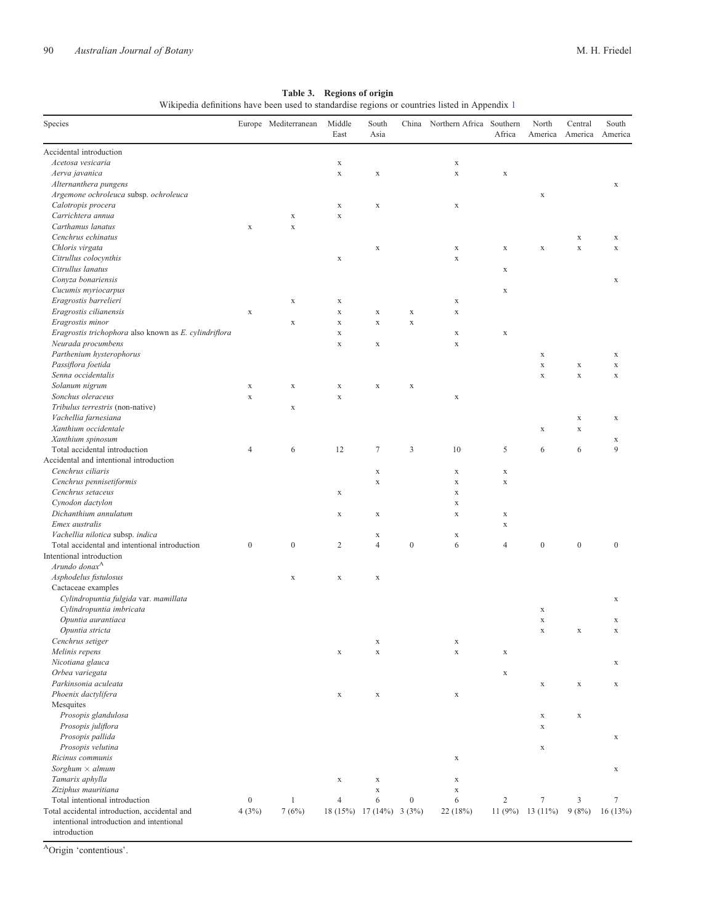<span id="page-16-0"></span>

| Species                                                  |                  | Europe Mediterranean | Middle<br>East | South<br>Asia            | China            | Northern Africa | Southern<br>Africa | North<br>America | Central<br>America | South<br>America |
|----------------------------------------------------------|------------------|----------------------|----------------|--------------------------|------------------|-----------------|--------------------|------------------|--------------------|------------------|
| Accidental introduction                                  |                  |                      |                |                          |                  |                 |                    |                  |                    |                  |
| Acetosa vesicaria                                        |                  |                      | $\mathbf X$    |                          |                  | $\mathbf X$     |                    |                  |                    |                  |
| Aerva javanica                                           |                  |                      | $\mathbf X$    | $\mathbf x$              |                  | $\mathbf X$     | $\mathbf x$        |                  |                    |                  |
| Alternanthera pungens                                    |                  |                      |                |                          |                  |                 |                    |                  |                    | $\mathbf X$      |
| Argemone ochroleuca subsp. ochroleuca                    |                  |                      |                |                          |                  |                 |                    | $\mathbf X$      |                    |                  |
| Calotropis procera                                       |                  |                      | $\mathbf X$    | $\mathbf x$              |                  | $\mathbf X$     |                    |                  |                    |                  |
| Carrichtera annua                                        |                  | $\mathbf X$          | $\mathbf X$    |                          |                  |                 |                    |                  |                    |                  |
| Carthamus lanatus                                        | $\mathbf X$      | $\mathbf X$          |                |                          |                  |                 |                    |                  |                    |                  |
| Cenchrus echinatus                                       |                  |                      |                |                          |                  |                 |                    |                  | $\mathbf X$        | X                |
| Chloris virgata                                          |                  |                      |                | $\mathbf x$              |                  | $\mathbf X$     | $\mathbf X$        | $\mathbf x$      | $\mathbf X$        | $\mathbf x$      |
| Citrullus colocynthis                                    |                  |                      | $\mathbf X$    |                          |                  | $\mathbf X$     |                    |                  |                    |                  |
| Citrullus lanatus                                        |                  |                      |                |                          |                  |                 | $\mathbf X$        |                  |                    |                  |
| Conyza bonariensis                                       |                  |                      |                |                          |                  |                 |                    |                  |                    | $\mathbf X$      |
| Cucumis myriocarpus                                      |                  |                      |                |                          |                  |                 | $\mathbf X$        |                  |                    |                  |
| Eragrostis barrelieri                                    |                  | $\mathbf x$          | $\mathbf X$    |                          |                  | $\mathbf X$     |                    |                  |                    |                  |
| Eragrostis cilianensis                                   | $\mathbf X$      |                      | $\mathbf X$    | $\mathbf X$              | $\mathbf X$      | $\mathbf X$     |                    |                  |                    |                  |
| Eragrostis minor                                         |                  | $\mathbf X$          | $\mathbf X$    | $\mathbf x$              | $\mathbf x$      |                 |                    |                  |                    |                  |
| Eragrostis trichophora also known as E. cylindriflora    |                  |                      | $\mathbf X$    |                          |                  | $\mathbf X$     | $\mathbf X$        |                  |                    |                  |
| Neurada procumbens                                       |                  |                      | $\mathbf X$    | $\mathbf x$              |                  | $\mathbf X$     |                    |                  |                    |                  |
| Parthenium hysterophorus                                 |                  |                      |                |                          |                  |                 |                    |                  |                    |                  |
|                                                          |                  |                      |                |                          |                  |                 |                    | $\mathbf X$      |                    | $\mathbf X$      |
| Passiflora foetida                                       |                  |                      |                |                          |                  |                 |                    | $\mathbf X$      | $\mathbf X$        | $\mathbf x$      |
| Senna occidentalis                                       |                  |                      |                |                          |                  |                 |                    | $\mathbf x$      | $\mathbf x$        | $\mathbf x$      |
| Solanum nigrum                                           | $\mathbf X$      | $\mathbf x$          | $\mathbf X$    | $\mathbf x$              | $\mathbf X$      |                 |                    |                  |                    |                  |
| Sonchus oleraceus                                        | $\mathbf X$      |                      | $\mathbf X$    |                          |                  | $\mathbf X$     |                    |                  |                    |                  |
| Tribulus terrestris (non-native)                         |                  | $\mathbf X$          |                |                          |                  |                 |                    |                  |                    |                  |
| Vachellia farnesiana                                     |                  |                      |                |                          |                  |                 |                    |                  | $\mathbf X$        | $\mathbf X$      |
| Xanthium occidentale                                     |                  |                      |                |                          |                  |                 |                    | $\mathbf X$      | $\mathbf X$        |                  |
| Xanthium spinosum                                        |                  |                      |                |                          |                  |                 |                    |                  |                    | $\mathbf X$      |
| Total accidental introduction                            | $\overline{4}$   | 6                    | 12             | $\tau$                   | $\mathfrak{Z}$   | 10              | 5                  | 6                | 6                  | 9                |
| Accidental and intentional introduction                  |                  |                      |                |                          |                  |                 |                    |                  |                    |                  |
| Cenchrus ciliaris                                        |                  |                      |                | $\mathbf X$              |                  | $\mathbf x$     | $\mathbf X$        |                  |                    |                  |
| Cenchrus pennisetiformis                                 |                  |                      |                | $\mathbf x$              |                  | $\mathbf X$     | $\mathbf X$        |                  |                    |                  |
| Cenchrus setaceus                                        |                  |                      | $\mathbf x$    |                          |                  | $\mathbf X$     |                    |                  |                    |                  |
| Cynodon dactylon                                         |                  |                      |                |                          |                  | $\mathbf x$     |                    |                  |                    |                  |
| Dichanthium annulatum                                    |                  |                      | $\mathbf x$    | $\mathbf X$              |                  | $\mathbf X$     | $\mathbf X$        |                  |                    |                  |
| Emex australis                                           |                  |                      |                |                          |                  |                 | $\mathbf X$        |                  |                    |                  |
| Vachellia nilotica subsp. indica                         |                  |                      |                | $\mathbf X$              |                  | $\mathbf X$     |                    |                  |                    |                  |
| Total accidental and intentional introduction            | $\boldsymbol{0}$ | $\boldsymbol{0}$     | $\overline{c}$ | $\overline{4}$           | $\boldsymbol{0}$ | 6               | $\overline{4}$     | $\boldsymbol{0}$ | $\boldsymbol{0}$   | $\boldsymbol{0}$ |
| Intentional introduction                                 |                  |                      |                |                          |                  |                 |                    |                  |                    |                  |
| Arundo donax <sup>A</sup>                                |                  |                      |                |                          |                  |                 |                    |                  |                    |                  |
| Asphodelus fistulosus                                    |                  | $\mathbf X$          | $\mathbf X$    | $\mathbf X$              |                  |                 |                    |                  |                    |                  |
| Cactaceae examples                                       |                  |                      |                |                          |                  |                 |                    |                  |                    |                  |
| Cylindropuntia fulgida var. mamillata                    |                  |                      |                |                          |                  |                 |                    |                  |                    | $\mathbf X$      |
| Cylindropuntia imbricata                                 |                  |                      |                |                          |                  |                 |                    | $\mathbf X$      |                    |                  |
| Opuntia aurantiaca                                       |                  |                      |                |                          |                  |                 |                    | $\mathbf x$      |                    | $\mathbf X$      |
| Opuntia stricta                                          |                  |                      |                |                          |                  |                 |                    | $\mathbf X$      | $\mathbf X$        | $\mathbf X$      |
| Cenchrus setiger                                         |                  |                      |                | X                        |                  | X               |                    |                  |                    |                  |
| Melinis repens                                           |                  |                      | $\mathbf X$    | $\mathbf X$              |                  | $\mathbf X$     | $\mathbf X$        |                  |                    |                  |
| Nicotiana glauca                                         |                  |                      |                |                          |                  |                 |                    |                  |                    | $\mathbf X$      |
| Orbea variegata                                          |                  |                      |                |                          |                  |                 | $\mathbf X$        |                  |                    |                  |
| Parkinsonia aculeata                                     |                  |                      |                |                          |                  |                 |                    | $\mathbf X$      | $\mathbf X$        | $\mathbf X$      |
| Phoenix dactylifera                                      |                  |                      | $\mathbf X$    | $\mathbf X$              |                  | $\mathbf X$     |                    |                  |                    |                  |
| Mesquites                                                |                  |                      |                |                          |                  |                 |                    |                  |                    |                  |
| Prosopis glandulosa                                      |                  |                      |                |                          |                  |                 |                    |                  | $\mathbf X$        |                  |
| Prosopis juliflora                                       |                  |                      |                |                          |                  |                 |                    | $\mathbf X$      |                    |                  |
|                                                          |                  |                      |                |                          |                  |                 |                    | $\mathbf X$      |                    |                  |
| Prosopis pallida                                         |                  |                      |                |                          |                  |                 |                    |                  |                    | $\mathbf X$      |
| Prosopis velutina                                        |                  |                      |                |                          |                  |                 |                    | $\mathbf X$      |                    |                  |
| Ricinus communis                                         |                  |                      |                |                          |                  | $\mathbf X$     |                    |                  |                    |                  |
| Sorghum $\times$ almum                                   |                  |                      |                |                          |                  |                 |                    |                  |                    | $\mathbf X$      |
| Tamarix aphylla                                          |                  |                      | $\mathbf X$    | $\mathbf X$              |                  | $\mathbf X$     |                    |                  |                    |                  |
| Ziziphus mauritiana                                      |                  |                      |                | $\mathbf X$              |                  | $\mathbf X$     |                    |                  |                    |                  |
| Total intentional introduction                           | $\boldsymbol{0}$ | 1                    | $\overline{4}$ | 6                        | $\boldsymbol{0}$ | 6               | $\sqrt{2}$         | $\tau$           | $\mathfrak{Z}$     | $\boldsymbol{7}$ |
| Total accidental introduction, accidental and            | 4(3%)            | 7(6%)                |                | 18 (15%) 17 (14%) 3 (3%) |                  | 22 (18%)        | 11 $(9%)$          | 13 $(11%)$       | 9(8%)              | 16(13%)          |
| intentional introduction and intentional<br>introduction |                  |                      |                |                          |                  |                 |                    |                  |                    |                  |

### Table 3. Regions of origin

Wikipedia definitions have been used to standardise regions or countries listed in [Appendix](#page-22-0) 1

AOrigin 'contentious'.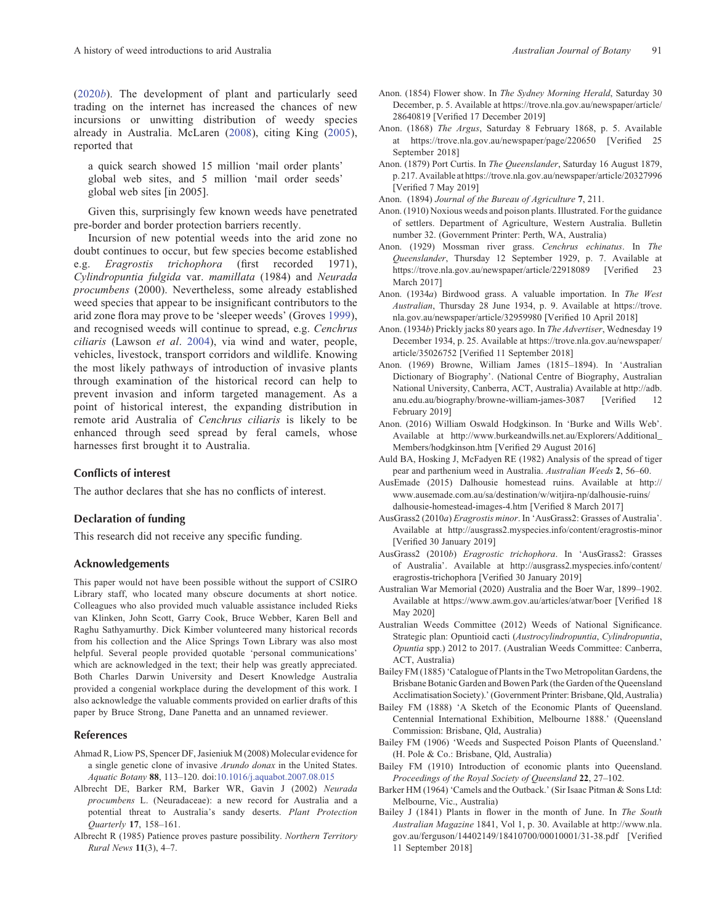<span id="page-17-0"></span>([2020](#page-22-0)b). The development of plant and particularly seed trading on the internet has increased the chances of new incursions or unwitting distribution of weedy species already in Australia. McLaren [\(2008](#page-20-0)), citing King ([2005\)](#page-19-0), reported that

a quick search showed 15 million 'mail order plants' global web sites, and 5 million 'mail order seeds' global web sites [in 2005].

Given this, surprisingly few known weeds have penetrated pre-border and border protection barriers recently.

Incursion of new potential weeds into the arid zone no doubt continues to occur, but few species become established e.g. Eragrostis trichophora (first recorded 1971), Cylindropuntia fulgida var. mamillata (1984) and Neurada procumbens (2000). Nevertheless, some already established weed species that appear to be insignificant contributors to the arid zone flora may prove to be 'sleeper weeds' (Groves [1999\)](#page-19-0), and recognised weeds will continue to spread, e.g. Cenchrus ciliaris (Lawson et al. [2004](#page-19-0)), via wind and water, people, vehicles, livestock, transport corridors and wildlife. Knowing the most likely pathways of introduction of invasive plants through examination of the historical record can help to prevent invasion and inform targeted management. As a point of historical interest, the expanding distribution in remote arid Australia of Cenchrus ciliaris is likely to be enhanced through seed spread by feral camels, whose harnesses first brought it to Australia.

### Conflicts of interest

The author declares that she has no conflicts of interest.

### Declaration of funding

This research did not receive any specific funding.

#### Acknowledgements

This paper would not have been possible without the support of CSIRO Library staff, who located many obscure documents at short notice. Colleagues who also provided much valuable assistance included Rieks van Klinken, John Scott, Garry Cook, Bruce Webber, Karen Bell and Raghu Sathyamurthy. Dick Kimber volunteered many historical records from his collection and the Alice Springs Town Library was also most helpful. Several people provided quotable 'personal communications' which are acknowledged in the text; their help was greatly appreciated. Both Charles Darwin University and Desert Knowledge Australia provided a congenial workplace during the development of this work. I also acknowledge the valuable comments provided on earlier drafts of this paper by Bruce Strong, Dane Panetta and an unnamed reviewer.

#### References

- Ahmad R, Liow PS, Spencer DF, Jasieniuk M (2008) Molecular evidence for a single genetic clone of invasive Arundo donax in the United States. Aquatic Botany 88, 113–120. doi:[10.1016/j.aquabot.2007.08.015](dx.doi.org/10.1016/j.aquabot.2007.08.015)
- Albrecht DE, Barker RM, Barker WR, Gavin J (2002) Neurada procumbens L. (Neuradaceae): a new record for Australia and a potential threat to Australia's sandy deserts. Plant Protection Quarterly 17, 158–161.
- Albrecht R (1985) Patience proves pasture possibility. Northern Territory Rural News 11(3), 4–7.
- Anon. (1854) Flower show. In The Sydney Morning Herald, Saturday 30 December, p. 5. Available at [https://trove.nla.gov.au/newspaper/article/](https://trove.nla.gov.au/newspaper/article/28640819) [28640819](https://trove.nla.gov.au/newspaper/article/28640819) [Verified 17 December 2019]
- Anon. (1868) The Argus, Saturday 8 February 1868, p. 5. Available at<https://trove.nla.gov.au/newspaper/page/220650> [Verified 25 September 2018]
- Anon. (1879) Port Curtis. In The Queenslander, Saturday 16 August 1879, p. 217. Available at<https://trove.nla.gov.au/newspaper/article/20327996> [Verified 7 May 2019]

Anon. (1894) Journal of the Bureau of Agriculture 7, 211.

- Anon. (1910) Noxious weeds and poison plants. Illustrated. For the guidance of settlers. Department of Agriculture, Western Australia. Bulletin number 32. (Government Printer: Perth, WA, Australia)
- Anon. (1929) Mossman river grass. Cenchrus echinatus. In The Queenslander, Thursday 12 September 1929, p. 7. Available at <https://trove.nla.gov.au/newspaper/article/22918089> [Verified 23 March 2017]
- Anon. (1934a) Birdwood grass. A valuable importation. In The West Australian, Thursday 28 June 1934, p. 9. Available at [https://trove.](https://trove.nla.gov.au/newspaper/article/32959980) [nla.gov.au/newspaper/article/32959980](https://trove.nla.gov.au/newspaper/article/32959980) [Verified 10 April 2018]
- Anon. (1934b) Prickly jacks 80 years ago. In The Advertiser, Wednesday 19 December 1934, p. 25. Available at [https://trove.nla.gov.au/newspaper/](https://trove.nla.gov.au/newspaper/article/35026752) [article/35026752](https://trove.nla.gov.au/newspaper/article/35026752) [Verified 11 September 2018]
- Anon. (1969) Browne, William James (1815–1894). In 'Australian Dictionary of Biography'. (National Centre of Biography, Australian National University, Canberra, ACT, Australia) Available at [http://adb.](http://adb.anu.edu.au/biography/browne-william-james-3087) [anu.edu.au/biography/browne-william-james-3087](http://adb.anu.edu.au/biography/browne-william-james-3087) [Verified 12 February 2019]
- Anon. (2016) William Oswald Hodgkinson. In 'Burke and Wills Web'. Available at [http://www.burkeandwills.net.au/Explorers/Additional\\_](http://www.burkeandwills.net.au/Explorers/Additional_Members/hodgkinson.htm) [Members/hodgkinson.htm](http://www.burkeandwills.net.au/Explorers/Additional_Members/hodgkinson.htm) [Verified 29 August 2016]
- Auld BA, Hosking J, McFadyen RE (1982) Analysis of the spread of tiger pear and parthenium weed in Australia. Australian Weeds 2, 56–60.
- AusEmade (2015) Dalhousie homestead ruins. Available at [http://](http://www.ausemade.com.au/sa/destination/w/witjira-np/dalhousie-ruins/dalhousie-homestead-images-4.htm) [www.ausemade.com.au/sa/destination/w/witjira-np/dalhousie-ruins/](http://www.ausemade.com.au/sa/destination/w/witjira-np/dalhousie-ruins/dalhousie-homestead-images-4.htm) [dalhousie-homestead-images-4.htm](http://www.ausemade.com.au/sa/destination/w/witjira-np/dalhousie-ruins/dalhousie-homestead-images-4.htm) [Verified 8 March 2017]
- AusGrass2 (2010a) Eragrostis minor. In 'AusGrass2: Grasses of Australia'. Available at<http://ausgrass2.myspecies.info/content/eragrostis-minor> [Verified 30 January 2019]
- AusGrass2 (2010b) Eragrostic trichophora. In 'AusGrass2: Grasses of Australia'. Available at [http://ausgrass2.myspecies.info/content/](http://ausgrass2.myspecies.info/content/eragrostis-trichophora) [eragrostis-trichophora](http://ausgrass2.myspecies.info/content/eragrostis-trichophora) [Verified 30 January 2019]
- Australian War Memorial (2020) Australia and the Boer War, 1899–1902. Available at<https://www.awm.gov.au/articles/atwar/boer> [Verified 18 May 2020]
- Australian Weeds Committee (2012) Weeds of National Significance. Strategic plan: Opuntioid cacti (Austrocylindropuntia, Cylindropuntia, Opuntia spp.) 2012 to 2017. (Australian Weeds Committee: Canberra, ACT, Australia)
- Bailey FM (1885)'Catalogue of Plants in the Two Metropolitan Gardens, the Brisbane Botanic Garden and Bowen Park (the Garden of the Queensland Acclimatisation Society).'(Government Printer: Brisbane, Qld, Australia)
- Bailey FM (1888) 'A Sketch of the Economic Plants of Queensland. Centennial International Exhibition, Melbourne 1888.' (Queensland Commission: Brisbane, Qld, Australia)
- Bailey FM (1906) 'Weeds and Suspected Poison Plants of Queensland.' (H. Pole & Co.: Brisbane, Qld, Australia)
- Bailey FM (1910) Introduction of economic plants into Queensland. Proceedings of the Royal Society of Queensland 22, 27–102.
- Barker HM (1964) 'Camels and the Outback.' (Sir Isaac Pitman & Sons Ltd: Melbourne, Vic., Australia)
- Bailey J (1841) Plants in flower in the month of June. In The South Australian Magazine 1841, Vol 1, p. 30. Available at [http://www.nla.](http://www.nla.gov.au/ferguson/14402149/18410700/00010001/31-38.pdf) [gov.au/ferguson/14402149/18410700/00010001/31-38.pdf](http://www.nla.gov.au/ferguson/14402149/18410700/00010001/31-38.pdf) [Verified 11 September 2018]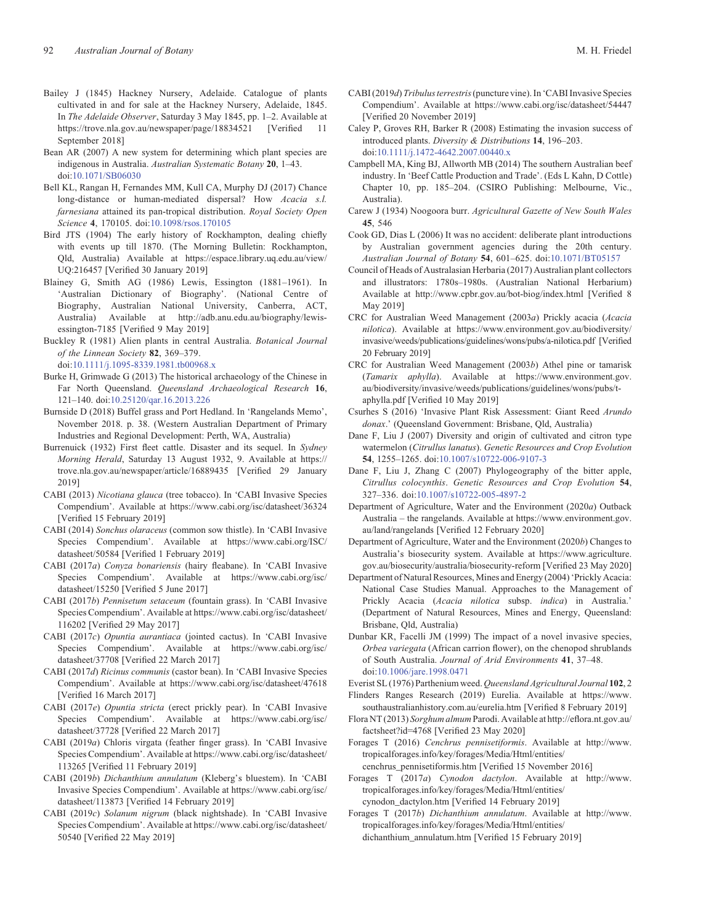- <span id="page-18-0"></span>Bailey J (1845) Hackney Nursery, Adelaide. Catalogue of plants cultivated in and for sale at the Hackney Nursery, Adelaide, 1845. In The Adelaide Observer, Saturday 3 May 1845, pp. 1–2. Available at <https://trove.nla.gov.au/newspaper/page/18834521> [Verified 11 September 2018]
- Bean AR (2007) A new system for determining which plant species are indigenous in Australia. Australian Systematic Botany 20, 1–43. doi[:10.1071/SB06030](dx.doi.org/10.1071/SB06030)
- Bell KL, Rangan H, Fernandes MM, Kull CA, Murphy DJ (2017) Chance long-distance or human-mediated dispersal? How Acacia s.l. farnesiana attained its pan-tropical distribution. Royal Society Open Science 4, 170105. doi:[10.1098/rsos.170105](dx.doi.org/10.1098/rsos.170105)
- Bird JTS (1904) The early history of Rockhampton, dealing chiefly with events up till 1870. (The Morning Bulletin: Rockhampton, Qld, Australia) Available at [https://espace.library.uq.edu.au/view/](https://espace.library.uq.edu.au/view/UQ:216457) [UQ:216457](https://espace.library.uq.edu.au/view/UQ:216457) [Verified 30 January 2019]
- Blainey G, Smith AG (1986) Lewis, Essington (1881–1961). In 'Australian Dictionary of Biography'. (National Centre of Biography, Australian National University, Canberra, ACT, Australia) Available at [http://adb.anu.edu.au/biography/lewis](http://adb.anu.edu.au/biography/lewis-essington-7185)[essington-7185](http://adb.anu.edu.au/biography/lewis-essington-7185) [Verified 9 May 2019]
- Buckley R (1981) Alien plants in central Australia. Botanical Journal of the Linnean Society 82, 369–379.

doi[:10.1111/j.1095-8339.1981.tb00968.x](dx.doi.org/10.1111/j.1095-8339.1981.tb00968.x)

- Burke H, Grimwade G (2013) The historical archaeology of the Chinese in Far North Queensland. Queensland Archaeological Research 16, 121–140. doi[:10.25120/qar.16.2013.226](dx.doi.org/10.25120/qar.16.2013.226)
- Burnside D (2018) Buffel grass and Port Hedland. In 'Rangelands Memo', November 2018. p. 38. (Western Australian Department of Primary Industries and Regional Development: Perth, WA, Australia)
- Burrenuick (1932) First fleet cattle. Disaster and its sequel. In Sydney Morning Herald, Saturday 13 August 1932, 9. Available at [https://](https://trove.nla.gov.au/newspaper/article/16889435) [trove.nla.gov.au/newspaper/article/16889435](https://trove.nla.gov.au/newspaper/article/16889435) [Verified 29 January 2019]
- CABI (2013) Nicotiana glauca (tree tobacco). In 'CABI Invasive Species Compendium'. Available at<https://www.cabi.org/isc/datasheet/36324> [Verified 15 February 2019]
- CABI (2014) Sonchus olaraceus (common sow thistle). In 'CABI Invasive Species Compendium'. Available at [https://www.cabi.org/ISC/](https://www.cabi.org/ISC/datasheet/50584) [datasheet/50584](https://www.cabi.org/ISC/datasheet/50584) [Verified 1 February 2019]
- CABI (2017a) Conyza bonariensis (hairy fleabane). In 'CABI Invasive Species Compendium'. Available at [https://www.cabi.org/isc/](https://www.cabi.org/isc/datasheet/15250) [datasheet/15250](https://www.cabi.org/isc/datasheet/15250) [Verified 5 June 2017]
- CABI (2017b) Pennisetum setaceum (fountain grass). In 'CABI Invasive Species Compendium'. Available at [https://www.cabi.org/isc/datasheet/](https://www.cabi.org/isc/datasheet/116202) [116202](https://www.cabi.org/isc/datasheet/116202) [Verified 29 May 2017]
- CABI (2017c) Opuntia aurantiaca (jointed cactus). In 'CABI Invasive Species Compendium'. Available at [https://www.cabi.org/isc/](https://www.cabi.org/isc/datasheet/37708) [datasheet/37708](https://www.cabi.org/isc/datasheet/37708) [Verified 22 March 2017]
- CABI (2017d) Ricinus communis (castor bean). In 'CABI Invasive Species Compendium'. Available at<https://www.cabi.org/isc/datasheet/47618> [Verified 16 March 2017]
- CABI (2017e) Opuntia stricta (erect prickly pear). In 'CABI Invasive Species Compendium'. Available at [https://www.cabi.org/isc/](https://www.cabi.org/isc/datasheet/37728) [datasheet/37728](https://www.cabi.org/isc/datasheet/37728) [Verified 22 March 2017]
- CABI (2019a) Chloris virgata (feather finger grass). In 'CABI Invasive Species Compendium'. Available at [https://www.cabi.org/isc/datasheet/](https://www.cabi.org/isc/datasheet/113265) [113265](https://www.cabi.org/isc/datasheet/113265) [Verified 11 February 2019]
- CABI (2019b) Dichanthium annulatum (Kleberg's bluestem). In 'CABI Invasive Species Compendium'. Available at [https://www.cabi.org/isc/](https://www.cabi.org/isc/datasheet/113873) [datasheet/113873](https://www.cabi.org/isc/datasheet/113873) [Verified 14 February 2019]
- CABI (2019c) Solanum nigrum (black nightshade). In 'CABI Invasive Species Compendium'. Available at [https://www.cabi.org/isc/datasheet/](https://www.cabi.org/isc/datasheet/50540) [50540](https://www.cabi.org/isc/datasheet/50540) [Verified 22 May 2019]
- CABI (2019d) Tribulus terrestris (puncture vine). In 'CABI Invasive Species Compendium'. Available at<https://www.cabi.org/isc/datasheet/54447> [Verified 20 November 2019]
- Caley P, Groves RH, Barker R (2008) Estimating the invasion success of introduced plants. Diversity & Distributions 14, 196–203. doi[:10.1111/j.1472-4642.2007.00440.x](dx.doi.org/10.1111/j.1472-4642.2007.00440.x)
- Campbell MA, King BJ, Allworth MB (2014) The southern Australian beef industry. In 'Beef Cattle Production and Trade'. (Eds L Kahn, D Cottle) Chapter 10, pp. 185–204. (CSIRO Publishing: Melbourne, Vic., Australia).
- Carew J (1934) Noogoora burr. Agricultural Gazette of New South Wales 45, 546
- Cook GD, Dias L (2006) It was no accident: deliberate plant introductions by Australian government agencies during the 20th century. Australian Journal of Botany 54, 601–625. doi[:10.1071/BT05157](dx.doi.org/10.1071/BT05157)
- Council of Heads of Australasian Herbaria (2017) Australian plant collectors and illustrators: 1780s–1980s. (Australian National Herbarium) Available at<http://www.cpbr.gov.au/bot-biog/index.html> [Verified 8 May 2019]
- CRC for Australian Weed Management (2003a) Prickly acacia (Acacia nilotica). Available at [https://www.environment.gov.au/biodiversity/](https://www.environment.gov.au/biodiversity/invasive/weeds/publications/guidelines/wons/pubs/a-nilotica.pdf) [invasive/weeds/publications/guidelines/wons/pubs/a-nilotica.pdf](https://www.environment.gov.au/biodiversity/invasive/weeds/publications/guidelines/wons/pubs/a-nilotica.pdf) [Verified 20 February 2019]
- CRC for Australian Weed Management (2003b) Athel pine or tamarisk (Tamarix aphylla). Available at [https://www.environment.gov.](https://www.environment.gov.au/biodiversity/invasive/weeds/publications/guidelines/wons/pubs/t-aphylla.pdf) [au/biodiversity/invasive/weeds/publications/guidelines/wons/pubs/t](https://www.environment.gov.au/biodiversity/invasive/weeds/publications/guidelines/wons/pubs/t-aphylla.pdf)[aphylla.pdf](https://www.environment.gov.au/biodiversity/invasive/weeds/publications/guidelines/wons/pubs/t-aphylla.pdf) [Verified 10 May 2019]
- Csurhes S (2016) 'Invasive Plant Risk Assessment: Giant Reed Arundo donax.' (Queensland Government: Brisbane, Qld, Australia)
- Dane F, Liu J (2007) Diversity and origin of cultivated and citron type watermelon (Citrullus lanatus). Genetic Resources and Crop Evolution 54, 1255–1265. doi[:10.1007/s10722-006-9107-3](dx.doi.org/10.1007/s10722-006-9107-3)
- Dane F, Liu J, Zhang C (2007) Phylogeography of the bitter apple, Citrullus colocynthis. Genetic Resources and Crop Evolution 54, 327–336. doi:[10.1007/s10722-005-4897-2](dx.doi.org/10.1007/s10722-005-4897-2)
- Department of Agriculture, Water and the Environment (2020a) Outback Australia – the rangelands. Available at [https://www.environment.gov.](https://www.environment.gov.au/land/rangelands) [au/land/rangelands](https://www.environment.gov.au/land/rangelands) [Verified 12 February 2020]
- Department of Agriculture, Water and the Environment (2020b) Changes to Australia's biosecurity system. Available at [https://www.agriculture.](https://www.agriculture.gov.au/biosecurity/australia/biosecurity-reform) [gov.au/biosecurity/australia/biosecurity-reform](https://www.agriculture.gov.au/biosecurity/australia/biosecurity-reform) [Verified 23 May 2020]
- Department of Natural Resources, Mines and Energy (2004) 'Prickly Acacia: National Case Studies Manual. Approaches to the Management of Prickly Acacia (Acacia nilotica subsp. indica) in Australia.' (Department of Natural Resources, Mines and Energy, Queensland: Brisbane, Qld, Australia)
- Dunbar KR, Facelli JM (1999) The impact of a novel invasive species, Orbea variegata (African carrion flower), on the chenopod shrublands of South Australia. Journal of Arid Environments 41, 37–48. doi[:10.1006/jare.1998.0471](dx.doi.org/10.1006/jare.1998.0471)

Everist SL (1976) Parthenium weed. Queensland Agricultural Journal 102, 2 Flinders Ranges Research (2019) Eurelia. Available at [https://www.](https://www.southaustralianhistory.com.au/eurelia.htm)

[southaustralianhistory.com.au/eurelia.htm](https://www.southaustralianhistory.com.au/eurelia.htm) [Verified 8 February 2019] Flora NT (2013) Sorghum almum Parodi. Available at http://efl[ora.nt.gov.au/](http://eflora.nt.gov.au/factsheet?id=4768)

[factsheet?id=4768](http://eflora.nt.gov.au/factsheet?id=4768) [Verified 23 May 2020]

Forages T (2016) Cenchrus pennisetiformis. Available at [http://www.](http://www.tropicalforages.info/key/forages/Media/Html/entities/cenchrus_pennisetiformis.htm) [tropicalforages.info/key/forages/Media/Html/entities/](http://www.tropicalforages.info/key/forages/Media/Html/entities/cenchrus_pennisetiformis.htm) [cenchrus\\_pennisetiformis.htm](http://www.tropicalforages.info/key/forages/Media/Html/entities/cenchrus_pennisetiformis.htm) [Verified 15 November 2016]

- Forages T (2017a) Cynodon dactylon. Available at [http://www.](http://www.tropicalforages.info/key/forages/Media/Html/entities/cynodon_dactylon.htm) [tropicalforages.info/key/forages/Media/Html/entities/](http://www.tropicalforages.info/key/forages/Media/Html/entities/cynodon_dactylon.htm) [cynodon\\_dactylon.htm](http://www.tropicalforages.info/key/forages/Media/Html/entities/cynodon_dactylon.htm) [Verified 14 February 2019]
- Forages T (2017b) Dichanthium annulatum. Available at [http://www.](http://www.tropicalforages.info/key/forages/Media/Html/entities/dichanthium_annulatum.htm) [tropicalforages.info/key/forages/Media/Html/entities/](http://www.tropicalforages.info/key/forages/Media/Html/entities/dichanthium_annulatum.htm) [dichanthium\\_annulatum.htm](http://www.tropicalforages.info/key/forages/Media/Html/entities/dichanthium_annulatum.htm) [Verified 15 February 2019]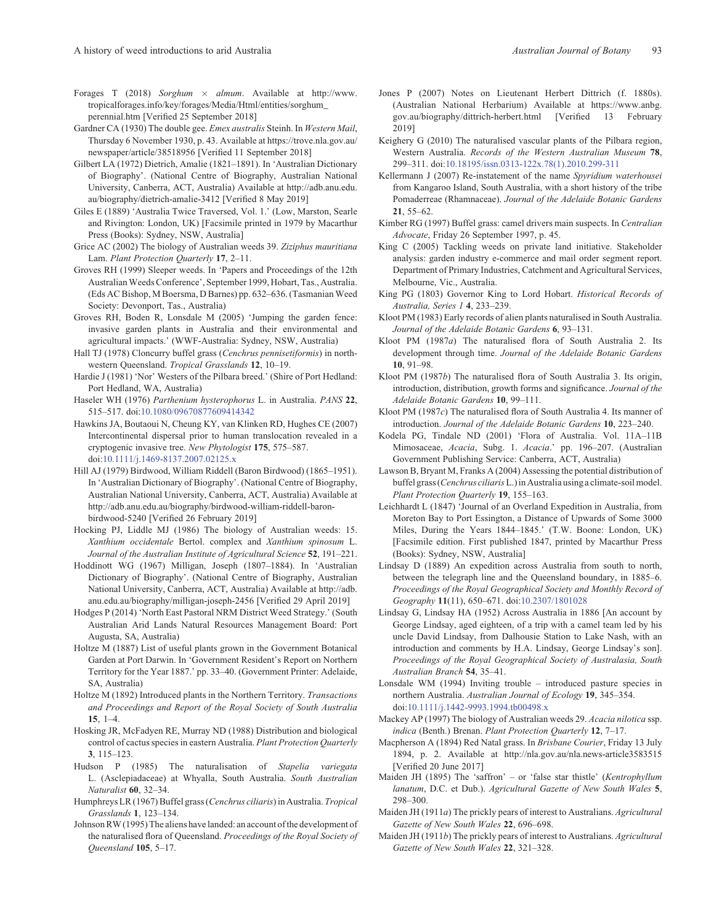- <span id="page-19-0"></span>Forages T (2018) Sorghum  $\times$  almum. Available at [http://www.](http://www.tropicalforages.info/key/forages/Media/Html/entities/sorghum_perennial.htm) [tropicalforages.info/key/forages/Media/Html/entities/sorghum\\_](http://www.tropicalforages.info/key/forages/Media/Html/entities/sorghum_perennial.htm) [perennial.htm](http://www.tropicalforages.info/key/forages/Media/Html/entities/sorghum_perennial.htm) [Verified 25 September 2018]
- Gardner CA (1930) The double gee. Emex australis Steinh. In Western Mail, Thursday 6 November 1930, p. 43. Available at [https://trove.nla.gov.au/](https://trove.nla.gov.au/newspaper/article/38518956) [newspaper/article/38518956](https://trove.nla.gov.au/newspaper/article/38518956) [Verified 11 September 2018]
- Gilbert LA (1972) Dietrich, Amalie (1821–1891). In 'Australian Dictionary of Biography'. (National Centre of Biography, Australian National University, Canberra, ACT, Australia) Available at [http://adb.anu.edu.](http://adb.anu.edu.au/biography/dietrich-amalie-3412) [au/biography/dietrich-amalie-3412](http://adb.anu.edu.au/biography/dietrich-amalie-3412) [Verified 8 May 2019]
- Giles E (1889) 'Australia Twice Traversed, Vol. 1.' (Low, Marston, Searle and Rivington: London, UK) [Facsimile printed in 1979 by Macarthur Press (Books): Sydney, NSW, Australia]
- Grice AC (2002) The biology of Australian weeds 39. Ziziphus mauritiana Lam. Plant Protection Quarterly 17, 2–11.
- Groves RH (1999) Sleeper weeds. In 'Papers and Proceedings of the 12th AustralianWeeds Conference', September 1999, Hobart, Tas., Australia. (Eds AC Bishop, M Boersma, D Barnes) pp. 632–636. (Tasmanian Weed Society: Devonport, Tas., Australia)
- Groves RH, Boden R, Lonsdale M (2005) 'Jumping the garden fence: invasive garden plants in Australia and their environmental and agricultural impacts.' (WWF-Australia: Sydney, NSW, Australia)
- Hall TJ (1978) Cloncurry buffel grass (Cenchrus pennisetiformis) in northwestern Queensland. Tropical Grasslands 12, 10–19.
- Hardie J (1981) 'Nor' Westers of the Pilbara breed.' (Shire of Port Hedland: Port Hedland, WA, Australia)
- Haseler WH (1976) Parthenium hysterophorus L. in Australia. PANS 22, 515–517. doi:[10.1080/09670877609414342](dx.doi.org/10.1080/09670877609414342)
- Hawkins JA, Boutaoui N, Cheung KY, van Klinken RD, Hughes CE (2007) Intercontinental dispersal prior to human translocation revealed in a cryptogenic invasive tree. New Phytologist 175, 575–587. doi:[10.1111/j.1469-8137.2007.02125.x](dx.doi.org/10.1111/j.1469-8137.2007.02125.x)
- Hill AJ (1979) Birdwood, William Riddell (Baron Birdwood) (1865–1951). In 'Australian Dictionary of Biography'. (National Centre of Biography, Australian National University, Canberra, ACT, Australia) Available at [http://adb.anu.edu.au/biography/birdwood-william-riddell-baron](http://adb.anu.edu.au/biography/birdwood-william-riddell-baron-birdwood-5240)[birdwood-5240](http://adb.anu.edu.au/biography/birdwood-william-riddell-baron-birdwood-5240) [Verified 26 February 2019]
- Hocking PJ, Liddle MJ (1986) The biology of Australian weeds: 15. Xanthium occidentale Bertol. complex and Xanthium spinosum L. Journal of the Australian Institute of Agricultural Science 52, 191–221.
- Hoddinott WG (1967) Milligan, Joseph (1807–1884). In 'Australian Dictionary of Biography'. (National Centre of Biography, Australian National University, Canberra, ACT, Australia) Available at [http://adb.](http://adb.anu.edu.au/biography/milligan-joseph-2456) [anu.edu.au/biography/milligan-joseph-2456](http://adb.anu.edu.au/biography/milligan-joseph-2456) [Verified 29 April 2019]
- Hodges P (2014) 'North East Pastoral NRM District Weed Strategy.' (South Australian Arid Lands Natural Resources Management Board: Port Augusta, SA, Australia)
- Holtze M (1887) List of useful plants grown in the Government Botanical Garden at Port Darwin. In 'Government Resident's Report on Northern Territory for the Year 1887.' pp. 33–40. (Government Printer: Adelaide, SA, Australia)
- Holtze M (1892) Introduced plants in the Northern Territory. Transactions and Proceedings and Report of the Royal Society of South Australia 15, 1–4.
- Hosking JR, McFadyen RE, Murray ND (1988) Distribution and biological control of cactus species in eastern Australia. Plant Protection Quarterly 3, 115–123.
- Hudson P (1985) The naturalisation of Stapelia variegata L. (Asclepiadaceae) at Whyalla, South Australia. South Australian Naturalist 60, 32–34.
- Humphreys LR (1967) Buffel grass (Cenchrus ciliaris) in Australia. Tropical Grasslands 1, 123–134.
- Johnson RW (1995) The aliens have landed: an account ofthe development of the naturalised flora of Queensland. Proceedings of the Royal Society of Queensland 105, 5–17.
- Jones P (2007) Notes on Lieutenant Herbert Dittrich (f. 1880s). (Australian National Herbarium) Available at [https://www.anbg.](https://www.anbg.gov.au/biography/dittrich-herbert.html) [gov.au/biography/dittrich-herbert.html](https://www.anbg.gov.au/biography/dittrich-herbert.html) [Verified 13 February 2019]
- Keighery G (2010) The naturalised vascular plants of the Pilbara region, Western Australia. Records of the Western Australian Museum 78, 299–311. doi:[10.18195/issn.0313-122x.78\(1\).2010.299-311](dx.doi.org/10.18195/issn.0313-122x.78(1).2010.299-311)
- Kellermann J (2007) Re-instatement of the name Spyridium waterhousei from Kangaroo Island, South Australia, with a short history of the tribe Pomaderreae (Rhamnaceae). Journal of the Adelaide Botanic Gardens 21, 55–62.
- Kimber RG (1997) Buffel grass: camel drivers main suspects. In Centralian Advocate, Friday 26 September 1997, p. 45.
- King C (2005) Tackling weeds on private land initiative. Stakeholder analysis: garden industry e-commerce and mail order segment report. Department of Primary Industries, Catchment and Agricultural Services, Melbourne, Vic., Australia.
- King PG (1803) Governor King to Lord Hobart. Historical Records of Australia, Series 1 4, 233–239.
- Kloot PM (1983) Early records of alien plants naturalised in South Australia. Journal of the Adelaide Botanic Gardens 6, 93–131.
- Kloot PM (1987a) The naturalised flora of South Australia 2. Its development through time. Journal of the Adelaide Botanic Gardens 10, 91–98.
- Kloot PM (1987b) The naturalised flora of South Australia 3. Its origin, introduction, distribution, growth forms and significance. Journal of the Adelaide Botanic Gardens 10, 99–111.
- Kloot PM (1987c) The naturalised flora of South Australia 4. Its manner of introduction. Journal of the Adelaide Botanic Gardens 10, 223–240.
- Kodela PG, Tindale ND (2001) 'Flora of Australia. Vol. 11A–11B Mimosaceae, Acacia, Subg. 1. Acacia.' pp. 196–207. (Australian Government Publishing Service: Canberra, ACT, Australia)
- Lawson B, Bryant M, Franks A (2004) Assessing the potential distribution of buffel grass (Cenchrus ciliarisL.)in Australia using a climate-soil model. Plant Protection Quarterly 19, 155–163.
- Leichhardt L (1847) 'Journal of an Overland Expedition in Australia, from Moreton Bay to Port Essington, a Distance of Upwards of Some 3000 Miles, During the Years 1844–1845.' (T.W. Boone: London, UK) [Facsimile edition. First published 1847, printed by Macarthur Press (Books): Sydney, NSW, Australia]
- Lindsay D (1889) An expedition across Australia from south to north, between the telegraph line and the Queensland boundary, in 1885–6. Proceedings of the Royal Geographical Society and Monthly Record of Geography 11(11), 650–671. doi[:10.2307/1801028](dx.doi.org/10.2307/1801028)
- Lindsay G, Lindsay HA (1952) Across Australia in 1886 [An account by George Lindsay, aged eighteen, of a trip with a camel team led by his uncle David Lindsay, from Dalhousie Station to Lake Nash, with an introduction and comments by H.A. Lindsay, George Lindsay's son]. Proceedings of the Royal Geographical Society of Australasia, South Australian Branch 54, 35–41.
- Lonsdale WM (1994) Inviting trouble introduced pasture species in northern Australia. Australian Journal of Ecology 19, 345–354. doi:[10.1111/j.1442-9993.1994.tb00498.x](dx.doi.org/10.1111/j.1442-9993.1994.tb00498.x)
- Mackey AP (1997) The biology of Australian weeds 29. Acacia nilotica ssp. indica (Benth.) Brenan. Plant Protection Quarterly 12, 7–17.
- Macpherson A (1894) Red Natal grass. In Brisbane Courier, Friday 13 July 1894, p. 2. Available at<http://nla.gov.au/nla.news-article3583515> [Verified 20 June 2017]
- Maiden JH (1895) The 'saffron' or 'false star thistle' (Kentrophyllum lanatum, D.C. et Dub.). Agricultural Gazette of New South Wales 5, 298–300.
- Maiden JH (1911a) The prickly pears of interest to Australians. Agricultural Gazette of New South Wales 22, 696–698.
- Maiden JH (1911b) The prickly pears of interest to Australians. Agricultural Gazette of New South Wales 22, 321–328.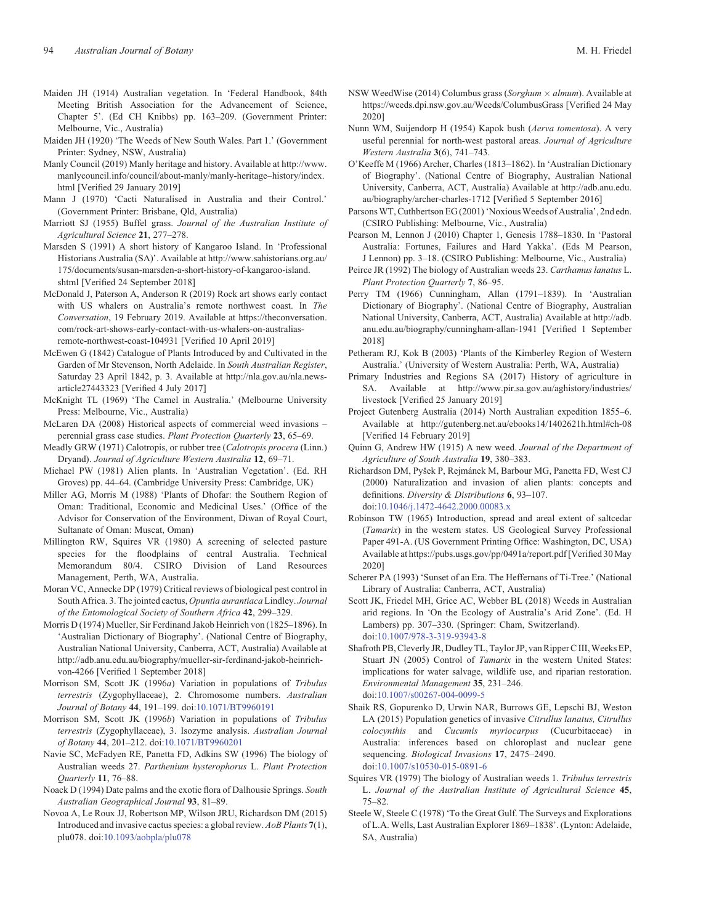- <span id="page-20-0"></span>Maiden JH (1914) Australian vegetation. In 'Federal Handbook, 84th Meeting British Association for the Advancement of Science, Chapter 5'. (Ed CH Knibbs) pp. 163–209. (Government Printer: Melbourne, Vic., Australia)
- Maiden JH (1920) 'The Weeds of New South Wales. Part 1.' (Government Printer: Sydney, NSW, Australia)
- Manly Council (2019) Manly heritage and history. Available at [http://www.](http://www.manlycouncil.info/council/about-manly/manly-heritage–history/index.html) [manlycouncil.info/council/about-manly/manly-heritage](http://www.manlycouncil.info/council/about-manly/manly-heritage–history/index.html)–history/index. [html](http://www.manlycouncil.info/council/about-manly/manly-heritage–history/index.html) [Verified 29 January 2019]
- Mann J (1970) 'Cacti Naturalised in Australia and their Control.' (Government Printer: Brisbane, Qld, Australia)
- Marriott SJ (1955) Buffel grass. Journal of the Australian Institute of Agricultural Science 21, 277–278.
- Marsden S (1991) A short history of Kangaroo Island. In 'Professional Historians Australia (SA)'. Available at [http://www.sahistorians.org.au/](http://www.sahistorians.org.au/175/documents/susan-marsden-a-short-history-of-kangaroo-island.shtml) [175/documents/susan-marsden-a-short-history-of-kangaroo-island.](http://www.sahistorians.org.au/175/documents/susan-marsden-a-short-history-of-kangaroo-island.shtml) [shtml](http://www.sahistorians.org.au/175/documents/susan-marsden-a-short-history-of-kangaroo-island.shtml) [Verified 24 September 2018]
- McDonald J, Paterson A, Anderson R (2019) Rock art shows early contact with US whalers on Australia's remote northwest coast. In The Conversation, 19 February 2019. Available at [https://theconversation.](https://theconversation.com/rock-art-shows-early-contact-with-us-whalers-on-australias-remote-northwest-coast-104931) [com/rock-art-shows-early-contact-with-us-whalers-on-australias](https://theconversation.com/rock-art-shows-early-contact-with-us-whalers-on-australias-remote-northwest-coast-104931)[remote-northwest-coast-104931](https://theconversation.com/rock-art-shows-early-contact-with-us-whalers-on-australias-remote-northwest-coast-104931) [Verified 10 April 2019]
- McEwen G (1842) Catalogue of Plants Introduced by and Cultivated in the Garden of Mr Stevenson, North Adelaide. In South Australian Register, Saturday 23 April 1842, p. 3. Available at [http://nla.gov.au/nla.news](http://nla.gov.au/nla.news-article27443323)[article27443323](http://nla.gov.au/nla.news-article27443323) [Verified 4 July 2017]
- McKnight TL (1969) 'The Camel in Australia.' (Melbourne University Press: Melbourne, Vic., Australia)
- McLaren DA (2008) Historical aspects of commercial weed invasions perennial grass case studies. Plant Protection Quarterly 23, 65–69.
- Meadly GRW (1971) Calotropis, or rubber tree (Calotropis procera (Linn.) Dryand). Journal of Agriculture Western Australia 12, 69–71.
- Michael PW (1981) Alien plants. In 'Australian Vegetation'. (Ed. RH Groves) pp. 44–64. (Cambridge University Press: Cambridge, UK)
- Miller AG, Morris M (1988) 'Plants of Dhofar: the Southern Region of Oman: Traditional, Economic and Medicinal Uses.' (Office of the Advisor for Conservation of the Environment, Diwan of Royal Court, Sultanate of Oman: Muscat, Oman)
- Millington RW, Squires VR (1980) A screening of selected pasture species for the floodplains of central Australia. Technical Memorandum 80/4. CSIRO Division of Land Resources Management, Perth, WA, Australia.
- Moran VC, Annecke DP (1979) Critical reviews of biological pest control in South Africa. 3. The jointed cactus, Opuntia aurantiaca Lindley. Journal of the Entomological Society of Southern Africa 42, 299–329.
- Morris D (1974) Mueller, Sir Ferdinand Jakob Heinrich von (1825–1896). In 'Australian Dictionary of Biography'. (National Centre of Biography, Australian National University, Canberra, ACT, Australia) Available at [http://adb.anu.edu.au/biography/mueller-sir-ferdinand-jakob-heinrich](http://adb.anu.edu.au/biography/mueller-sir-ferdinand-jakob-heinrich-von-4266)[von-4266](http://adb.anu.edu.au/biography/mueller-sir-ferdinand-jakob-heinrich-von-4266) [Verified 1 September 2018]
- Morrison SM, Scott JK (1996a) Variation in populations of Tribulus terrestris (Zygophyllaceae), 2. Chromosome numbers. Australian Journal of Botany 44, 191–199. doi:[10.1071/BT9960191](dx.doi.org/10.1071/BT9960191)
- Morrison SM, Scott JK (1996b) Variation in populations of Tribulus terrestris (Zygophyllaceae), 3. Isozyme analysis. Australian Journal of Botany 44, 201–212. doi:[10.1071/BT9960201](dx.doi.org/10.1071/BT9960201)
- Navie SC, McFadyen RE, Panetta FD, Adkins SW (1996) The biology of Australian weeds 27. Parthenium hysterophorus L. Plant Protection Quarterly 11, 76–88.
- Noack D (1994) Date palms and the exotic flora of Dalhousie Springs. South Australian Geographical Journal 93, 81–89.
- Novoa A, Le Roux JJ, Robertson MP, Wilson JRU, Richardson DM (2015) Introduced and invasive cactus species: a global review. AoB Plants 7(1), plu078. doi[:10.1093/aobpla/plu078](dx.doi.org/10.1093/aobpla/plu078)
- NSW WeedWise (2014) Columbus grass (Sorghum  $\times$  almum). Available at <https://weeds.dpi.nsw.gov.au/Weeds/ColumbusGrass> [Verified 24 May 2020]
- Nunn WM, Suijendorp H (1954) Kapok bush (Aerva tomentosa). A very useful perennial for north-west pastoral areas. Journal of Agriculture Western Australia 3(6), 741–743.
- O'Keeffe M (1966) Archer, Charles (1813–1862). In 'Australian Dictionary of Biography'. (National Centre of Biography, Australian National University, Canberra, ACT, Australia) Available at [http://adb.anu.edu.](http://adb.anu.edu.au/biography/archer-charles-1712) [au/biography/archer-charles-1712](http://adb.anu.edu.au/biography/archer-charles-1712) [Verified 5 September 2016]
- Parsons WT, Cuthbertson EG (2001) 'Noxious Weeds of Australia', 2nd edn. (CSIRO Publishing: Melbourne, Vic., Australia)
- Pearson M, Lennon J (2010) Chapter 1, Genesis 1788–1830. In 'Pastoral Australia: Fortunes, Failures and Hard Yakka'. (Eds M Pearson, J Lennon) pp. 3–18. (CSIRO Publishing: Melbourne, Vic., Australia)
- Peirce JR (1992) The biology of Australian weeds 23. Carthamus lanatus L. Plant Protection Quarterly 7, 86–95.
- Perry TM (1966) Cunningham, Allan (1791–1839). In 'Australian Dictionary of Biography'. (National Centre of Biography, Australian National University, Canberra, ACT, Australia) Available at [http://adb.](http://adb.anu.edu.au/biography/cunningham-allan-1941) [anu.edu.au/biography/cunningham-allan-1941](http://adb.anu.edu.au/biography/cunningham-allan-1941) [Verified 1 September 2018]
- Petheram RJ, Kok B (2003) 'Plants of the Kimberley Region of Western Australia.' (University of Western Australia: Perth, WA, Australia)
- Primary Industries and Regions SA (2017) History of agriculture in SA. Available at [http://www.pir.sa.gov.au/aghistory/industries/](http://www.pir.sa.gov.au/aghistory/industries/livestock) [livestock](http://www.pir.sa.gov.au/aghistory/industries/livestock) [Verified 25 January 2019]
- Project Gutenberg Australia (2014) North Australian expedition 1855–6. Available at<http://gutenberg.net.au/ebooks14/1402621h.html#ch-08> [Verified 14 February 2019]
- Quinn G, Andrew HW (1915) A new weed. Journal of the Department of Agriculture of South Australia 19, 380–383.
- Richardson DM, Pyšek P, Rejmánek M, Barbour MG, Panetta FD, West CJ (2000) Naturalization and invasion of alien plants: concepts and definitions. Diversity & Distributions 6, 93–107. doi[:10.1046/j.1472-4642.2000.00083.x](dx.doi.org/10.1046/j.1472-4642.2000.00083.x)
- Robinson TW (1965) Introduction, spread and areal extent of saltcedar (Tamarix) in the western states. US Geological Survey Professional Paper 491-A. (US Government Printing Office: Washington, DC, USA) Available at<https://pubs.usgs.gov/pp/0491a/report.pdf> [Verified 30 May 2020]
- Scherer PA (1993) 'Sunset of an Era. The Heffernans of Ti-Tree.' (National Library of Australia: Canberra, ACT, Australia)
- Scott JK, Friedel MH, Grice AC, Webber BL (2018) Weeds in Australian arid regions. In 'On the Ecology of Australia's Arid Zone'. (Ed. H Lambers) pp. 307–330. (Springer: Cham, Switzerland). doi[:10.1007/978-3-319-93943-8](dx.doi.org/10.1007/978-3-319-93943-8)
- Shafroth PB, Cleverly JR, Dudley TL, Taylor JP, van Ripper C III, Weeks EP, Stuart JN (2005) Control of Tamarix in the western United States: implications for water salvage, wildlife use, and riparian restoration. Environmental Management 35, 231–246. doi[:10.1007/s00267-004-0099-5](dx.doi.org/10.1007/s00267-004-0099-5)
- Shaik RS, Gopurenko D, Urwin NAR, Burrows GE, Lepschi BJ, Weston LA (2015) Population genetics of invasive Citrullus lanatus, Citrullus colocynthis and Cucumis myriocarpus (Cucurbitaceae) in Australia: inferences based on chloroplast and nuclear gene sequencing. Biological Invasions 17, 2475–2490. doi[:10.1007/s10530-015-0891-6](dx.doi.org/10.1007/s10530-015-0891-6)
- Squires VR (1979) The biology of Australian weeds 1. Tribulus terrestris L. Journal of the Australian Institute of Agricultural Science 45, 75–82.
- Steele W, Steele C (1978) 'To the Great Gulf. The Surveys and Explorations of L.A. Wells, Last Australian Explorer 1869–1838'. (Lynton: Adelaide, SA, Australia)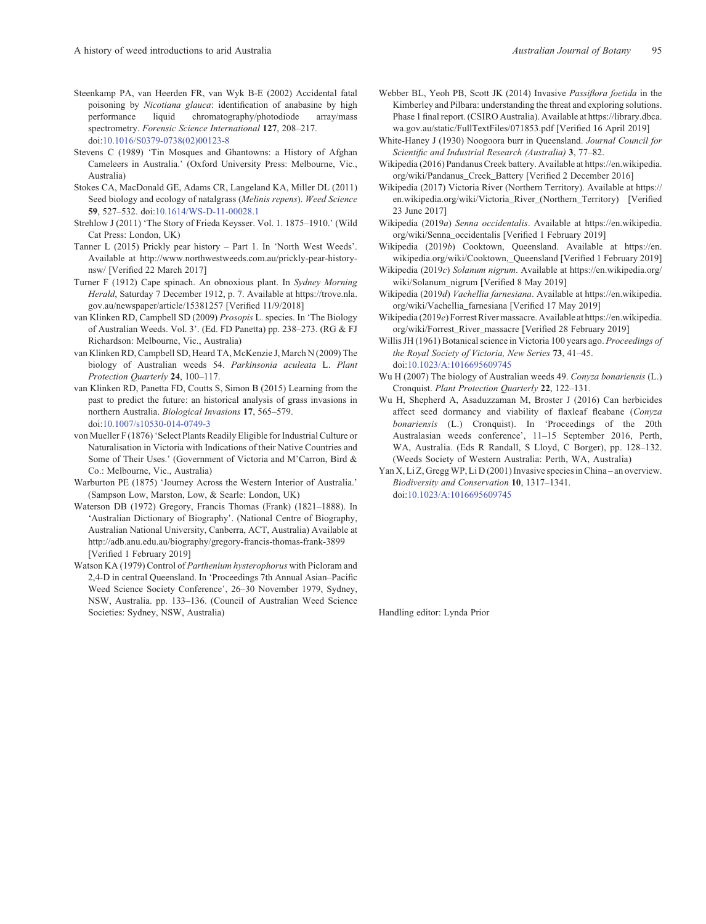- <span id="page-21-0"></span>Steenkamp PA, van Heerden FR, van Wyk B-E (2002) Accidental fatal poisoning by Nicotiana glauca: identification of anabasine by high performance liquid chromatography/photodiode array/mass spectrometry. Forensic Science International 127, 208-217. doi:[10.1016/S0379-0738\(02\)00123-8](dx.doi.org/10.1016/S0379-0738(02)00123-8)
- Stevens C (1989) 'Tin Mosques and Ghantowns: a History of Afghan Cameleers in Australia.' (Oxford University Press: Melbourne, Vic., Australia)
- Stokes CA, MacDonald GE, Adams CR, Langeland KA, Miller DL (2011) Seed biology and ecology of natalgrass (Melinis repens). Weed Science 59, 527–532. doi[:10.1614/WS-D-11-00028.1](dx.doi.org/10.1614/WS-D-11-00028.1)
- Strehlow J (2011) 'The Story of Frieda Keysser. Vol. 1. 1875–1910.' (Wild Cat Press: London, UK)
- Tanner L (2015) Prickly pear history Part 1. In 'North West Weeds'. Available at [http://www.northwestweeds.com.au/prickly-pear-history](http://www.northwestweeds.com.au/prickly-pear-history-nsw/)[nsw/](http://www.northwestweeds.com.au/prickly-pear-history-nsw/) [Verified 22 March 2017]
- Turner F (1912) Cape spinach. An obnoxious plant. In Sydney Morning Herald, Saturday 7 December 1912, p. 7. Available at [https://trove.nla.](https://trove.nla.gov.au/newspaper/article/15381257) [gov.au/newspaper/article/15381257](https://trove.nla.gov.au/newspaper/article/15381257) [Verified 11/9/2018]
- van Klinken RD, Campbell SD (2009) Prosopis L. species. In 'The Biology of Australian Weeds. Vol. 3'. (Ed. FD Panetta) pp. 238–273. (RG & FJ Richardson: Melbourne, Vic., Australia)
- van Klinken RD, Campbell SD, Heard TA, McKenzie J, March N (2009) The biology of Australian weeds 54. Parkinsonia aculeata L. Plant Protection Quarterly 24, 100–117.
- van Klinken RD, Panetta FD, Coutts S, Simon B (2015) Learning from the past to predict the future: an historical analysis of grass invasions in northern Australia. Biological Invasions 17, 565–579. doi:[10.1007/s10530-014-0749-3](dx.doi.org/10.1007/s10530-014-0749-3)
- von Mueller F (1876) 'Select Plants Readily Eligible for Industrial Culture or Naturalisation in Victoria with Indications of their Native Countries and Some of Their Uses.' (Government of Victoria and M'Carron, Bird & Co.: Melbourne, Vic., Australia)
- Warburton PE (1875) 'Journey Across the Western Interior of Australia.' (Sampson Low, Marston, Low, & Searle: London, UK)
- Waterson DB (1972) Gregory, Francis Thomas (Frank) (1821–1888). In 'Australian Dictionary of Biography'. (National Centre of Biography, Australian National University, Canberra, ACT, Australia) Available at <http://adb.anu.edu.au/biography/gregory-francis-thomas-frank-3899> [Verified 1 February 2019]
- Watson KA (1979) Control of Parthenium hysterophorus with Picloram and 2,4-D in central Queensland. In 'Proceedings 7th Annual Asian–Pacific Weed Science Society Conference', 26–30 November 1979, Sydney, NSW, Australia. pp. 133–136. (Council of Australian Weed Science Societies: Sydney, NSW, Australia)
- Webber BL, Yeoh PB, Scott JK (2014) Invasive Passiflora foetida in the Kimberley and Pilbara: understanding the threat and exploring solutions. Phase 1 final report. (CSIRO Australia). Available at [https://library.dbca.](https://library.dbca.wa.gov.au/static/FullTextFiles/071853.pdf) [wa.gov.au/static/FullTextFiles/071853.pdf](https://library.dbca.wa.gov.au/static/FullTextFiles/071853.pdf) [Verified 16 April 2019]
- White-Haney J (1930) Noogoora burr in Queensland. Journal Council for Scientific and Industrial Research (Australia) 3, 77–82.
- Wikipedia (2016) Pandanus Creek battery. Available at [https://en.wikipedia.](https://en.wikipedia.org/wiki/Pandanus_Creek_Battery) [org/wiki/Pandanus\\_Creek\\_Battery](https://en.wikipedia.org/wiki/Pandanus_Creek_Battery) [Verified 2 December 2016]
- Wikipedia (2017) Victoria River (Northern Territory). Available at [https://](https://en.wikipedia.org/wiki/Victoria_River_(Northern_Territory)) [en.wikipedia.org/wiki/Victoria\\_River\\_\(Northern\\_Territory\)](https://en.wikipedia.org/wiki/Victoria_River_(Northern_Territory)) [Verified 23 June 2017]
- Wikipedia (2019a) Senna occidentalis. Available at [https://en.wikipedia.](https://en.wikipedia.org/wiki/Senna_occidentalis) [org/wiki/Senna\\_occidentalis](https://en.wikipedia.org/wiki/Senna_occidentalis) [Verified 1 February 2019]
- Wikipedia (2019b) Cooktown, Queensland. Available at [https://en.](https://en.wikipedia.org/wiki/Cooktown,_Queensland) [wikipedia.org/wiki/Cooktown,\\_Queensland](https://en.wikipedia.org/wiki/Cooktown,_Queensland) [Verified 1 February 2019]
- Wikipedia (2019c) Solanum nigrum. Available at [https://en.wikipedia.org/](https://en.wikipedia.org/wiki/Solanum_nigrum) [wiki/Solanum\\_nigrum](https://en.wikipedia.org/wiki/Solanum_nigrum) [Verified 8 May 2019]
- Wikipedia (2019d) Vachellia farnesiana. Available at [https://en.wikipedia.](https://en.wikipedia.org/wiki/Vachellia_farnesiana) [org/wiki/Vachellia\\_farnesiana](https://en.wikipedia.org/wiki/Vachellia_farnesiana) [Verified 17 May 2019]
- Wikipedia (2019e) Forrest River massacre. Available at [https://en.wikipedia.](https://en.wikipedia.org/wiki/Forrest_River_massacre) [org/wiki/Forrest\\_River\\_massacre](https://en.wikipedia.org/wiki/Forrest_River_massacre) [Verified 28 February 2019]
- Willis JH (1961) Botanical science in Victoria 100 years ago. Proceedings of the Royal Society of Victoria, New Series 73, 41–45. doi:[10.1023/A:1016695609745](dx.doi.org/10.1023/A:1016695609745)
- Wu H (2007) The biology of Australian weeds 49. Conyza bonariensis (L.) Cronquist. Plant Protection Quarterly 22, 122–131.
- Wu H, Shepherd A, Asaduzzaman M, Broster J (2016) Can herbicides affect seed dormancy and viability of flaxleaf fleabane (Conyza bonariensis (L.) Cronquist). In 'Proceedings of the 20th Australasian weeds conference', 11–15 September 2016, Perth, WA, Australia. (Eds R Randall, S Lloyd, C Borger), pp. 128–132. (Weeds Society of Western Australia: Perth, WA, Australia)
- Yan X, Li Z, Gregg WP, Li D (2001) Invasive species in China an overview. Biodiversity and Conservation 10, 1317–1341. doi:[10.1023/A:1016695609745](dx.doi.org/10.1023/A:1016695609745)

Handling editor: Lynda Prior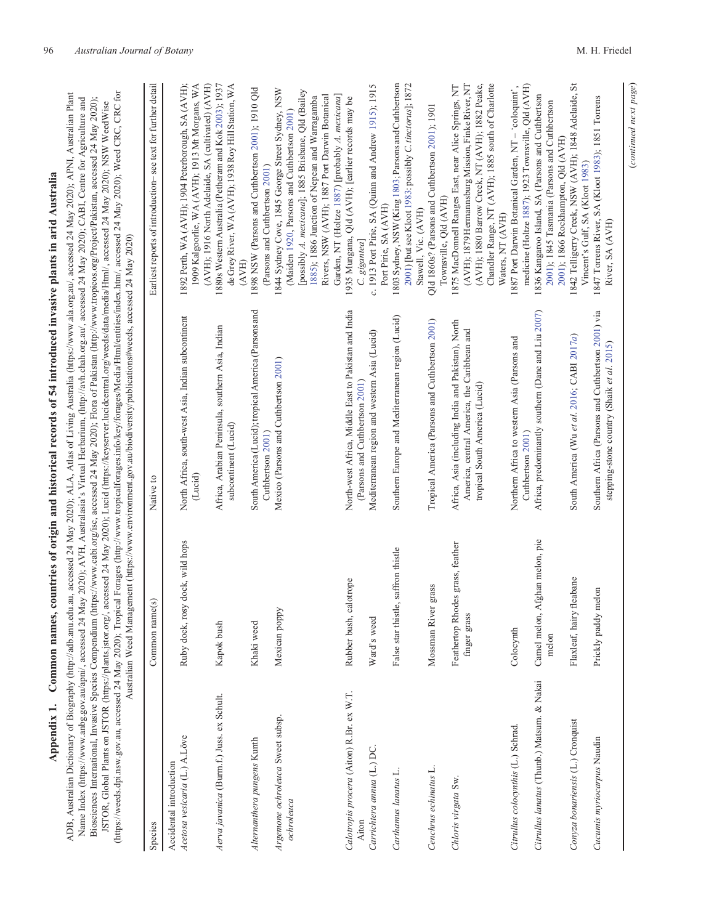| alla<br>i                                                                                     |
|-----------------------------------------------------------------------------------------------|
|                                                                                               |
|                                                                                               |
|                                                                                               |
| l<br>i<br>i                                                                                   |
|                                                                                               |
|                                                                                               |
|                                                                                               |
| ¢<br>٢<br>I                                                                                   |
|                                                                                               |
| $\vdots$<br>j                                                                                 |
|                                                                                               |
| I                                                                                             |
|                                                                                               |
|                                                                                               |
|                                                                                               |
|                                                                                               |
| l                                                                                             |
|                                                                                               |
|                                                                                               |
|                                                                                               |
|                                                                                               |
|                                                                                               |
|                                                                                               |
|                                                                                               |
|                                                                                               |
| ì                                                                                             |
|                                                                                               |
| i<br>)<br>ı                                                                                   |
|                                                                                               |
|                                                                                               |
|                                                                                               |
|                                                                                               |
|                                                                                               |
|                                                                                               |
|                                                                                               |
|                                                                                               |
| n.                                                                                            |
|                                                                                               |
|                                                                                               |
|                                                                                               |
| j                                                                                             |
| ֚֚֚֬                                                                                          |
| i<br>֖֖֖֖֖֧ׅ֖֧֪֪ׅ֖֧ׅ֖֧֧֪֪֪֪֪֪֪֪֪֪֪֪֪֪֪֪֪֪֪֪֪֪֪֪֪֪֪֪֪֪֪ׅ֧֚֚֚֚֚֚֚֚֚֚֚֚֚֚֚֚֚֚֚֚֚֚֚֚֚֚֡֝֝֝֬֓֞֬֝֓֞ |
| i<br>$\overline{\phantom{a}}$<br>l<br>֕<br>l                                                  |
| ∍<br>l<br>l<br>Í<br>l                                                                         |
|                                                                                               |
|                                                                                               |

<span id="page-22-0"></span>(https://weeds.dpi.nsw.gov.au, accessed 24 May 2020); Tropical Forages (http://www.tropicalforages.info/key/forages/Media/Html/entities/index.htm/, accessed 24 May 2020); Weed CRC, CRC for ADB, Australian Dictionary of Biography (http://adb.anu.edu.au, accessed 24 May 2020); ALA, Atlas of Living Australia (https://www.ala.org.au/, accessed 24 May 2020); APNI, Australian Plant (<https://weeds.dpi.nsw.gov.au>, accessed 24 May 2020); Tropical Forages (<http://www.tropicalforages.info/key/forages/Media/Html/entities/index.htm/>, accessed 24 May 2020); Weed CRC, CRC for ADB, Australian Dictionary of Biography (<http://adb.anu.edu.au>, accessed 24 May 2020); ALA, Atlas of Living Australia [\(https://www.ala.org.au/](https://www.ala.org.au/), accessed 24 May 2020); APNI, Australian Plant Name Index (https://www.anbg.gov.au/apni/, accessed 24 May 2020); AVH, Australasia's Virtual Herbarium, (http://avh.chah.org.au/, accessed 24 May 2020); CABI, Centre for Agriculture and Biosciences International, Invasive Species Compendium (https://www.cabi.org/isc, accessed 24 May 2020); Flora of Pakistan (http://www.tropicos.org/Project/Pakistan, accessed 24 May 2020); Name Index (<https://www.anbg.gov.au/apni/>, accessed 24 May 2020); AVH, Australasia's Virtual Herbarium, [\(http://avh.chah.org.au/](http://avh.chah.org.au/), accessed 24 May 2020); CABI, Centre for Agriculture and Biosciences International, Invasive Species Compendium [\(https://www.cabi.org/isc](https://www.cabi.org/isc), accessed 24 May 2020); Flora of Pakistan (<http://www.tropicos.org/Project/Pakistan>, accessed 24 May 2020); JSTOR, Global Plants on JSTOR (https://plants.jstor.org/, accessed 24 May 2020); Lucid (https://keyserver.lucidcentral.org/weeds/data/media/Html/, accessed 24 May 2020); NSW WeedWise JSTOR, Global Plants on JSTOR (<https://plants.jstor.org/>, accessed 24 May 2020); Lucid ([https://keyserver.lucidcentral.org/weeds/data/media/Html/,](https://keyserver.lucidcentral.org/weeds/data/media/Html/) accessed 24 May 2020); NSW WeedWise

| I                   |
|---------------------|
| l<br>ŧ              |
| j<br>ij             |
|                     |
| ł<br>į              |
| Ì<br>j              |
| j                   |
| t                   |
|                     |
| i                   |
| ţ                   |
|                     |
| ١                   |
|                     |
|                     |
| ł                   |
| í                   |
| j                   |
| į                   |
| <b>SACTS</b>        |
| $\ddotsc$<br>i      |
| ansuro              |
|                     |
| $\overline{a}$<br>i |
|                     |
| í<br>¢              |
|                     |
|                     |
|                     |
|                     |
|                     |
| i                   |
|                     |
| аниан<br>ë          |
| $\frac{1}{2}$       |
| l<br>d<br>ı         |

| Species                                                  | Common name(s)                                   | Native to                                                                                                                           | Earliest reports of introduction-see text for further detail                                                                                                                                            |
|----------------------------------------------------------|--------------------------------------------------|-------------------------------------------------------------------------------------------------------------------------------------|---------------------------------------------------------------------------------------------------------------------------------------------------------------------------------------------------------|
| Acetosa vesicaria (L.) A.Löve<br>Accidental introduction | Ruby dock, rosy dock, wild hops                  | North Africa, south-west Asia, Indian subcontinent<br>(Lucid)                                                                       | 1892 Perth, WA (AVH); 1904 Peterborough, SA (AVH);<br>1909 Kalgoorlie, WA (AVH); 1913 Mt Morgans, WA<br>(AVH); 1916 North Adelaide, SA (cultivated) (AVH)                                               |
| Aerva javanica (Burn.f.) Juss. ex Schult.                | Kapok bush                                       | Africa, Arabian Peninsula, southern Asia, Indian<br>subcontinent (Lucid)                                                            | 1880s Western Australia (Petheram and Kok 2003); 1937<br>de Grey River, WA (AVH); 1938 Roy Hill Station, WA<br>(AVH)                                                                                    |
| Alternanthera pungens Kunth                              | Khaki weed                                       | South America (Lucid); tropical America (Parsons and<br>Cuthbertson 2001)                                                           | 1898 NSW (Parsons and Cuthbertson 2001); 1910 Qld<br>(Parsons and Cuthbertson 2001)                                                                                                                     |
| Argemone ochroleuca Sweet subsp.<br>ochroleuca           | Mexican poppy                                    | Mexico (Parsons and Cuthbertson 2001)                                                                                               | 1844 Sydney Cove, 1845 George Street Sydney, NSW<br>(Maiden 1920, Parsons and Cuthbertson 2001)                                                                                                         |
|                                                          |                                                  |                                                                                                                                     | [possibly A. mexicana]; 1885 Brisbane, Qld (Bailey<br>Garden, NT (Holtze 1887) [probably A. mexicana]<br>Rivers, NSW (AVH); 1887 Port Darwin Botanical<br>1885); 1886 Junction of Nepean and Warragamba |
| Calotropis procera (Aiton) R.Br. ex W.T.                 | Rubber bush, calotrope                           | North-west Africa, Middle East to Pakistan and India                                                                                | 1935 Mungana, Qld (AVH); [earlier records may be                                                                                                                                                        |
| Carrichtera annua (L.) DC.<br>Aiton                      | Ward's weed                                      | Mediterranean region and western Asia (Lucid)<br>(Parsons and Cuthbertson 2001)                                                     | c. 1913 Port Pirie, SA (Quinn and Andrew 1915); 1915<br>C. gigantea]                                                                                                                                    |
| Carthamus lanatus L.                                     | False star thistle, saffron thistle              | Southern Europe and Mediterranean region (Lucid)                                                                                    | 1803 Sydney, NSW (King 1803; Parsons and Cuthbertson<br>2001) [but see Kloot 1983: possibly C. tinctorus]; 1872<br>Port Pirie, SA (AVH)                                                                 |
| Cenchrus echinatus L.                                    | Mossman River grass                              | Tropical America (Parsons and Cuthbertson 2001)                                                                                     | Qld 1860s? (Parsons and Cuthbertson 2001); 1901<br>Stawell, Vic. (AVH)                                                                                                                                  |
| Chloris virgata Sw.                                      | Feathertop Rhodes grass, feather<br>finger grass | Africa, Asia (including India and Pakistan), North<br>America, central America, the Caribbean and<br>tropical South America (Lucid) | (AVH); 1879 Hermannsburg Mission, Finke River, NT<br>(AVH); 1880 Barrow Creek, NT (AVH); 1882 Peake,<br>1875 MacDonnell Ranges East, near Alice Springs, NT<br>Townsville, Qld (AVH)                    |
|                                                          |                                                  |                                                                                                                                     | Chandler Range, NT (AVH); 1885 south of Charlotte<br>Waters, NT (AVH)                                                                                                                                   |
| Citrullus colocynthis (L.) Schrad.                       | Colocynth                                        | Northern Africa to western Asia (Parsons and<br>Cuthbertson 2001)                                                                   | medicine (Holtze 1887); 1923 Townsville, Qld (AVH)<br>1887 Port Darwin Botanical Garden, NT - 'coloquint',                                                                                              |
| Citrullus lanatus (Thunb.) Matsum. & Nakai               | Afghan melon, pie<br>Camel melon,<br>melon       | Africa, predominantly southern (Dane and Liu 2007)                                                                                  | 1836 Kangaroo Island, SA (Parsons and Cuthbertson<br>2001); 1845 Tasmania (Parsons and Cuthbertson<br>2001); 1866 Rockhampton, Qld (AVH)                                                                |
| Conyza bonariensis (L.) Cronquist                        | fleabane<br>Flaxleaf, hairy                      | South America (Wu et al. 2016; CABI 2017a)                                                                                          | 1842 Telligerry Creek, NSW (AVH); 1848 Adelaide, St<br>Vincent's Gulf, SA (Kloot 1983)                                                                                                                  |
| Cucumis myriocarpus Naudin                               | Prickly paddy melon                              | Southern Africa (Parsons and Cuthbertson 2001) via<br>stepping-stone country (Shaik et al. 2015)                                    | 1847 Torrens River, SA (Kloot 1983); 1851 Torrens<br>River, SA (AVH)                                                                                                                                    |

(continued next page)

(continued next page)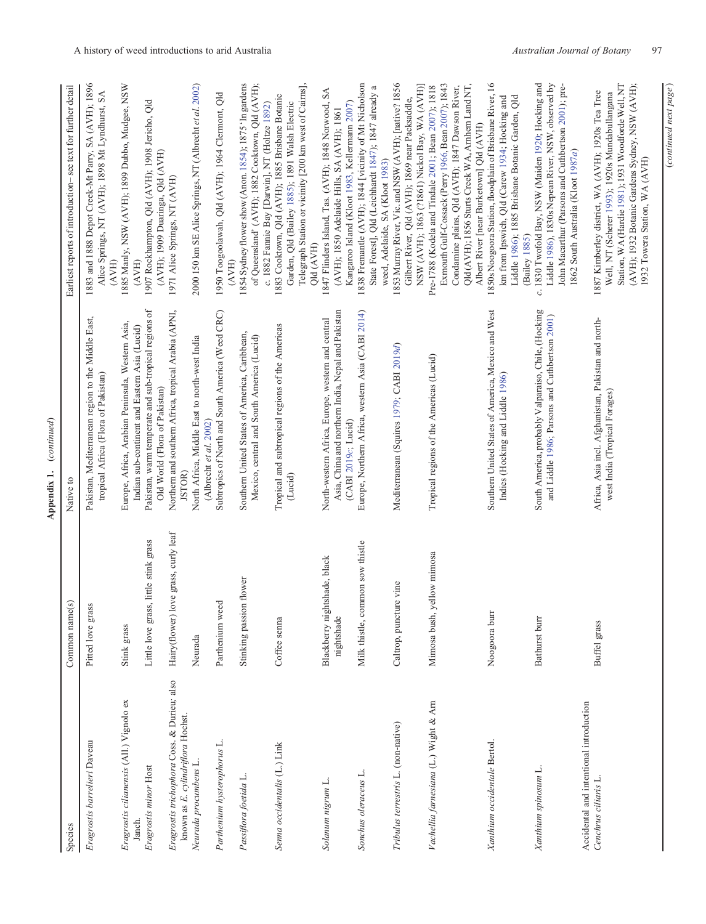|                                                                                                           |                                                      | (continued)<br>Appendix 1.                                                                                                                                                                 |                                                                                                                                                                                                                                              |
|-----------------------------------------------------------------------------------------------------------|------------------------------------------------------|--------------------------------------------------------------------------------------------------------------------------------------------------------------------------------------------|----------------------------------------------------------------------------------------------------------------------------------------------------------------------------------------------------------------------------------------------|
| Species                                                                                                   | $\odot$<br>Common name                               | Native to                                                                                                                                                                                  | Earliest reports of introduction-see text for further detail                                                                                                                                                                                 |
| Eragrostis barrelieri Daveau                                                                              | Pitted love grass                                    | Pakistan, Mediterranean region to the Middle East,<br>tropical Africa (Flora of Pakistan)                                                                                                  | 1883 and 1888 Depot Creek-Mt Parry, SA (AVH); 1896<br>Alice Springs, NT (AVH); 1898 Mt Lyndhurst, SA<br>(AVH)                                                                                                                                |
| Eragrostis cilianensis (All.) Vignolo ex<br>Eragrostis minor Host<br>Janch.                               | Little love grass, little stink grass<br>Stink grass | Pakistan, warm temperate and sub-tropical regions of<br>Europe, Africa, Arabian Peninsula, Western Asia,<br>Indian sub-continent and Eastern Asia (Lucid)<br>Old World (Flora of Pakistan) | 1885 Manly, NSW (AVH); 1899 Dubbo, Mudgee, NSW<br>1907 Rockhampton, Qld (AVH); 1908 Jericho, Qld<br>(AVH); 1909 Duaringa, Qld (AVH)<br>(AVH)                                                                                                 |
| Eragrostis trichophora Coss. & Durieu; also<br>known as E. cylindriflora Hochst.<br>Neurada procumbens L. | Hairy(flower) love grass, curly leaf<br>Neurada      | Northern and southern Africa, tropical Arabia (APNI,<br>North Africa, Middle East to north-west India<br>JSTOR)                                                                            | 2000 150 km SE Alice Springs, NT (Albrecht et al. 2002)<br>1971 Alice Springs, NT (AVH)                                                                                                                                                      |
| Parthenium hysterophorus L.                                                                               | Parthenium weed                                      | Subtropics of North and South America (Weed CRC)<br>(Albrecht et al. 2002)                                                                                                                 | 1950 Toogoolawah, Qld (AVH); 1964 Clermont, Qld                                                                                                                                                                                              |
| Passiflora foetida L                                                                                      | Stinking passion flower                              | Southern United States of America, Caribbean,<br>Mexico, central and South America (Lucid)                                                                                                 | 1854 Sydney flower show (Anon. 1854); 1875 'In gardens<br>of Queensland' (AVH); 1882 Cooktown, Qld (AVH);<br>(AVH)                                                                                                                           |
| Senna occidentalis (L.) Link                                                                              | Coffee senna                                         | Tropical and subtropical regions of the Americas<br>(Lucid)                                                                                                                                | Telegraph Station or vicinity [200 km west of Caims],<br>1883 Cooktown, Qld (AVH); 1885 Brisbane Botanic<br>Garden, Qld (Bailey 1885); 1891 Walsh Electric<br>c. 1882 Fannie Bay [Darwin], NT (Holtze 1892)<br>Qld (AVH)                     |
| Solanum nigrum L                                                                                          | Blackberry nightshade, black<br>nightshade           | Asia, China and northern India, Nepal and Pakistan<br>North-western Africa, Europe, western and central<br>(CABI 2019c; Lucid)                                                             | 1847 Flinders Island, Tas. (AVH); 1848 Norwood, SA<br>Kangaroo Island (Kloot 1983, Kellermann 2007)<br>(AVH); 1850 Adelaide Hills, SA (AVH); 1861                                                                                            |
| Sonchus oleraceus L                                                                                       | Milk thistle, common sow thistle                     | Europe, Northern Africa, western Asia (CABI 2014)                                                                                                                                          | 1838 Fremantle (AVH); 1844 [vicinity of Mt Nicholson<br>State Forest], Qld (Leichhardt 1847); 1847 already a                                                                                                                                 |
| Tribulus terrestris L. (non-native)                                                                       | Caltrop, puncture vine                               | Mediterranean (Squires 1979; CABI 2019d)                                                                                                                                                   | 1853 Murray River, Vic. and NSW (AVH); [native? 1856<br>NSW (AVH); 1863 (?1861) Nickol Bay, WA (AVH)]<br>Gilbert River, Qld (AVH); 1869 near Packsaddle,<br>weed, Adelaide, SA (Kloot 1983)                                                  |
| Vachellia farnesiana (L.) Wight & Arn                                                                     | Mimosa bush, yellow mimosa                           | Tropical regions of the Americas (Lucid)                                                                                                                                                   | Qld (AVH); 1856 Sturts Creek WA, Arnhem Land NT,<br>Exmouth Gulf-Cossack (Perry 1966, Bean 2007); 1843<br>Condamine plains, Qld (AVH); 1847 Dawson River,<br>Pre-1788 (Kodela and Tindale 2001; Bean 2007); 1818                             |
| Xanthium occidentale Bertol.                                                                              | Noogoora burr                                        | Southern United States of America, Mexico and West<br>Indies (Hocking and Liddle 1986)                                                                                                     | 1850s Noogoora Station, floodplain of Brisbane River, 16<br>Liddle 1986); 1885 Brisbane Botanic Garden, Qld<br>km from Ipswich, Qld (Carew 1934; Hocking and<br>Albert River [near Burketown] Qld (AVH)<br>(Bailey 1885)                     |
| Xanthium spinosum L.                                                                                      | Bathurst burr                                        | South America, probably Valparaiso, Chile, (Hocking<br>and Liddle 1986; Parsons and Cuthbertson 2001)                                                                                      | c. 1830 Twofold Bay, NSW (Maiden 1920; Hocking and<br>Liddle 1986), 1830s Nepean River, NSW, observed by<br>John Macarthur (Parsons and Cuthbertson 2001); pre-<br>1862 South Australia (Kloot 1987a)                                        |
| Accidental and intentional introduction<br>Cenchrus ciliaris L.                                           | Buffel grass                                         | Africa, Asia incl. Afghanistan, Pakistan and north-<br>west India (Tropical Forages)                                                                                                       | Station, WA (Hardie 1981); 1931 Woodforde Well, NT<br>(AVH); 1932 Botanic Gardens Sydney, NSW (AVH);<br>1887 Kimberley district, WA (AVH); 1920s Tea Tree<br>Well, NT (Scherer 1993); 1920s Mundabullangana<br>1932 Towera Station, WA (AVH) |

(continued next page) (continued next page )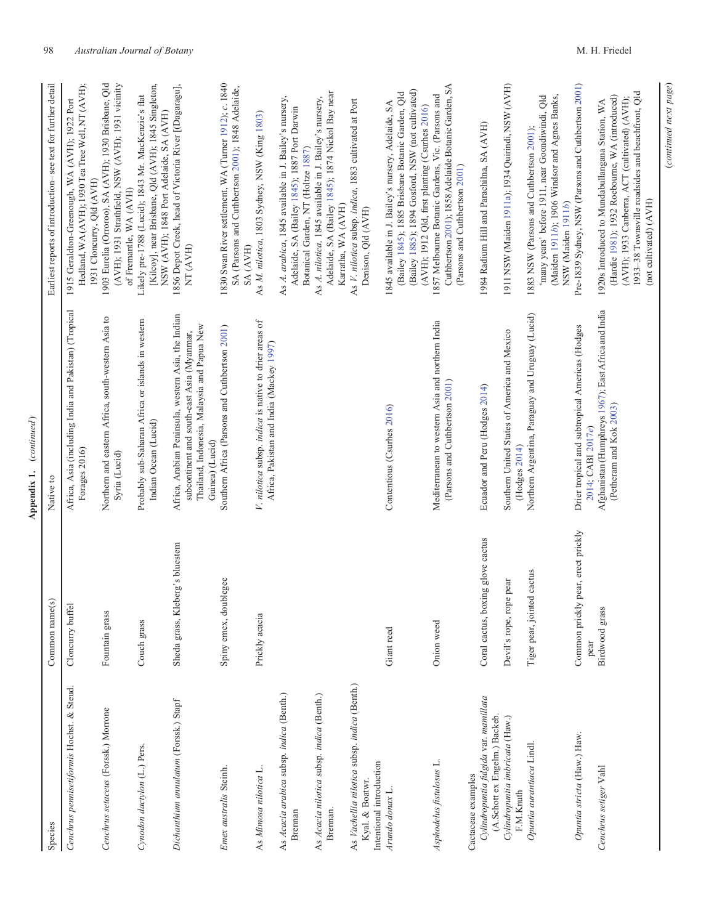| Species                                                                                      | Common name(s)                                 | Native to                                                                                                                                                           | Earliest reports of introduction-see text for further detail                                                                                                                                                                     |
|----------------------------------------------------------------------------------------------|------------------------------------------------|---------------------------------------------------------------------------------------------------------------------------------------------------------------------|----------------------------------------------------------------------------------------------------------------------------------------------------------------------------------------------------------------------------------|
| Cenchrus pennisetiformis Hochst. & Steud.                                                    | Cloncurry buffel                               | Africa, Asia (including India and Pakistan) (Tropical<br>Forages 2016)                                                                                              | Hedland, WA (AVH); 1930 Tea Tree Well, NT (AVH);<br>1915 Geraldton-Greenough, WA (AVH); 1922 Port<br>1931 Cloncurry, Qld (AVH)                                                                                                   |
| Cenchrus setaceus (Forssk.) Morrone                                                          | Fountain grass                                 | Northern and eastern Africa, south-western Asia to<br>Syria (Lucid)                                                                                                 | 1903 Eurelia (Orroroo), SA (AVH); 1930 Brisbane, Qld<br>(AVH); 1931 Strathfield, NSW (AVH); 1931 vicinity<br>of Fremantle, WA (AVH)                                                                                              |
| Cynodon dactylon (L.) Pers.                                                                  | Couch grass                                    | Probably sub-Saharan Africa or islands in western<br>Indian Ocean (Lucid)                                                                                           | [Kilcoy], near Brisbane, Qld (AVH); 1845 Singleton,<br>Likely pre-1788 (Lucid); 1843 Mr. MacKenzie's flat<br>NSW (AVH); 1848 Port Adelaide, SA (AVH)                                                                             |
| Dichanthium annulatum (Forssk.) Stapf                                                        | Sheda grass, Kleberg's bluestem                | Africa, Arabian Peninsula, western Asia, the Indian<br>Thailand, Indonesia, Malaysia and Papua New<br>subcontinent and south-east Asia (Myanmar,<br>Guinea) (Lucid) | 1856 Depot Creek, head of Victoria River [(Dagaragu],<br>NT (AVH)                                                                                                                                                                |
| Emex australis Steinh.                                                                       | Spiny emex, doublegee                          | Southern Africa (Parsons and Cuthbertson 2001)                                                                                                                      | 1830 Swan River settlement, WA (Turner 1912); c. 1840<br>SA (Parsons and Cuthbertson 2001); 1848 Adelaide,<br>SA (AVH)                                                                                                           |
| As Mimosa nilotica L                                                                         | Prickly acacia                                 | V. nilotica subsp. indica is native to drier areas of<br>Africa, Pakistan and India (Mackey 1997)                                                                   | As M. nilotica, 1803 Sydney, NSW (King 1803)                                                                                                                                                                                     |
| As Acacia arabica subsp. indica (Benth.)<br>Brennan                                          |                                                |                                                                                                                                                                     | As A. arabica, 1845 available in J. Bailey's nursery,<br>Adelaide, SA (Bailey 1845); 1887 Port Darwin<br>Botanical Garden, NT (Holtze 1887)                                                                                      |
| As Acacia nilotica subsp. indica (Benth.)<br>Breman.                                         |                                                |                                                                                                                                                                     | Adelaide, SA (Bailey 1845); 1874 Nickol Bay near<br>As A. nilotica, 1845 available in J. Bailey's nursery,<br>Karratha, WA (AVH)                                                                                                 |
| As Vachellia nilotica subsp. indica (Benth.)<br>Intentional introduction<br>Kyal. & Boatwr.  |                                                |                                                                                                                                                                     | As V. nilotica subsp. indica, 1883 cultivated at Port<br>Denison, Qld (AVH)                                                                                                                                                      |
| Arundo donax L                                                                               | Giant reed                                     | Contentious (Csurhes 2016)                                                                                                                                          | (Bailey 1885); 1894 Gosford, NSW (not cultivated)<br>(Bailey 1845); 1885 Brisbane Botanic Garden, Qld<br>1845 available in J. Bailey's nursery, Adelaide, SA                                                                     |
| Asphodelus fistulosus L.                                                                     | Onion weed                                     | Mediterranean to western Asia and northern India<br>(Parsons and Cuthbertson 2001)                                                                                  | Cuthbertson 2001); 1858 Adelaide Botanic Garden, SA<br>1857 Melbourne Botanic Gardens, Vic. (Parsons and<br>(AVH); 1912 Qld, first planting (Csurhes 2016)<br>(Parsons and Cuthbertson 2001)                                     |
| Cylindropuntia fulgida var. mamillata<br>(A.Schott ex Engelm.) Backeb.<br>Cactaceae examples | Coral cactus, boxing glove cactus              | Ecuador and Peru (Hodges 2014)                                                                                                                                      | 1984 Radium Hill and Parachilna, SA (AVH)                                                                                                                                                                                        |
| Cylindropuntia imbricata (Haw.)<br>F.M.Knuth                                                 | Devil's rope, rope pear                        | Southern United States of America and Mexico<br>(Hodges 2014)                                                                                                       | 1911 NSW (Maiden 1911a); 1934 Quirindi, NSW (AVH)                                                                                                                                                                                |
| Opuntia aurantiaca Lindl                                                                     | Tiger pear, jointed cactus                     | Northern Argentina, Paraguay and Uruguay (Lucid)                                                                                                                    | 'many years' before 1911, near Goondiwindi, Qld<br>(Maiden 1911b); 1906 Windsor and Agnes Banks,<br>1883 NSW (Parsons and Cuthbertson 2001);<br>NSW (Maiden 1911b)                                                               |
| Opuntia stricta (Haw.) Haw.                                                                  | ly pear, erect prickly<br>Common prick<br>pear | Drier tropical and subtropical Americas (Hodges<br>2014; CABI 2017e)                                                                                                | Pre-1839 Sydney, NSW (Parsons and Cuthbertson 2001)                                                                                                                                                                              |
| Cenchrus setiger Vahl                                                                        | Birdwood grass                                 | Afghanistan (Humphreys 1967); East Africa and India<br>(Petheram and Kok 2003)                                                                                      | 1933-38 Townsville roadsides and beachfront, Qld<br>(Hardie 1981); 1932 Roebourne, WA (introduced)<br>(AVH); 1933 Canberra, ACT (cultivated) (AVH);<br>1920s Introduced to Mundabullangana Station, WA<br>(not cultivated) (AVH) |
|                                                                                              |                                                |                                                                                                                                                                     | (continued next page)                                                                                                                                                                                                            |

Appendix 1. (continued)

Appendix 1. (continued)